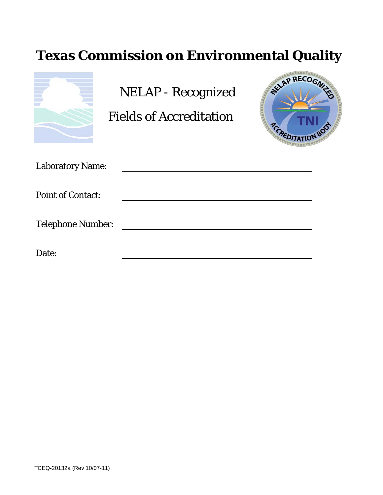# **Texas Commission on Environmental Quality**

|                          | <b>NELAP</b> - Recognized<br><b>Fields of Accreditation</b> | JELAP RECO.<br>GNIE<br>ACCREDITAT |
|--------------------------|-------------------------------------------------------------|-----------------------------------|
| <b>Laboratory Name:</b>  |                                                             |                                   |
| <b>Point of Contact:</b> |                                                             |                                   |
| <b>Telephone Number:</b> |                                                             |                                   |
| Date:                    |                                                             |                                   |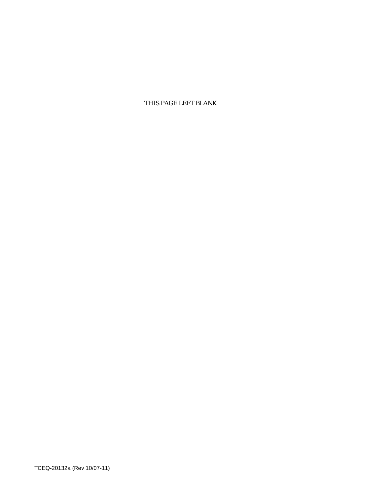#### THIS PAGE LEFT BLANK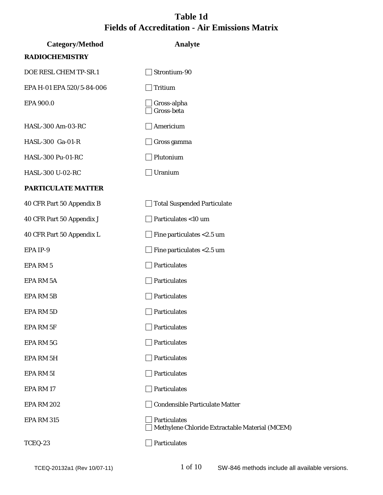| Category/Method           | <b>Analyte</b>                                                        |
|---------------------------|-----------------------------------------------------------------------|
| <b>RADIOCHEMISTRY</b>     |                                                                       |
| DOE RESL CHEM TP-SR.1     | Strontium-90                                                          |
| EPA H-01 EPA 520/5-84-006 | <b>Tritium</b>                                                        |
| EPA 900.0                 | Gross-alpha<br>Gross-beta                                             |
| <b>HASL-300 Am-03-RC</b>  | Americium                                                             |
| HASL-300 Ga-01-R          | Gross gamma                                                           |
| <b>HASL-300 Pu-01-RC</b>  | Plutonium                                                             |
| <b>HASL-300 U-02-RC</b>   | Uranium                                                               |
| <b>PARTICULATE MATTER</b> |                                                                       |
| 40 CFR Part 50 Appendix B | <b>Total Suspended Particulate</b>                                    |
| 40 CFR Part 50 Appendix J | Particulates <10 um                                                   |
| 40 CFR Part 50 Appendix L |                                                                       |
| EPA IP-9                  | $\Box$ Fine particulates < 2.5 um                                     |
| EPA RM 5                  | <b>Particulates</b>                                                   |
| EPA RM 5A                 | <b>Particulates</b>                                                   |
| EPA RM 5B                 | <b>Particulates</b>                                                   |
| <b>EPA RM 5D</b>          | <b>Particulates</b>                                                   |
| EPA RM 5F                 | <b>Particulates</b>                                                   |
| EPA RM 5G                 | $\Box$ Particulates                                                   |
| EPA RM 5H                 | $\Box$ Particulates                                                   |
| EPA RM 5I                 | <b>Particulates</b>                                                   |
| EPA RM 17                 | Particulates                                                          |
| <b>EPA RM 202</b>         | <b>Condensible Particulate Matter</b>                                 |
| <b>EPA RM 315</b>         | <b>Particulates</b><br>Methylene Chloride Extractable Material (MCEM) |
| TCEQ-23                   | <b>Particulates</b>                                                   |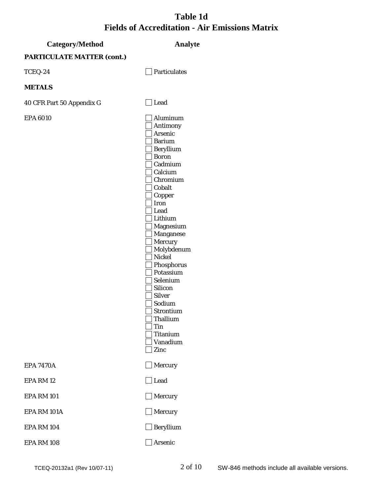| <b>Category/Method</b>            | Analyte                                                                                                                                                                                                                                                                                                                                                                         |
|-----------------------------------|---------------------------------------------------------------------------------------------------------------------------------------------------------------------------------------------------------------------------------------------------------------------------------------------------------------------------------------------------------------------------------|
| <b>PARTICULATE MATTER (cont.)</b> |                                                                                                                                                                                                                                                                                                                                                                                 |
| TCEQ-24                           | <b>Particulates</b>                                                                                                                                                                                                                                                                                                                                                             |
| <b>METALS</b>                     |                                                                                                                                                                                                                                                                                                                                                                                 |
| 40 CFR Part 50 Appendix G         | Lead                                                                                                                                                                                                                                                                                                                                                                            |
| <b>EPA 6010</b>                   | Aluminum<br>Antimony<br>Arsenic<br><b>Barium</b><br>Beryllium<br><b>Boron</b><br>Cadmium<br>Calcium<br>Chromium<br>Cobalt<br>Copper<br>Iron<br>Lead<br>Lithium<br>Magnesium<br>Manganese<br>Mercury<br>Molybdenum<br>Nickel<br>Phosphorus<br>Potassium<br>Selenium<br>Silicon<br><b>Silver</b><br>Sodium<br>Strontium<br>Thallium<br>Tin<br><b>Titanium</b><br>Vanadium<br>Zinc |
| <b>EPA 7470A</b>                  | Mercury                                                                                                                                                                                                                                                                                                                                                                         |
| EPA RM 12                         | Lead                                                                                                                                                                                                                                                                                                                                                                            |
| <b>EPA RM 101</b>                 | Mercury                                                                                                                                                                                                                                                                                                                                                                         |
| <b>EPA RM 101A</b>                | Mercury                                                                                                                                                                                                                                                                                                                                                                         |
| <b>EPA RM 104</b>                 | <b>Beryllium</b>                                                                                                                                                                                                                                                                                                                                                                |
| <b>EPA RM 108</b>                 | Arsenic                                                                                                                                                                                                                                                                                                                                                                         |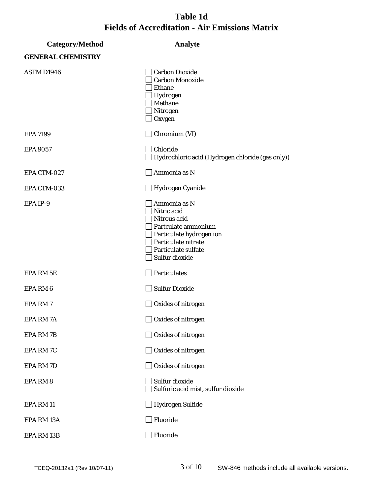| <b>Category/Method</b><br><b>GENERAL CHEMISTRY</b> | Analyte                                                                                                                                                        |
|----------------------------------------------------|----------------------------------------------------------------------------------------------------------------------------------------------------------------|
| <b>ASTM D1946</b>                                  | <b>Carbon Dioxide</b><br><b>Carbon Monoxide</b><br>Ethane<br>Hydrogen<br>Methane<br>Nitrogen<br>Oxygen                                                         |
| <b>EPA 7199</b>                                    | Chromium (VI)                                                                                                                                                  |
| <b>EPA 9057</b>                                    | <b>Chloride</b><br>Hydrochloric acid (Hydrogen chloride (gas only))                                                                                            |
| EPA CTM-027                                        | Ammonia as N                                                                                                                                                   |
| EPA CTM-033                                        | Hydrogen Cyanide                                                                                                                                               |
| EPA IP-9                                           | Ammonia as N<br>Nitric acid<br>Nitrous acid<br>Partculate ammonium<br>Particulate hydrogen ion<br>Particulate nitrate<br>Particulate sulfate<br>Sulfur dioxide |
| EPA RM 5E                                          | <b>Particulates</b>                                                                                                                                            |
| EPA RM 6                                           | <b>Sulfur Dioxide</b>                                                                                                                                          |
| EPA RM 7                                           | Oxides of nitrogen                                                                                                                                             |
| EPA RM 7A                                          | Oxides of nitrogen                                                                                                                                             |
| EPA RM 7B                                          | Oxides of nitrogen                                                                                                                                             |
| EPA RM 7C                                          | Oxides of nitrogen                                                                                                                                             |
| EPA RM 7D                                          | Oxides of nitrogen                                                                                                                                             |
| EPARM <sub>8</sub>                                 | Sulfur dioxide<br>Sulfuric acid mist, sulfur dioxide                                                                                                           |
| EPA RM 11                                          | Hydrogen Sulfide                                                                                                                                               |
| EPA RM 13A                                         | Fluoride                                                                                                                                                       |
| EPA RM 13B                                         | Fluoride                                                                                                                                                       |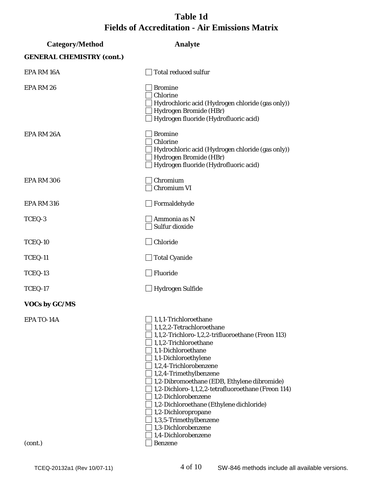| Category/Method                  | Analyte                                                                                                                                                                                                                                                                                                                                                                                                                                                                                                   |
|----------------------------------|-----------------------------------------------------------------------------------------------------------------------------------------------------------------------------------------------------------------------------------------------------------------------------------------------------------------------------------------------------------------------------------------------------------------------------------------------------------------------------------------------------------|
| <b>GENERAL CHEMISTRY (cont.)</b> |                                                                                                                                                                                                                                                                                                                                                                                                                                                                                                           |
| EPA RM 16A                       | <b>Total reduced sulfur</b>                                                                                                                                                                                                                                                                                                                                                                                                                                                                               |
| EPA RM 26                        | <b>Bromine</b><br>Chlorine<br>Hydrochloric acid (Hydrogen chloride (gas only))<br>Hydrogen Bromide (HBr)<br>Hydrogen fluoride (Hydrofluoric acid)                                                                                                                                                                                                                                                                                                                                                         |
| EPA RM 26A                       | <b>Bromine</b><br>Chlorine<br>Hydrochloric acid (Hydrogen chloride (gas only))<br>Hydrogen Bromide (HBr)<br>Hydrogen fluoride (Hydrofluoric acid)                                                                                                                                                                                                                                                                                                                                                         |
| <b>EPA RM 306</b>                | Chromium<br><b>Chromium VI</b>                                                                                                                                                                                                                                                                                                                                                                                                                                                                            |
| <b>EPA RM 316</b>                | Formaldehyde                                                                                                                                                                                                                                                                                                                                                                                                                                                                                              |
| TCEQ-3                           | Ammonia as N<br>Sulfur dioxide                                                                                                                                                                                                                                                                                                                                                                                                                                                                            |
| TCEQ-10                          | Chloride                                                                                                                                                                                                                                                                                                                                                                                                                                                                                                  |
| TCEQ-11                          | <b>Total Cyanide</b>                                                                                                                                                                                                                                                                                                                                                                                                                                                                                      |
| TCEQ-13                          | Fluoride                                                                                                                                                                                                                                                                                                                                                                                                                                                                                                  |
| TCEQ-17                          | Hydrogen Sulfide                                                                                                                                                                                                                                                                                                                                                                                                                                                                                          |
| <b>VOCs by GC/MS</b>             |                                                                                                                                                                                                                                                                                                                                                                                                                                                                                                           |
| EPA TO-14A                       | 1,1,1-Trichloroethane<br>1,1,2,2-Tetrachloroethane<br>1,1,2-Trichloro-1,2,2-trifluoroethane (Freon 113)<br>1,1,2-Trichloroethane<br>1,1-Dichloroethane<br>1,1-Dichloroethylene<br>1,2,4-Trichlorobenzene<br>1,2,4-Trimethylbenzene<br>1,2-Dibromoethane (EDB, Ethylene dibromide)<br>1,2-Dichloro-1,1,2,2-tetrafluoroethane (Freon 114)<br>1,2-Dichlorobenzene<br>1,2-Dichloroethane (Ethylene dichloride)<br>1,2-Dichloropropane<br>1,3,5-Trimethylbenzene<br>1,3-Dichlorobenzene<br>1,4-Dichlorobenzene |
| (cont.)                          | <b>Benzene</b>                                                                                                                                                                                                                                                                                                                                                                                                                                                                                            |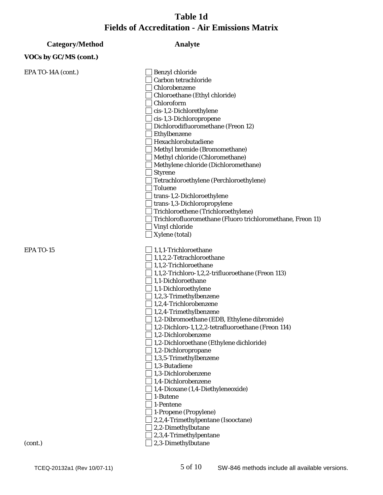#### **Category/Method Analyte VOCs by GC/MS (cont.)** EPA TO-14A (cont.) Benzyl chloride Carbon tetrachloride Chlorobenzene Chloroethane (Ethyl chloride) Chloroform cis-1,2-Dichlorethylene cis-1,3-Dichloropropene Dichlorodifluoromethane (Freon 12)  $\Box$  Ethylbenzene Hexachlorobutadiene Methyl bromide (Bromomethane) Methyl chloride (Chloromethane) Methylene chloride (Dichloromethane) **□** Styrene Tetrachloroethylene (Perchloroethylene)  $\Box$ Toluene trans-1,2-Dichloroethylene trans-1,3-Dichloropropylene Trichloroethene (Trichloroethylene) Trichlorofluoromethane (Fluoro trichloromethane, Freon 11) Vinyl chloride  $\Box$  Xylene (total) EPA TO-15  $\Box$  1,1,1-Trichloroethane 1,1,2,2-Tetrachloroethane  $\Box$  1.1.2-Trichloroethane 1,1,2-Trichloro-1,2,2-trifluoroethane (Freon 113)  $\Box$  1,1-Dichloroethane 1,1-Dichloroethylene 1,2,3-Trimethylbenzene  $\Box$  1,2,4-Trichlorobenzene 1,2,4-Trimethylbenzene 1,2-Dibromoethane (EDB, Ethylene dibromide) 1,2-Dichloro-1,1,2,2-tetrafluoroethane (Freon 114) 1,2-Dichlorobenzene 1,2-Dichloroethane (Ethylene dichloride) 1,2-Dichloropropane 1,3,5-Trimethylbenzene  $\Box$  1.3-Butadiene 1,3-Dichlorobenzene 1,4-Dichlorobenzene 1,4-Dioxane (1,4-Diethyleneoxide) 1-Butene 1-Pentene 1-Propene (Propylene) 2,2,4-Trimethylpentane (Isooctane)  $\Box$  2.2-Dimethylbutane □ 2,3,4-Trimethylpentane

(cont.) 2,3-Dimethylbutane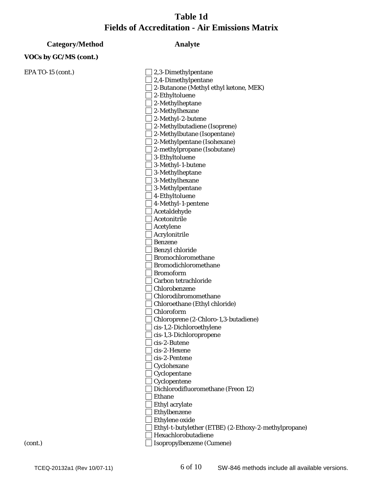#### **Category/Method Analyte**

#### **VOCs by GC/MS (cont.)**

EPA TO-15 (cont.)  $\qquad \qquad \qquad$  2,3-Dimethylpentane  $\Box$  2,4-Dimethylpentane 2-Butanone (Methyl ethyl ketone, MEK)  $\Box$  2-Ethyltoluene  $\Box$  2-Methylheptane  $\Box$  2-Methylhexane □ 2-Methyl-2-butene 2-Methylbutadiene (Isoprene) 2-Methylbutane (Isopentane) 2-Methylpentane (Isohexane) 2-methylpropane (Isobutane)  $\Box$  3-Ethyltoluene □ 3-Methyl-1-butene

- □ 3-Methylheptane
- 3-Methylhexane
- 3-Methylpentane
- 4-Ethyltoluene
- 4-Methyl-1-pentene
- Acetaldehyde
- Acetonitrile
- Acetylene
- Acrylonitrile
- Benzene
- Benzyl chloride
- $\Box$  Bromochloromethane
- Bromodichloromethane
- $\Box$  Bromoform
- Carbon tetrachloride
- Chlorobenzene
- Chlorodibromomethane
- Chloroethane (Ethyl chloride)
- Chloroform
- Chloroprene (2-Chloro-1,3-butadiene)
- cis-1,2-Dichloroethylene
- cis-1,3-Dichloropropene
- $\Box$  cis-2-Butene
- cis-2-Hexene
- cis-2-Pentene
- $\Box$  Cyclohexane
- $\Box$  Cyclopentane
- Cyclopentene
- Dichlorodifluoromethane (Freon 12)
- **□**Ethane
- $\Box$  Ethyl acrylate
- Ethylbenzene
- Ethylene oxide
- Ethyl-t-butylether (ETBE) (2-Ethoxy-2-methylpropane)
- Hexachlorobutadiene
- (cont.) Isopropylbenzene (Cumene)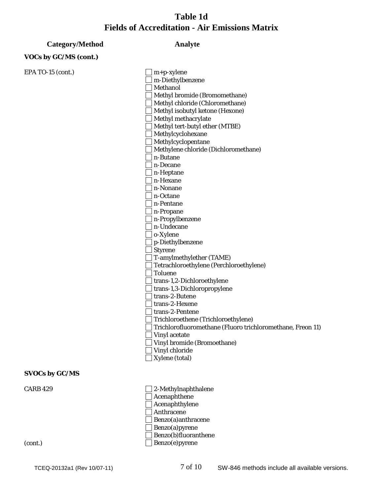#### **Category/Method Analyte**

#### **VOCs by GC/MS (cont.)**

| EPA TO-15 (cont.) | m+p-xylene                                                 |
|-------------------|------------------------------------------------------------|
|                   | m-Diethylbenzene                                           |
|                   | Methanol                                                   |
|                   | Methyl bromide (Bromomethane)                              |
|                   | Methyl chloride (Chloromethane)                            |
|                   | Methyl isobutyl ketone (Hexone)                            |
|                   | Methyl methacrylate                                        |
|                   | Methyl tert-butyl ether (MTBE)                             |
|                   | Methylcyclohexane                                          |
|                   | Methylcyclopentane                                         |
|                   | Methylene chloride (Dichloromethane)                       |
|                   | n-Butane                                                   |
|                   | n-Decane                                                   |
|                   | n-Heptane                                                  |
|                   | n-Hexane                                                   |
|                   | n-Nonane                                                   |
|                   | n-Octane                                                   |
|                   | n-Pentane                                                  |
|                   | n-Propane                                                  |
|                   | n-Propylbenzene                                            |
|                   | n-Undecane                                                 |
|                   | o-Xylene                                                   |
|                   | p-Diethylbenzene                                           |
|                   | <b>Styrene</b>                                             |
|                   | T-amylmethylether (TAME)                                   |
|                   | Tetrachloroethylene (Perchloroethylene)                    |
|                   | <b>Toluene</b>                                             |
|                   | trans-1,2-Dichloroethylene                                 |
|                   | trans-1,3-Dichloropropylene                                |
|                   | trans-2-Butene                                             |
|                   | trans-2-Hexene                                             |
|                   | trans-2-Pentene                                            |
|                   | Trichloroethene (Trichloroethylene)                        |
|                   | Trichlorofluoromethane (Fluoro trichloromethane, Freon 11) |
|                   | Vinyl acetate                                              |
|                   | Vinyl bromide (Bromoethane)                                |
|                   | Vinyl chloride                                             |
|                   | Xylene (total)                                             |
| SVOCs by GC/MS    |                                                            |
| <b>CARB 429</b>   | 2-Methylnaphthalene                                        |

Acenaphthene

- $\overline{\Box}$  Acenaphthylene
- Anthracene
- Benzo(a)anthracene
- $\Box$  Benzo(a) pyrene
- Benzo(b)fluoranthene
- (cont.) Benzo(e)pyrene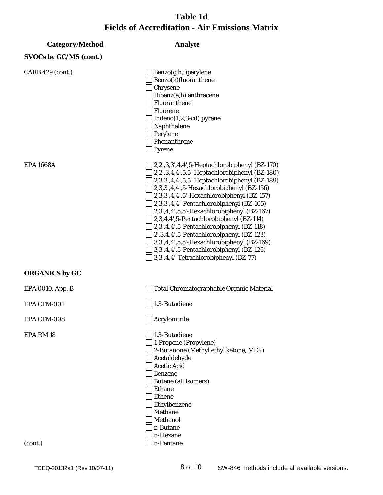| Category/Method         | Analyte                                                                                                                                                                                                                                                                                                                                                                                                                                                                                                                                                                                                                                                                                                       |
|-------------------------|---------------------------------------------------------------------------------------------------------------------------------------------------------------------------------------------------------------------------------------------------------------------------------------------------------------------------------------------------------------------------------------------------------------------------------------------------------------------------------------------------------------------------------------------------------------------------------------------------------------------------------------------------------------------------------------------------------------|
| SVOCs by GC/MS (cont.)  |                                                                                                                                                                                                                                                                                                                                                                                                                                                                                                                                                                                                                                                                                                               |
| <b>CARB 429 (cont.)</b> | Benzo(g,h,i) perylene<br>Benzo(k)fluoranthene<br>Chrysene<br>Dibenz(a,h) anthracene<br>Fluoranthene<br><b>Fluorene</b><br>Indeno(1,2,3-cd) pyrene<br>Naphthalene<br>Perylene<br>Phenanthrene<br>Pyrene                                                                                                                                                                                                                                                                                                                                                                                                                                                                                                        |
| <b>EPA 1668A</b>        | $\left[ 2,2,3,3,4,4,5 \right]$ -Heptachlorobiphenyl (BZ-170)<br>$\Box$ 2,2',3,4,4',5,5'-Heptachlorobiphenyl (BZ-180)<br>$\Box$ 2,3,3',4,4',5,5'-Heptachlorobiphenyl (BZ-189)<br>$\Box$ 2,3,3',4,4',5-Hexachlorobiphenyl (BZ-156)<br>$\Box$ 2,3,3',4,4',5'-Hexachlorobiphenyl (BZ-157)<br>$\Box$ 2,3,3',4,4'-Pentachlorobiphenyl (BZ-105)<br>$\Box$ 2,3',4,4',5,5'-Hexachlorobiphenyl (BZ-167)<br>$\Box$ 2,3,4,4',5-Pentachlorobiphenyl (BZ-114)<br>$\Box$ 2,3',4,4',5-Pentachlorobiphenyl (BZ-118)<br>$\Box$ 2',3,4,4',5-Pentachlorobiphenyl (BZ-123)<br>$\Box$ 3,3',4,4',5,5'-Hexachlorobiphenyl (BZ-169)<br>$\Box$ 3,3',4,4',5-Pentachlorobiphenyl (BZ-126)<br>$\Box$ 3,3',4,4'-Tetrachlorobiphenyl (BZ-77) |
| <b>ORGANICS</b> by GC   |                                                                                                                                                                                                                                                                                                                                                                                                                                                                                                                                                                                                                                                                                                               |
| EPA 0010, App. B        | Total Chromatographable Organic Material                                                                                                                                                                                                                                                                                                                                                                                                                                                                                                                                                                                                                                                                      |
| EPA CTM-001             | 1,3-Butadiene                                                                                                                                                                                                                                                                                                                                                                                                                                                                                                                                                                                                                                                                                                 |
| EPA CTM-008             | Acrylonitrile                                                                                                                                                                                                                                                                                                                                                                                                                                                                                                                                                                                                                                                                                                 |
| EPA RM 18               | 1,3-Butadiene<br>1-Propene (Propylene)<br>2-Butanone (Methyl ethyl ketone, MEK)<br>Acetaldehyde<br><b>Acetic Acid</b><br><b>Benzene</b><br>Butene (all isomers)<br>Ethane<br><b>Ethene</b><br>Ethylbenzene<br><b>Methane</b><br>Methanol<br>n-Butane                                                                                                                                                                                                                                                                                                                                                                                                                                                          |
| (cont.)                 | n-Hexane<br>n-Pentane                                                                                                                                                                                                                                                                                                                                                                                                                                                                                                                                                                                                                                                                                         |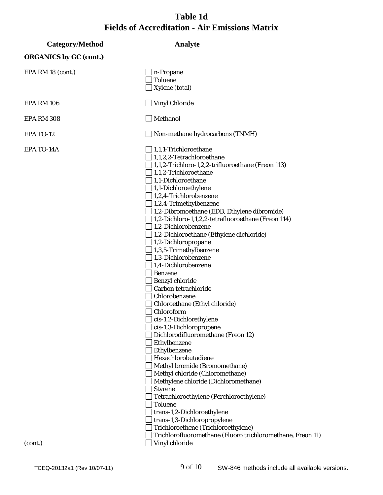| Category/Method               | Analyte                                                                                                                                                                                                                                                                                                                                                                                                                                                                                                                                                                                                                                                                                                                                                                                                                                                                                                                                                                                                            |
|-------------------------------|--------------------------------------------------------------------------------------------------------------------------------------------------------------------------------------------------------------------------------------------------------------------------------------------------------------------------------------------------------------------------------------------------------------------------------------------------------------------------------------------------------------------------------------------------------------------------------------------------------------------------------------------------------------------------------------------------------------------------------------------------------------------------------------------------------------------------------------------------------------------------------------------------------------------------------------------------------------------------------------------------------------------|
| <b>ORGANICS</b> by GC (cont.) |                                                                                                                                                                                                                                                                                                                                                                                                                                                                                                                                                                                                                                                                                                                                                                                                                                                                                                                                                                                                                    |
| EPA RM 18 (cont.)             | n-Propane<br><b>Toluene</b><br>Xylene (total)                                                                                                                                                                                                                                                                                                                                                                                                                                                                                                                                                                                                                                                                                                                                                                                                                                                                                                                                                                      |
| <b>EPA RM 106</b>             | <b>Vinyl Chloride</b>                                                                                                                                                                                                                                                                                                                                                                                                                                                                                                                                                                                                                                                                                                                                                                                                                                                                                                                                                                                              |
| <b>EPA RM 308</b>             | Methanol                                                                                                                                                                                                                                                                                                                                                                                                                                                                                                                                                                                                                                                                                                                                                                                                                                                                                                                                                                                                           |
| EPA TO-12                     | Non-methane hydrocarbons (TNMH)                                                                                                                                                                                                                                                                                                                                                                                                                                                                                                                                                                                                                                                                                                                                                                                                                                                                                                                                                                                    |
| EPA TO-14A                    | 1,1,1-Trichloroethane<br>1,1,2,2-Tetrachloroethane<br>1,1,2-Trichloro-1,2,2-trifluoroethane (Freon 113)<br>1,1,2-Trichloroethane<br>1,1-Dichloroethane<br>1,1-Dichloroethylene<br>1,2,4-Trichlorobenzene<br>1,2,4-Trimethylbenzene<br>1,2-Dibromoethane (EDB, Ethylene dibromide)<br>1,2-Dichloro-1,1,2,2-tetrafluoroethane (Freon 114)<br>1,2-Dichlorobenzene<br>1,2-Dichloroethane (Ethylene dichloride)<br>1,2-Dichloropropane<br>1,3,5-Trimethylbenzene<br>1,3-Dichlorobenzene<br>1,4-Dichlorobenzene<br><b>Benzene</b><br>Benzyl chloride<br>Carbon tetrachloride<br>Chlorobenzene<br>Chloroethane (Ethyl chloride)<br>Chloroform<br>cis-1,2-Dichlorethylene<br>cis-1,3-Dichloropropene<br>Dichlorodifluoromethane (Freon 12)<br>Ethylbenzene<br>Ethylbenzene<br>Hexachlorobutadiene<br>Methyl bromide (Bromomethane)<br>Methyl chloride (Chloromethane)<br>Methylene chloride (Dichloromethane)<br><b>Styrene</b><br>Tetrachloroethylene (Perchloroethylene)<br><b>Toluene</b><br>trans-1,2-Dichloroethylene |
|                               | trans-1,3-Dichloropropylene<br>Trichloroethene (Trichloroethylene)                                                                                                                                                                                                                                                                                                                                                                                                                                                                                                                                                                                                                                                                                                                                                                                                                                                                                                                                                 |
| (cont.)                       | Trichlorofluoromethane (Fluoro trichloromethane, Freon 11)<br>Vinyl chloride                                                                                                                                                                                                                                                                                                                                                                                                                                                                                                                                                                                                                                                                                                                                                                                                                                                                                                                                       |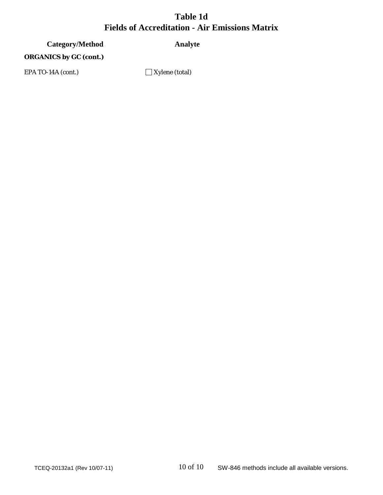**Category/Method Analyte ORGANICS by GC (cont.)** EPA TO-14A (cont.) ∡ylene (total)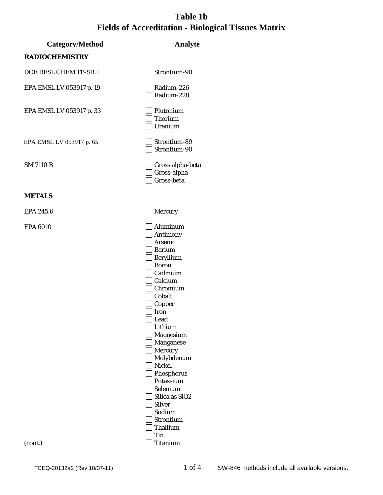| <b>Category/Method</b>   | <b>Analyte</b>                                                                                                                                                                                                                                                                                                                                              |
|--------------------------|-------------------------------------------------------------------------------------------------------------------------------------------------------------------------------------------------------------------------------------------------------------------------------------------------------------------------------------------------------------|
| <b>RADIOCHEMISTRY</b>    |                                                                                                                                                                                                                                                                                                                                                             |
| DOE RESL CHEM TP-SR.1    | Strontium-90                                                                                                                                                                                                                                                                                                                                                |
| EPA EMSL LV 053917 p. 19 | Radium-226<br>Radium-228                                                                                                                                                                                                                                                                                                                                    |
| EPA EMSL LV 053917 p. 33 | Plutonium<br><b>Thorium</b><br>Uranium                                                                                                                                                                                                                                                                                                                      |
| EPA EMSL LV 053917 p. 65 | Strontium-89<br>Strontium-90                                                                                                                                                                                                                                                                                                                                |
| <b>SM 7110 B</b>         | Gross alpha-beta<br><b>Gross-alpha</b><br>Gross-beta                                                                                                                                                                                                                                                                                                        |
| <b>METALS</b>            |                                                                                                                                                                                                                                                                                                                                                             |
| EPA 245.6                | Mercury                                                                                                                                                                                                                                                                                                                                                     |
| <b>EPA 6010</b>          | Aluminum<br>Antimony<br>Arsenic<br><b>Barium</b><br><b>Beryllium</b><br><b>Boron</b><br>Cadmium<br>Calcium<br>Chromium<br>Cobalt<br>Copper<br>Iron<br>Lead<br>Lithium<br>Magnesium<br>Manganese<br>Mercury<br>Molybdenum<br>Nickel<br>Phosphorus<br>Potassium<br>Selenium<br>Silica as SiO <sub>2</sub><br><b>Silver</b><br>Sodium<br>Strontium<br>Thallium |
| (cont.)                  | Tin<br><b>Titanium</b>                                                                                                                                                                                                                                                                                                                                      |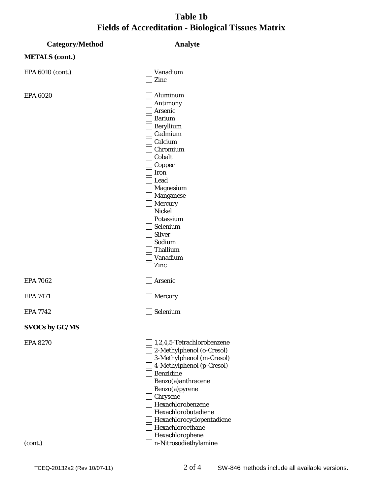| Category/Method       | o<br>Analyte                                                                                                                                                                                                                                                                                              |
|-----------------------|-----------------------------------------------------------------------------------------------------------------------------------------------------------------------------------------------------------------------------------------------------------------------------------------------------------|
| <b>METALS</b> (cont.) |                                                                                                                                                                                                                                                                                                           |
| EPA 6010 (cont.)      | Vanadium<br>Zinc                                                                                                                                                                                                                                                                                          |
| <b>EPA 6020</b>       | Aluminum<br>Antimony<br>Arsenic<br><b>Barium</b><br><b>Beryllium</b><br>Cadmium<br>Calcium<br>Chromium<br>Cobalt<br>Copper<br>Iron<br>Lead<br>Magnesium<br>Manganese<br>Mercury<br><b>Nickel</b><br>Potassium<br>Selenium<br><b>Silver</b><br>Sodium<br><b>Thallium</b><br>Vanadium<br>Zinc               |
| <b>EPA 7062</b>       | Arsenic                                                                                                                                                                                                                                                                                                   |
| <b>EPA 7471</b>       | Mercury                                                                                                                                                                                                                                                                                                   |
| <b>EPA 7742</b>       | $\Box$ Selenium                                                                                                                                                                                                                                                                                           |
| SVOCs by GC/MS        |                                                                                                                                                                                                                                                                                                           |
| <b>EPA 8270</b>       | 1,2,4,5-Tetrachlorobenzene<br>2-Methylphenol (o-Cresol)<br>3-Methylphenol (m-Cresol)<br>4-Methylphenol (p-Cresol)<br><b>Benzidine</b><br>Benzo(a)anthracene<br>Benzo(a)pyrene<br>Chrysene<br>Hexachlorobenzene<br>Hexachlorobutadiene<br>Hexachlorocyclopentadiene<br>Hexachloroethane<br>Hexachlorophene |
| (cont.)               | n-Nitrosodiethylamine                                                                                                                                                                                                                                                                                     |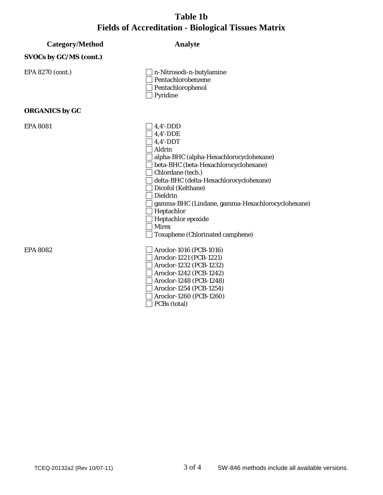| Category/Method        | Analyte                                                                                                                                                                                                                                                                                                                                                                                           |
|------------------------|---------------------------------------------------------------------------------------------------------------------------------------------------------------------------------------------------------------------------------------------------------------------------------------------------------------------------------------------------------------------------------------------------|
| SVOCs by GC/MS (cont.) |                                                                                                                                                                                                                                                                                                                                                                                                   |
| EPA 8270 (cont.)       | n-Nitrosodi-n-butylamine<br>Pentachlorobenzene<br>Pentachlorophenol<br>Pyridine                                                                                                                                                                                                                                                                                                                   |
| <b>ORGANICS</b> by GC  |                                                                                                                                                                                                                                                                                                                                                                                                   |
| <b>EPA 8081</b>        | $4,4'-DDD$<br>$4,4'$ -DDE<br>$4,4'-DDT$<br>Aldrin<br>alpha-BHC (alpha-Hexachlorocyclohexane)<br>beta-BHC (beta-Hexachlorocyclohexane)<br>Chlordane (tech.)<br>delta-BHC (delta-Hexachlorocyclohexane)<br>Dicofol (Kelthane)<br><b>Dieldrin</b><br>gamma-BHC (Lindane, gamma-Hexachlorocyclohexane)<br>Heptachlor<br>Heptachlor epoxide<br><b>Mirex</b><br><b>Toxaphene (Chlorinated camphene)</b> |
| <b>EPA 8082</b>        | Aroclor-1016 (PCB-1016)<br>Aroclor-1221 (PCB-1221)<br>Aroclor-1232 (PCB-1232)<br>Aroclor-1242 (PCB-1242)<br>Aroclor-1248 (PCB-1248)<br>Aroclor-1254 (PCB-1254)<br>Aroclor-1260 (PCB-1260)<br>PCBs (total)                                                                                                                                                                                         |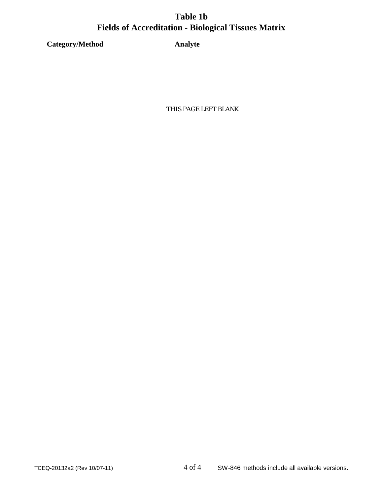**Category/Method Analyte**

THIS PAGE LEFT BLANK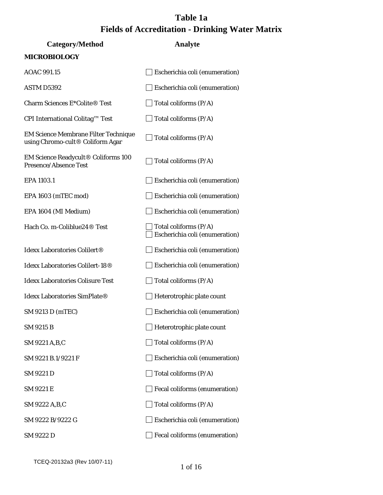| Category/Method                                                                             | Analyte                                                 |
|---------------------------------------------------------------------------------------------|---------------------------------------------------------|
| <b>MICROBIOLOGY</b>                                                                         |                                                         |
| <b>AOAC 991.15</b>                                                                          | Escherichia coli (enumeration)                          |
| <b>ASTM D5392</b>                                                                           | Escherichia coli (enumeration)                          |
| <b>Charm Sciences E*Colite® Test</b>                                                        | Total coliforms $(P/A)$                                 |
| CPI International Colitag™ Test                                                             | $\Box$ Total coliforms (P/A)                            |
| <b>EM Science Membrane Filter Technique</b><br>using Chromo-cult <sup>®</sup> Coliform Agar | $\Box$ Total coliforms (P/A)                            |
| <b>EM Science Readycult® Coliforms 100</b><br><b>Presence/Absence Test</b>                  | Total coliforms $(P/A)$                                 |
| EPA 1103.1                                                                                  | Escherichia coli (enumeration)                          |
| EPA 1603 (mTEC mod)                                                                         | Escherichia coli (enumeration)                          |
| EPA 1604 (MI Medium)                                                                        | Escherichia coli (enumeration)                          |
| Hach Co. m-Coliblue24 <sup>®</sup> Test                                                     | Total coliforms (P/A)<br>Escherichia coli (enumeration) |
| <b>Idexx Laboratories Colilert®</b>                                                         | Escherichia coli (enumeration)                          |
| <b>Idexx Laboratories Colilert-18<sup>®</sup></b>                                           | Escherichia coli (enumeration)                          |
| <b>Idexx Laboratories Colisure Test</b>                                                     | Total coliforms (P/A)                                   |
| <b>Idexx Laboratories SimPlate®</b>                                                         | Heterotrophic plate count                               |
| SM 9213 D (mTEC)                                                                            | Escherichia coli (enumeration)                          |
| <b>SM 9215 B</b>                                                                            | Heterotrophic plate count                               |
| SM 9221 A, B, C                                                                             | Total coliforms (P/A)                                   |
| SM 9221 B.1/9221 F                                                                          | Escherichia coli (enumeration)                          |
| <b>SM 9221 D</b>                                                                            | Total coliforms $(P/A)$                                 |
| SM 9221 E                                                                                   | Fecal coliforms (enumeration)                           |
| SM 9222 A, B, C                                                                             | Total coliforms $(P/A)$                                 |
| SM 9222 B/9222 G                                                                            | Escherichia coli (enumeration)                          |
| SM 9222 D                                                                                   | Fecal coliforms (enumeration)                           |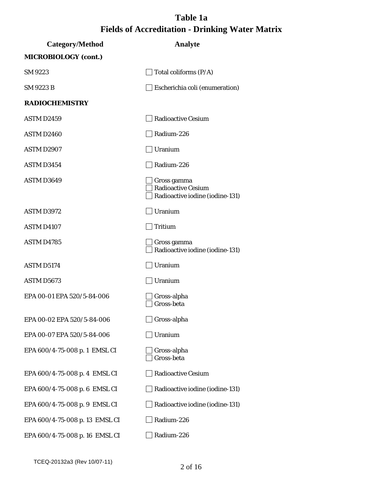| Category/Method                | <b>Analyte</b>                                                              |
|--------------------------------|-----------------------------------------------------------------------------|
| MICROBIOLOGY (cont.)           |                                                                             |
| SM 9223                        | Total coliforms $(P/A)$                                                     |
| SM 9223 B                      | Escherichia coli (enumeration)                                              |
| <b>RADIOCHEMISTRY</b>          |                                                                             |
| <b>ASTM D2459</b>              | <b>Radioactive Cesium</b>                                                   |
| ASTM D2460                     | Radium-226                                                                  |
| <b>ASTM D2907</b>              | Uranium                                                                     |
| <b>ASTM D3454</b>              | Radium-226                                                                  |
| <b>ASTM D3649</b>              | Gross gamma<br><b>Radioactive Cesium</b><br>Radioactive iodine (iodine-131) |
| <b>ASTM D3972</b>              | Uranium                                                                     |
| <b>ASTM D4107</b>              | <b>Tritium</b>                                                              |
| <b>ASTM D4785</b>              | Gross gamma<br>Radioactive iodine (iodine-131)                              |
| <b>ASTM D5174</b>              | Uranium                                                                     |
| <b>ASTM D5673</b>              | Uranium                                                                     |
| EPA 00-01 EPA 520/5-84-006     | Gross-alpha<br>Gross-beta                                                   |
| EPA 00-02 EPA 520/5-84-006     | Gross-alpha                                                                 |
| EPA 00-07 EPA 520/5-84-006     | Uranium                                                                     |
| EPA 600/4-75-008 p. 1 EMSL CI  | Gross-alpha<br>Gross-beta                                                   |
| EPA 600/4-75-008 p. 4 EMSL CI  | <b>Radioactive Cesium</b>                                                   |
| EPA 600/4-75-008 p. 6 EMSL CI  | Radioactive iodine (iodine-131)                                             |
| EPA 600/4-75-008 p. 9 EMSL CI  | Radioactive iodine (iodine-131)                                             |
| EPA 600/4-75-008 p. 13 EMSL CI | Radium-226                                                                  |
| EPA 600/4-75-008 p. 16 EMSL CI | Radium-226                                                                  |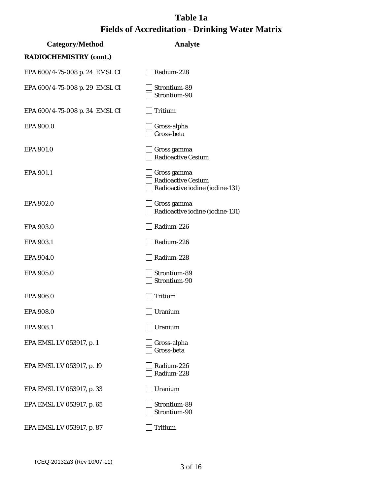| Category/Method                | <b>Analyte</b>                                                                     |
|--------------------------------|------------------------------------------------------------------------------------|
| <b>RADIOCHEMISTRY</b> (cont.)  |                                                                                    |
| EPA 600/4-75-008 p. 24 EMSL CI | Radium-228                                                                         |
| EPA 600/4-75-008 p. 29 EMSL CI | Strontium-89<br>Strontium-90                                                       |
| EPA 600/4-75-008 p. 34 EMSL CI | Tritium                                                                            |
| <b>EPA 900.0</b>               | ] Gross-alpha<br>Gross-beta                                                        |
| <b>EPA 901.0</b>               | Gross gamma<br>Radioactive Cesium                                                  |
| EPA 901.1                      | Gross gamma<br><b>Radioactive Cesium</b><br>$\Box$ Radioactive iodine (iodine-131) |
| EPA 902.0                      | Gross gamma<br>Radioactive iodine (iodine-131)                                     |
| <b>EPA 903.0</b>               | Radium-226                                                                         |
| EPA 903.1                      | Radium-226                                                                         |
| EPA 904.0                      | Radium-228                                                                         |
| <b>EPA 905.0</b>               | Strontium-89<br>Strontium-90                                                       |
| <b>EPA 906.0</b>               | <b>Tritium</b>                                                                     |
| <b>EPA 908.0</b>               | Uranium                                                                            |
| EPA 908.1                      | Uranium                                                                            |
| EPA EMSL LV 053917, p. 1       | Gross-alpha<br>Gross-beta                                                          |
| EPA EMSL LV 053917, p. 19      | Radium-226<br>Radium-228                                                           |
| EPA EMSL LV 053917, p. 33      | Uranium                                                                            |
| EPA EMSL LV 053917, p. 65      | Strontium-89<br>Strontium-90                                                       |
| EPA EMSL LV 053917, p. 87      | <b>Tritium</b>                                                                     |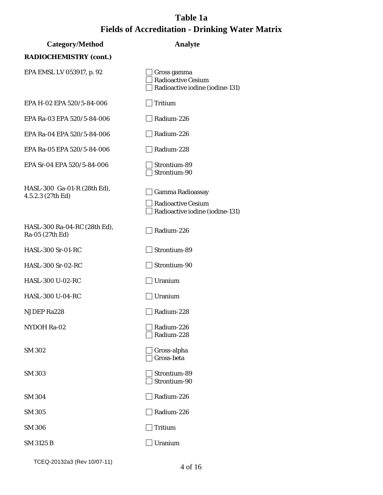| Category/Method<br><b>RADIOCHEMISTRY</b> (cont.) | <b>Analyte</b>                                                                          |
|--------------------------------------------------|-----------------------------------------------------------------------------------------|
| EPA EMSL LV 053917, p. 92                        | Gross gamma<br><b>Radioactive Cesium</b>                                                |
| EPA H-02 EPA 520/5-84-006                        | Radioactive iodine (iodine-131)<br><b>Tritium</b>                                       |
| EPA Ra-03 EPA 520/5-84-006                       | Radium-226                                                                              |
| EPA Ra-04 EPA 520/5-84-006                       | Radium-226                                                                              |
| EPA Ra-05 EPA 520/5-84-006                       | Radium-228                                                                              |
| EPA Sr-04 EPA 520/5-84-006                       | Strontium-89<br>Strontium-90                                                            |
| HASL-300 Ga-01-R (28th Ed),<br>4.5.2.3 (27th Ed) | Gamma Radioassay<br><b>Radioactive Cesium</b><br>$\Box$ Radioactive iodine (iodine-131) |
| HASL-300 Ra-04-RC (28th Ed),<br>Ra-05 (27th Ed)  | Radium-226                                                                              |
| <b>HASL-300 Sr-01-RC</b>                         | Strontium-89                                                                            |
| <b>HASL-300 Sr-02-RC</b>                         | Strontium-90                                                                            |
| <b>HASL-300 U-02-RC</b>                          | Uranium                                                                                 |
| <b>HASL-300 U-04-RC</b>                          | Uranium                                                                                 |
| NJDEP Ra228                                      | Radium-228                                                                              |
| NYDOH Ra-02                                      | Radium-226<br>Radium-228                                                                |
| <b>SM 302</b>                                    | Gross-alpha<br>Gross-beta                                                               |
| <b>SM 303</b>                                    | Strontium-89<br>Strontium-90                                                            |
| SM 304                                           | Radium-226                                                                              |
| SM 305                                           | Radium-226                                                                              |
| SM 306                                           | <b>Tritium</b>                                                                          |
| SM 3125 B                                        | Uranium                                                                                 |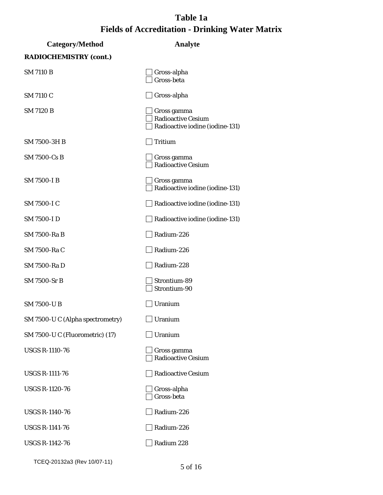| <b>Category/Method</b>           | <b>Analyte</b>                                                              |
|----------------------------------|-----------------------------------------------------------------------------|
| <b>RADIOCHEMISTRY (cont.)</b>    |                                                                             |
| <b>SM 7110 B</b>                 | Gross-alpha<br>Gross-beta                                                   |
| SM 7110 C                        | Gross-alpha                                                                 |
| <b>SM 7120 B</b>                 | Gross gamma<br><b>Radioactive Cesium</b><br>Radioactive iodine (iodine-131) |
| SM 7500-3H B                     | Tritium                                                                     |
| <b>SM 7500-Cs B</b>              | Gross gamma<br><b>Radioactive Cesium</b>                                    |
| <b>SM 7500-IB</b>                | Gross gamma<br>$\Box$ Radioactive iodine (iodine-131)                       |
| SM 7500-I C                      | Radioactive iodine (iodine-131)                                             |
| <b>SM 7500-ID</b>                | Radioactive iodine (iodine-131)                                             |
| SM 7500-Ra B                     | Radium-226                                                                  |
| SM 7500-Ra C                     | Radium-226                                                                  |
| SM 7500-Ra D                     | Radium-228                                                                  |
| <b>SM 7500-Sr B</b>              | Strontium-89<br>Strontium-90                                                |
| <b>SM 7500-U B</b>               | Uranium                                                                     |
| SM 7500-U C (Alpha spectrometry) | $\Box$ Uranium                                                              |
| SM 7500-U C (Fluorometric) (17)  | Uranium                                                                     |
| <b>USGS R-1110-76</b>            | Gross gamma<br><b>Radioactive Cesium</b>                                    |
| <b>USGS R-1111-76</b>            | <b>Radioactive Cesium</b>                                                   |
| <b>USGS R-1120-76</b>            | Gross-alpha<br>Gross-beta                                                   |
| <b>USGS R-1140-76</b>            | Radium-226                                                                  |
| <b>USGS R-1141-76</b>            | Radium-226                                                                  |
| <b>USGS R-1142-76</b>            | Radium 228                                                                  |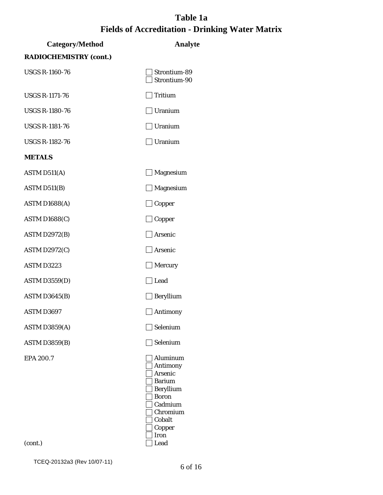| <b>Category/Method</b>        | Analyte                                                                                                                         |
|-------------------------------|---------------------------------------------------------------------------------------------------------------------------------|
| <b>RADIOCHEMISTRY (cont.)</b> |                                                                                                                                 |
| <b>USGS R-1160-76</b>         | Strontium-89<br>Strontium-90                                                                                                    |
| <b>USGS R-1171-76</b>         | Tritium                                                                                                                         |
| <b>USGS R-1180-76</b>         | Uranium                                                                                                                         |
| <b>USGS R-1181-76</b>         | Uranium                                                                                                                         |
| <b>USGS R-1182-76</b>         | Uranium                                                                                                                         |
| <b>METALS</b>                 |                                                                                                                                 |
| ASTM D511(A)                  | Magnesium                                                                                                                       |
| ASTM D511(B)                  | Magnesium                                                                                                                       |
| ASTM D1688(A)                 | $]$ Copper                                                                                                                      |
| <b>ASTM D1688(C)</b>          | $\lfloor$ Copper                                                                                                                |
| <b>ASTM D2972(B)</b>          | Arsenic                                                                                                                         |
| <b>ASTM D2972(C)</b>          | Arsenic                                                                                                                         |
| <b>ASTM D3223</b>             | Mercury                                                                                                                         |
| ASTM D3559(D)                 | Lead                                                                                                                            |
| ASTM D3645(B)                 | Beryllium                                                                                                                       |
| <b>ASTM D3697</b>             | Antimony                                                                                                                        |
| ASTM D3859(A)                 | Selenium                                                                                                                        |
| ASTM D3859(B)                 | Selenium                                                                                                                        |
| <b>EPA 200.7</b>              | Aluminum<br>Antimony<br><b>Arsenic</b><br><b>Barium</b><br>Beryllium<br><b>Boron</b><br>Cadmium<br>Chromium<br>Cobalt<br>Copper |
| (cont.)                       | <b>Iron</b><br>Lead                                                                                                             |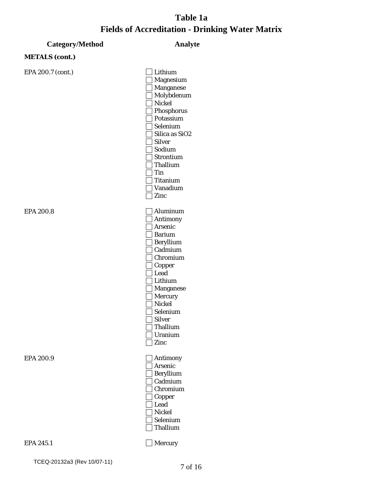| <b>Category/Method</b> | Analyte                                                                                                                                                                                                                                                                           |
|------------------------|-----------------------------------------------------------------------------------------------------------------------------------------------------------------------------------------------------------------------------------------------------------------------------------|
| <b>METALS</b> (cont.)  |                                                                                                                                                                                                                                                                                   |
| EPA 200.7 (cont.)      | Lithium<br>Magnesium<br>Manganese<br>Molybdenum<br><b>Nickel</b><br>$\Box$ Phosphorus<br>$\Box$ Potassium<br>Selenium<br>Silica as SiO <sub>2</sub><br><b>Silver</b><br>Sodium<br>Strontium<br>Thallium<br>Tin<br>$\overline{\phantom{0}}$<br><b>Titanium</b><br>Vanadium<br>Zinc |
| <b>EPA 200.8</b>       | Aluminum<br>Antimony<br>Arsenic<br><b>Barium</b><br><b>Beryllium</b><br>Cadmium<br>Chromium<br>Copper<br>Lead<br>Lithium<br>Manganese<br>Mercury<br><b>Nickel</b><br>Selenium<br><b>Silver</b><br>Thallium<br>Uranium<br>Zinc                                                     |
| EPA 200.9              | Antimony<br>Arsenic<br><b>Beryllium</b><br>Cadmium<br>Chromium<br>Copper<br>Lead<br>Nickel<br>Selenium<br>Thallium                                                                                                                                                                |
| EPA 245.1              | Mercury                                                                                                                                                                                                                                                                           |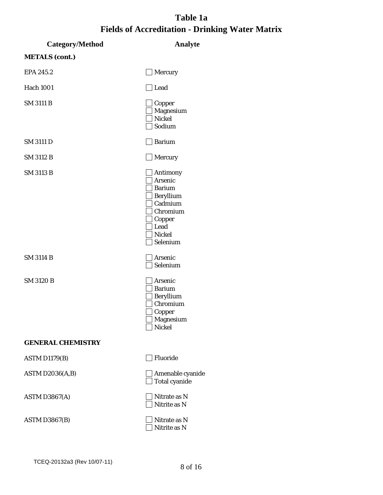| <b>Category/Method</b>   | Analyte                                                                                                                 |
|--------------------------|-------------------------------------------------------------------------------------------------------------------------|
| <b>METALS</b> (cont.)    |                                                                                                                         |
| EPA 245.2                | Mercury                                                                                                                 |
| <b>Hach 1001</b>         | Lead                                                                                                                    |
| <b>SM 3111 B</b>         | Copper<br>Magnesium<br><b>Nickel</b><br>Sodium                                                                          |
| <b>SM 3111 D</b>         | <b>Barium</b>                                                                                                           |
| <b>SM 3112 B</b>         | Mercury                                                                                                                 |
| <b>SM 3113 B</b>         | Antimony<br>Arsenic<br><b>Barium</b><br>Beryllium<br>Cadmium<br>Chromium<br>Copper<br>Lead<br><b>Nickel</b><br>Selenium |
| <b>SM 3114 B</b>         | Arsenic<br>Selenium                                                                                                     |
| <b>SM 3120 B</b>         | <b>Arsenic</b><br><b>Barium</b><br><b>Beryllium</b><br>Chromium<br>Copper<br>Magnesium<br><b>Nickel</b>                 |
| <b>GENERAL CHEMISTRY</b> |                                                                                                                         |
| ASTM D1179(B)            | Fluoride                                                                                                                |
| ASTM D2036(A,B)          | Amenable cyanide<br>Total cyanide                                                                                       |
| ASTM D3867(A)            | Nitrate as N<br>Nitrite as N                                                                                            |
| ASTM D3867(B)            | Nitrate as N<br>Nitrite as N                                                                                            |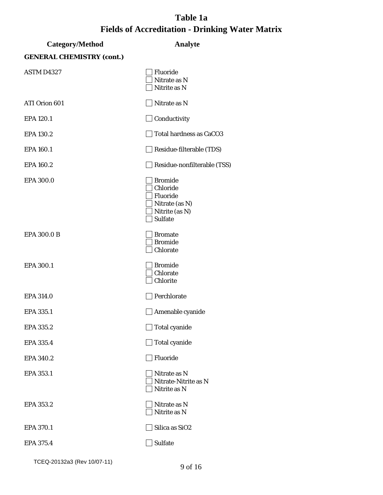| <b>Category/Method</b>           | <b>Analyte</b>                                                                               |
|----------------------------------|----------------------------------------------------------------------------------------------|
| <b>GENERAL CHEMISTRY (cont.)</b> |                                                                                              |
| ASTM D4327                       | Fluoride<br>Nitrate as N<br>Nitrite as N                                                     |
| <b>ATI Orion 601</b>             | Nitrate as N                                                                                 |
| EPA 120.1                        | Conductivity                                                                                 |
| EPA 130.2                        | Total hardness as CaCO3                                                                      |
| EPA 160.1                        | Residue-filterable (TDS)                                                                     |
| EPA 160.2                        | Residue-nonfilterable (TSS)                                                                  |
| <b>EPA 300.0</b>                 | <b>Bromide</b><br>Chloride<br>Fluoride<br>Nitrate (as N)<br>Nitrite (as N)<br><b>Sulfate</b> |
| <b>EPA 300.0 B</b>               | <b>Bromate</b><br><b>Bromide</b><br>Chlorate                                                 |
| EPA 300.1                        | <b>Bromide</b><br>Chlorate<br>Chlorite                                                       |
| EPA 314.0                        | Perchlorate                                                                                  |
| EPA 335.1                        | Amenable cyanide                                                                             |
| EPA 335.2                        | Total cyanide                                                                                |
| EPA 335.4                        | Total cyanide                                                                                |
| EPA 340.2                        | Fluoride                                                                                     |
| EPA 353.1                        | Nitrate as N<br>Nitrate-Nitrite as N<br>Nitrite as N                                         |
| EPA 353.2                        | Nitrate as N<br>Nitrite as N                                                                 |
| EPA 370.1                        | Silica as SiO <sub>2</sub>                                                                   |
| EPA 375.4                        | Sulfate                                                                                      |
|                                  |                                                                                              |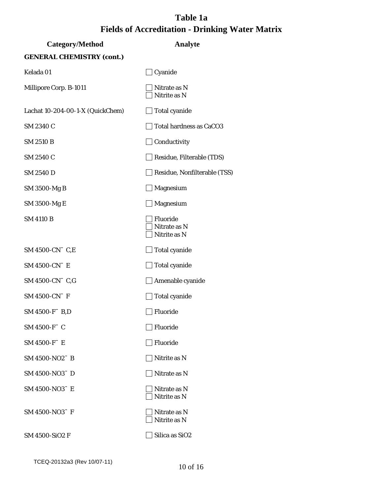| <b>Category/Method</b>           | <b>Analyte</b>                           |
|----------------------------------|------------------------------------------|
| <b>GENERAL CHEMISTRY (cont.)</b> |                                          |
| Kelada 01                        | Cyanide                                  |
| Millipore Corp. B-1011           | Nitrate as N<br>Nitrite as N             |
| Lachat 10-204-00-1-X (QuickChem) | $\Box$ Total cyanide                     |
| SM 2340 C                        | Total hardness as CaCO3                  |
| SM 2510 B                        | Conductivity                             |
| SM 2540 C                        | Residue, Filterable (TDS)                |
| SM 2540 D                        | Residue, Nonfilterable (TSS)             |
| <b>SM 3500-Mg B</b>              | Magnesium                                |
| SM 3500-Mg E                     | Magnesium                                |
| <b>SM 4110 B</b>                 | Fluoride<br>Nitrate as N<br>Nitrite as N |
| SM 4500-CN <sup>-</sup> C,E      | Total cyanide                            |
| SM 4500-CN <sup>-</sup> E        | Total cyanide                            |
| SM 4500-CN <sup>-</sup> C,G      | Amenable cyanide                         |
| SM 4500-CN <sup>-</sup> F        | Total cyanide                            |
| SM 4500-F <sup>-</sup> B,D       | Fluoride                                 |
| SM 4500-F <sup>-</sup> C         | Fluoride                                 |
| SM 4500-F <sup>-</sup> E         | Fluoride                                 |
| SM 4500-NO2 <sup>-</sup> B       | Nitrite as N                             |
| SM 4500-NO3 <sup>-</sup> D       | Nitrate as N                             |
| SM 4500-NO3 <sup>-</sup> E       | Nitrate as N<br>Nitrite as N             |
| SM 4500-NO3 <sup>-</sup> F       | Nitrate as N<br>Nitrite as N             |
| <b>SM 4500-SiO2 F</b>            | Silica as SiO <sub>2</sub>               |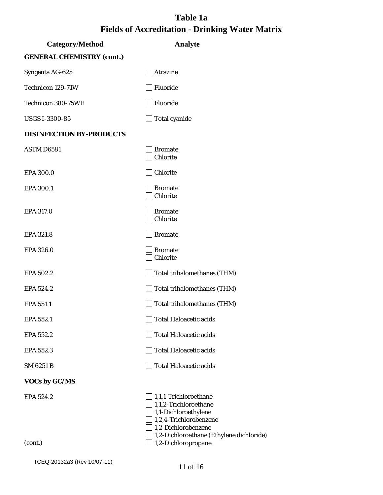| <b>Category/Method</b>           | Analyte                                                                                                                                                                                    |
|----------------------------------|--------------------------------------------------------------------------------------------------------------------------------------------------------------------------------------------|
| <b>GENERAL CHEMISTRY (cont.)</b> |                                                                                                                                                                                            |
| Syngenta AG-625                  | <b>Atrazine</b>                                                                                                                                                                            |
| Technicon 129-71W                | Fluoride                                                                                                                                                                                   |
| Technicon 380-75WE               | Fluoride                                                                                                                                                                                   |
| <b>USGS I-3300-85</b>            | Total cyanide                                                                                                                                                                              |
| <b>DISINFECTION BY-PRODUCTS</b>  |                                                                                                                                                                                            |
| <b>ASTM D6581</b>                | <b>Bromate</b><br>Chlorite                                                                                                                                                                 |
| <b>EPA 300.0</b>                 | Chlorite                                                                                                                                                                                   |
| EPA 300.1                        | <b>Bromate</b><br>Chlorite                                                                                                                                                                 |
| EPA 317.0                        | <b>Bromate</b><br>Chlorite                                                                                                                                                                 |
| EPA 321.8                        | <b>Bromate</b>                                                                                                                                                                             |
| EPA 326.0                        | <b>Bromate</b><br><b>Chlorite</b>                                                                                                                                                          |
| EPA 502.2                        | <b>Total trihalomethanes (THM)</b>                                                                                                                                                         |
| EPA 524.2                        | Total trihalomethanes (THM)                                                                                                                                                                |
| EPA 551.1                        | Total trihalomethanes (THM)                                                                                                                                                                |
| EPA 552.1                        | <b>Total Haloacetic acids</b>                                                                                                                                                              |
| EPA 552.2                        | <b>Total Haloacetic acids</b>                                                                                                                                                              |
| EPA 552.3                        | <b>Total Haloacetic acids</b>                                                                                                                                                              |
| SM 6251 B                        | <b>Total Haloacetic acids</b>                                                                                                                                                              |
| <b>VOCs by GC/MS</b>             |                                                                                                                                                                                            |
| EPA 524.2<br>(cont.)             | 1,1,1-Trichloroethane<br>1,1,2-Trichloroethane<br>1,1-Dichloroethylene<br>1,2,4-Trichlorobenzene<br>1,2-Dichlorobenzene<br>1,2-Dichloroethane (Ethylene dichloride)<br>1,2-Dichloropropane |
|                                  |                                                                                                                                                                                            |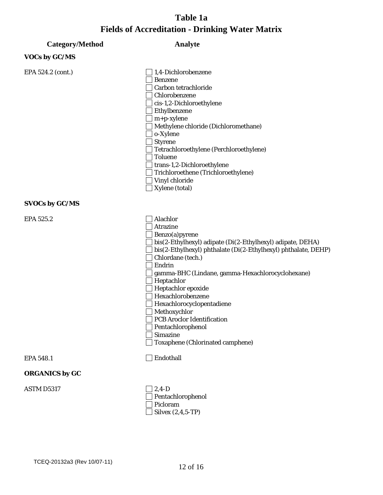#### **Category/Method Analyte VOCs by GC/MS** EPA 524.2 (cont.)  $\Box$  1,4-Dichlorobenzene Benzene Carbon tetrachloride Chlorobenzene cis-1,2-Dichloroethylene Ethylbenzene  $\overline{\Box}$  m+p-xylene Methylene chloride (Dichloromethane)  $\Box$  o-Xylene **□** Styrene Tetrachloroethylene (Perchloroethylene)  $\Box$  Toluene trans-1,2-Dichloroethylene Trichloroethene (Trichloroethylene) Vinyl chloride  $\overline{\Box}$  Xylene (total) **SVOCs by GC/MS**

| EPA 525.2             | Alachlor                                                       |
|-----------------------|----------------------------------------------------------------|
|                       | <b>Atrazine</b>                                                |
|                       | Benzo(a)pyrene                                                 |
|                       | bis(2-Ethylhexyl) adipate (Di(2-Ethylhexyl) adipate, DEHA)     |
|                       | bis(2-Ethylhexyl) phthalate (Di(2-Ethylhexyl) phthalate, DEHP) |
|                       | Chlordane (tech.)                                              |
|                       | Endrin                                                         |
|                       | gamma-BHC (Lindane, gamma-Hexachlorocyclohexane)               |
|                       | Heptachlor                                                     |
|                       | Heptachlor epoxide                                             |
|                       | Hexachlorobenzene                                              |
|                       | Hexachlorocyclopentadiene                                      |
|                       | Methoxychlor                                                   |
|                       | <b>PCB</b> Aroclor Identification                              |
|                       | Pentachlorophenol                                              |
|                       | <b>Simazine</b>                                                |
|                       | <b>Toxaphene (Chlorinated camphene)</b>                        |
| EPA 548.1             | Endothall                                                      |
| <b>ORGANICS</b> by GC |                                                                |
| ASTM D5317            | $2,4-D$                                                        |
|                       | Pentachlorophenol                                              |

Picloram  $\Box$  Silvex (2,4,5-TP)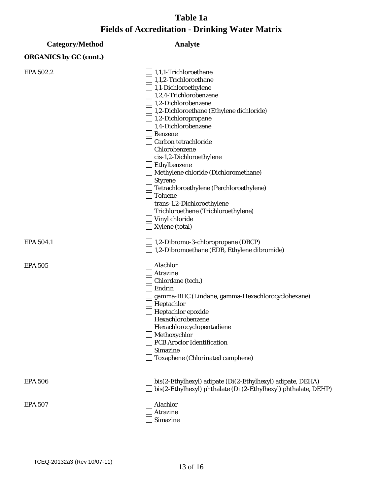| Category/Method               | Analyte                                                                                                                                                                                                                                                                                                                                                                                                                                                                                                                                                                    |
|-------------------------------|----------------------------------------------------------------------------------------------------------------------------------------------------------------------------------------------------------------------------------------------------------------------------------------------------------------------------------------------------------------------------------------------------------------------------------------------------------------------------------------------------------------------------------------------------------------------------|
| <b>ORGANICS</b> by GC (cont.) |                                                                                                                                                                                                                                                                                                                                                                                                                                                                                                                                                                            |
| EPA 502.2                     | 1,1,1-Trichloroethane<br>1,1,2-Trichloroethane<br>1,1-Dichloroethylene<br>1,2,4-Trichlorobenzene<br>1,2-Dichlorobenzene<br>1,2-Dichloroethane (Ethylene dichloride)<br>$\lceil 1, 2$ -Dichloropropane<br>1,4-Dichlorobenzene<br><b>Benzene</b><br>Carbon tetrachloride<br>Chlorobenzene<br>cis-1,2-Dichloroethylene<br>Ethylbenzene<br>Methylene chloride (Dichloromethane)<br><b>Styrene</b><br>Tetrachloroethylene (Perchloroethylene)<br><b>Toluene</b><br>trans-1,2-Dichloroethylene<br>Trichloroethene (Trichloroethylene)<br>$\Box$ Vinyl chloride<br>Xylene (total) |
| EPA 504.1                     | $\Box$ 1,2-Dibromo-3-chloropropane (DBCP)<br>1,2-Dibromoethane (EDB, Ethylene dibromide)                                                                                                                                                                                                                                                                                                                                                                                                                                                                                   |
| <b>EPA 505</b>                | Alachlor<br><b>Atrazine</b><br>Chlordane (tech.)<br>Endrin<br>gamma-BHC (Lindane, gamma-Hexachlorocyclohexane)<br>Heptachlor<br>Heptachlor epoxide<br>Hexachlorobenzene<br>Hexachlorocyclopentadiene<br>Methoxychlor<br><b>PCB</b> Aroclor Identification<br>Simazine<br>Toxaphene (Chlorinated camphene)                                                                                                                                                                                                                                                                  |
| <b>EPA 506</b>                | bis(2-Ethylhexyl) adipate (Di(2-Ethylhexyl) adipate, DEHA)<br>bis(2-Ethylhexyl) phthalate (Di (2-Ethylhexyl) phthalate, DEHP)                                                                                                                                                                                                                                                                                                                                                                                                                                              |
| <b>EPA 507</b>                | Alachlor<br><b>Atrazine</b><br><b>Simazine</b>                                                                                                                                                                                                                                                                                                                                                                                                                                                                                                                             |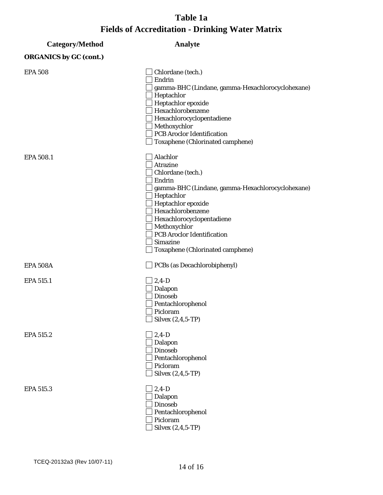| Category/Method               | Analyte                                                                                                                                                                                                                                                                                                          |
|-------------------------------|------------------------------------------------------------------------------------------------------------------------------------------------------------------------------------------------------------------------------------------------------------------------------------------------------------------|
| <b>ORGANICS</b> by GC (cont.) |                                                                                                                                                                                                                                                                                                                  |
| <b>EPA 508</b>                | Chlordane (tech.)<br>Endrin<br>gamma-BHC (Lindane, gamma-Hexachlorocyclohexane)<br>Heptachlor<br>Heptachlor epoxide<br>Hexachlorobenzene<br>Hexachlorocyclopentadiene<br>Methoxychlor<br><b>PCB</b> Aroclor Identification<br>Toxaphene (Chlorinated camphene)                                                   |
| EPA 508.1                     | Alachlor<br><b>Atrazine</b><br>Chlordane (tech.)<br>Endrin<br>gamma-BHC (Lindane, gamma-Hexachlorocyclohexane)<br>$\Box$ Heptachlor<br>Heptachlor epoxide<br>Hexachlorobenzene<br>Hexachlorocyclopentadiene<br>Methoxychlor<br><b>PCB</b> Aroclor Identification<br>Simazine<br>Toxaphene (Chlorinated camphene) |
| <b>EPA 508A</b>               | $\Box$ PCBs (as Decachlorobiphenyl)                                                                                                                                                                                                                                                                              |
| EPA 515.1                     | $2,4-D$<br>Dalapon<br>Dinoseb<br>Pentachlorophenol<br>Picloram<br>$\Box$ Silvex (2,4,5-TP)                                                                                                                                                                                                                       |
| EPA 515.2                     | $2,4-D$<br>Dalapon<br><b>Dinoseb</b><br>Pentachlorophenol<br>Picloram<br>Silvex (2,4,5-TP)                                                                                                                                                                                                                       |
| EPA 515.3                     | $2,4-D$<br>Dalapon<br><b>Dinoseb</b><br>Pentachlorophenol<br>Picloram<br>Silvex (2,4,5-TP)                                                                                                                                                                                                                       |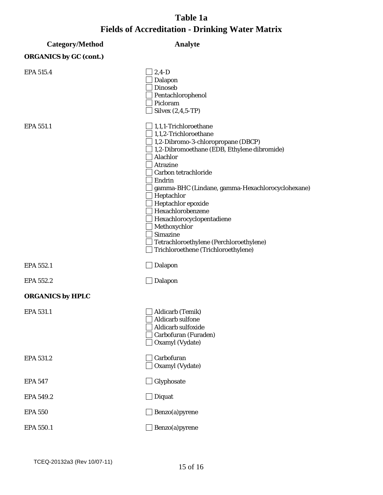| Category/Method               | Analyte                                                                                                                                                                                                                                                                                                                                                                                                                                                      |
|-------------------------------|--------------------------------------------------------------------------------------------------------------------------------------------------------------------------------------------------------------------------------------------------------------------------------------------------------------------------------------------------------------------------------------------------------------------------------------------------------------|
| <b>ORGANICS</b> by GC (cont.) |                                                                                                                                                                                                                                                                                                                                                                                                                                                              |
| EPA 515.4                     | $2,4-D$<br>Dalapon<br><b>Dinoseb</b><br>Pentachlorophenol<br>Picloram<br>Silvex (2,4,5-TP)                                                                                                                                                                                                                                                                                                                                                                   |
| EPA 551.1                     | 1,1,1-Trichloroethane<br>1,1,2-Trichloroethane<br>1,2-Dibromo-3-chloropropane (DBCP)<br>1,2-Dibromoethane (EDB, Ethylene dibromide)<br>Alachlor<br><b>Atrazine</b><br>Carbon tetrachloride<br>Endrin<br>gamma-BHC (Lindane, gamma-Hexachlorocyclohexane)<br>Heptachlor<br>Heptachlor epoxide<br>Hexachlorobenzene<br>Hexachlorocyclopentadiene<br>Methoxychlor<br>Simazine<br>Tetrachloroethylene (Perchloroethylene)<br>Trichloroethene (Trichloroethylene) |
| EPA 552.1                     | Dalapon                                                                                                                                                                                                                                                                                                                                                                                                                                                      |
| EPA 552.2                     | <b>Dalapon</b>                                                                                                                                                                                                                                                                                                                                                                                                                                               |
| <b>ORGANICS by HPLC</b>       |                                                                                                                                                                                                                                                                                                                                                                                                                                                              |
| EPA 531.1                     | Aldicarb (Temik)<br>Aldicarb sulfone<br>Aldicarb sulfoxide<br>Carbofuran (Furaden)<br>Oxamyl (Vydate)                                                                                                                                                                                                                                                                                                                                                        |
| EPA 531.2                     | Carbofuran<br>Oxamyl (Vydate)                                                                                                                                                                                                                                                                                                                                                                                                                                |
| <b>EPA 547</b>                | Glyphosate                                                                                                                                                                                                                                                                                                                                                                                                                                                   |
| EPA 549.2                     | Diquat                                                                                                                                                                                                                                                                                                                                                                                                                                                       |
| <b>EPA 550</b>                | Benzo(a)pyrene                                                                                                                                                                                                                                                                                                                                                                                                                                               |
| EPA 550.1                     | Benzo(a)pyrene                                                                                                                                                                                                                                                                                                                                                                                                                                               |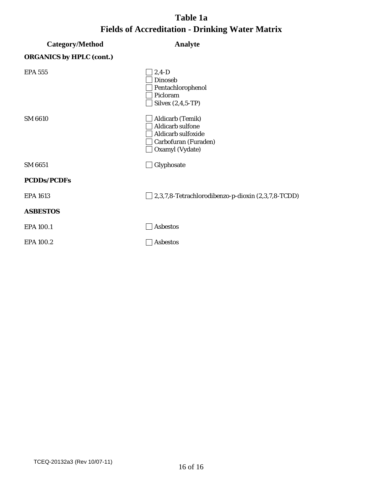| <b>Category/Method</b>          | Analyte                                                                                                             |
|---------------------------------|---------------------------------------------------------------------------------------------------------------------|
| <b>ORGANICS by HPLC (cont.)</b> |                                                                                                                     |
| <b>EPA 555</b>                  | $2,4-D$<br><b>Dinoseb</b><br>Pentachlorophenol<br>Picloram<br>Silvex (2,4,5-TP)                                     |
| <b>SM 6610</b>                  | <b>Aldicarb (Temik)</b><br><b>Aldicarb sulfone</b><br>Aldicarb sulfoxide<br>Carbofuran (Furaden)<br>Oxamyl (Vydate) |
| <b>SM 6651</b>                  | Glyphosate                                                                                                          |
| <b>PCDDs/PCDFs</b>              |                                                                                                                     |
| <b>EPA 1613</b>                 | 2,3,7,8-Tetrachlorodibenzo-p-dioxin (2,3,7,8-TCDD)                                                                  |
| <b>ASBESTOS</b>                 |                                                                                                                     |
| EPA 100.1                       | <b>Asbestos</b>                                                                                                     |
| EPA 100.2                       | <b>Asbestos</b>                                                                                                     |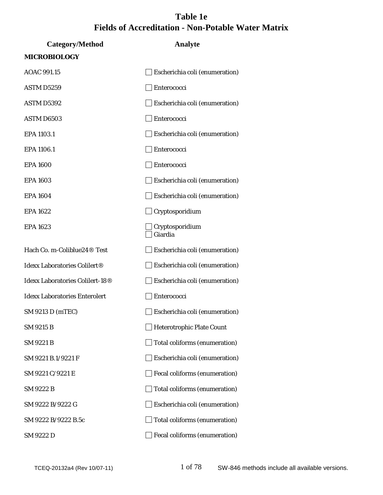| Category/Method                                   | Analyte                               |
|---------------------------------------------------|---------------------------------------|
| <b>MICROBIOLOGY</b>                               |                                       |
| <b>AOAC 991.15</b>                                | Escherichia coli (enumeration)        |
| <b>ASTM D5259</b>                                 | Enterococci                           |
| ASTM D5392                                        | Escherichia coli (enumeration)        |
| <b>ASTM D6503</b>                                 | Enterococci                           |
| EPA 1103.1                                        | Escherichia coli (enumeration)        |
| EPA 1106.1                                        | <b>Enterococci</b>                    |
| <b>EPA 1600</b>                                   | Enterococci                           |
| <b>EPA 1603</b>                                   | Escherichia coli (enumeration)        |
| <b>EPA 1604</b>                                   | Escherichia coli (enumeration)        |
| <b>EPA 1622</b>                                   | Cryptosporidium                       |
| <b>EPA 1623</b>                                   | Cryptosporidium<br>Giardia            |
| Hach Co. m-Coliblue24® Test                       | Escherichia coli (enumeration)        |
| Idexx Laboratories Colilert <sup>®</sup>          | Escherichia coli (enumeration)        |
| <b>Idexx Laboratories Colilert-18<sup>®</sup></b> | $\Box$ Escherichia coli (enumeration) |
| <b>Idexx Laboratories Enterolert</b>              | Enterococci                           |
| SM 9213 D (mTEC)                                  | Escherichia coli (enumeration)        |
| <b>SM 9215 B</b>                                  | <b>Heterotrophic Plate Count</b>      |
| SM 9221 B                                         | Total coliforms (enumeration)         |
| SM 9221 B.1/9221 F                                | Escherichia coli (enumeration)        |
| SM 9221 C/9221 E                                  | Fecal coliforms (enumeration)         |
| SM 9222 B                                         | Total coliforms (enumeration)         |
| SM 9222 B/9222 G                                  | Escherichia coli (enumeration)        |
| SM 9222 B/9222 B.5c                               | Total coliforms (enumeration)         |
| SM 9222 D                                         | Fecal coliforms (enumeration)         |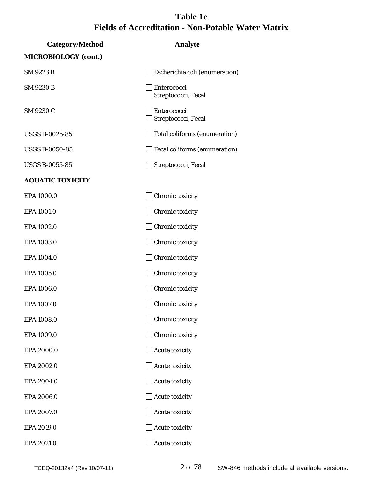| <b>Category/Method</b>  | Analyte                              |
|-------------------------|--------------------------------------|
| MICROBIOLOGY (cont.)    |                                      |
| SM 9223 B               | Escherichia coli (enumeration)       |
| <b>SM 9230 B</b>        | Enterococci<br>Streptococci, Fecal   |
| SM 9230 C               | Enterococci<br>Streptococci, Fecal   |
| <b>USGS B-0025-85</b>   | Total coliforms (enumeration)        |
| <b>USGS B-0050-85</b>   | $\Box$ Fecal coliforms (enumeration) |
| <b>USGS B-0055-85</b>   | Streptococci, Fecal                  |
| <b>AQUATIC TOXICITY</b> |                                      |
| EPA 1000.0              | Chronic toxicity                     |
| EPA 1001.0              | Chronic toxicity                     |
| EPA 1002.0              | Chronic toxicity                     |
| EPA 1003.0              | Chronic toxicity                     |
| EPA 1004.0              | Chronic toxicity                     |
| EPA 1005.0              | Chronic toxicity                     |
| EPA 1006.0              | Chronic toxicity                     |
| EPA 1007.0              | Chronic toxicity                     |
| EPA 1008.0              | Chronic toxicity                     |
| EPA 1009.0              | Chronic toxicity                     |
| EPA 2000.0              | <b>Acute toxicity</b>                |
| EPA 2002.0              | <b>Acute toxicity</b>                |
| EPA 2004.0              | <b>Acute toxicity</b>                |
| EPA 2006.0              | <b>Acute toxicity</b>                |
| EPA 2007.0              | <b>Acute toxicity</b>                |
| EPA 2019.0              | <b>Acute toxicity</b>                |
| EPA 2021.0              | <b>Acute toxicity</b>                |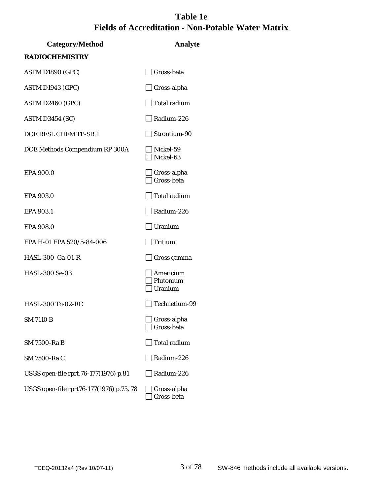| Category/Method                          | Analyte                           |
|------------------------------------------|-----------------------------------|
| <b>RADIOCHEMISTRY</b>                    |                                   |
| ASTM D1890 (GPC)                         | Gross-beta                        |
| ASTM D1943 (GPC)                         | $\bigsqcup$ Gross-alpha           |
| ASTM D2460 (GPC)                         | $\Box$ Total radium               |
| ASTM D3454 (SC)                          | Radium-226                        |
| DOE RESL CHEM TP-SR.1                    | Strontium-90                      |
| DOE Methods Compendium RP 300A           | Nickel-59<br>Nickel-63            |
| <b>EPA 900.0</b>                         | Gross-alpha<br>Gross-beta         |
| EPA 903.0                                | Total radium                      |
| EPA 903.1                                | Radium-226                        |
| <b>EPA 908.0</b>                         | Uranium                           |
| EPA H-01 EPA 520/5-84-006                | <b>Tritium</b>                    |
| HASL-300 Ga-01-R                         | ] Gross gamma                     |
| <b>HASL-300 Se-03</b>                    | Americium<br>Plutonium<br>Uranium |
| <b>HASL-300 Tc-02-RC</b>                 | Technetium-99                     |
| <b>SM 7110 B</b>                         | Gross-alpha<br>Gross-beta         |
| SM 7500-Ra B                             | <b>Total radium</b>               |
| SM 7500-Ra C                             | Radium-226                        |
| USGS open-file rprt.76-177(1976) p.81    | Radium-226                        |
| USGS open-file rprt76-177(1976) p.75, 78 | Gross-alpha<br>Gross-beta         |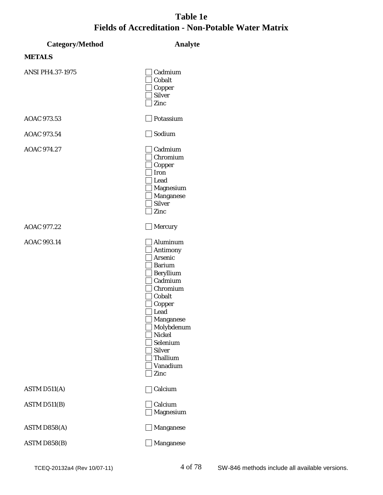| <b>Category/Method</b>  | Analyte                                                                                                                                                                                                                            |
|-------------------------|------------------------------------------------------------------------------------------------------------------------------------------------------------------------------------------------------------------------------------|
| <b>METALS</b>           |                                                                                                                                                                                                                                    |
| <b>ANSI PH4.37-1975</b> | Cadmium<br>Cobalt<br>Copper<br><b>Silver</b><br>Zinc                                                                                                                                                                               |
| <b>AOAC 973.53</b>      | Potassium                                                                                                                                                                                                                          |
| <b>AOAC 973.54</b>      | Sodium                                                                                                                                                                                                                             |
| <b>AOAC 974.27</b>      | Cadmium<br>Chromium<br>Copper<br><b>Iron</b><br>Lead<br>Magnesium<br>Manganese<br><b>Silver</b><br>Zinc                                                                                                                            |
| <b>AOAC 977.22</b>      | <b>Mercury</b>                                                                                                                                                                                                                     |
| AOAC 993.14             | Aluminum<br>Antimony<br>Arsenic<br><b>Barium</b><br><b>Beryllium</b><br>Cadmium<br>Chromium<br>Cobalt<br>Copper<br>Lead<br>  Manganese<br>Molybdenum<br><b>Nickel</b><br>Selenium<br><b>Silver</b><br>Thallium<br>Vanadium<br>Zinc |
| ASTM D511(A)            | Calcium                                                                                                                                                                                                                            |
| ASTM D511(B)            | Calcium<br>Magnesium                                                                                                                                                                                                               |
| ASTM D858(A)            | Manganese                                                                                                                                                                                                                          |
| ASTM D858(B)            | Manganese                                                                                                                                                                                                                          |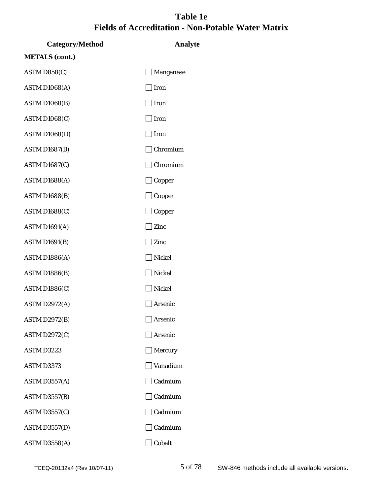| <b>Category/Method</b> | Analyte         |
|------------------------|-----------------|
| <b>METALS</b> (cont.)  |                 |
| ASTM D858(C)           | Manganese       |
| ASTM D1068(A)          | ] Iron          |
| ASTM D1068(B)          | Iron            |
| <b>ASTM D1068(C)</b>   | Iron            |
| <b>ASTM D1068(D)</b>   | Iron            |
| ASTM D1687(B)          | <b>Chromium</b> |
| ASTM D1687(C)          | <b>Chromium</b> |
| ASTM D1688(A)          | $\Box$ Copper   |
| ASTM D1688(B)          | Copper          |
| <b>ASTM D1688(C)</b>   | $\Box$ Copper   |
| ASTM D1691(A)          | Zinc            |
| ASTM D1691(B)          | Zinc            |
| ASTM D1886(A)          | Nickel          |
| ASTM D1886(B)          | Nickel          |
| <b>ASTM D1886(C)</b>   | Nickel          |
| ASTM D2972(A)          | Arsenic         |
| ASTM D2972(B)          | Arsenic         |
| <b>ASTM D2972(C)</b>   | Arsenic         |
| <b>ASTM D3223</b>      | Mercury         |
| <b>ASTM D3373</b>      | Vanadium        |
| ASTM D3557(A)          | Cadmium         |
| ASTM D3557(B)          | Cadmium         |
| ASTM D3557(C)          | Cadmium         |
| ASTM D3557(D)          | Cadmium         |
| ASTM D3558(A)          | Cobalt          |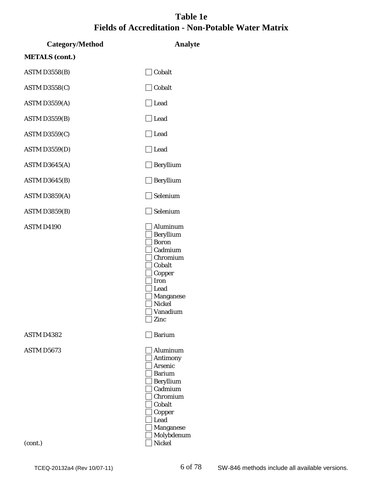| <b>Category/Method</b> | Analyte                                                                                                                                            |
|------------------------|----------------------------------------------------------------------------------------------------------------------------------------------------|
| <b>METALS</b> (cont.)  |                                                                                                                                                    |
| ASTM D3558(B)          | Cobalt                                                                                                                                             |
| ASTM D3558(C)          | Cobalt                                                                                                                                             |
| ASTM D3559(A)          | Lead                                                                                                                                               |
| ASTM D3559(B)          | Lead                                                                                                                                               |
| ASTM D3559(C)          | Lead                                                                                                                                               |
| ASTM D3559(D)          | Lead                                                                                                                                               |
| ASTM D3645(A)          | Beryllium                                                                                                                                          |
| ASTM D3645(B)          | Beryllium                                                                                                                                          |
| ASTM D3859(A)          | Selenium                                                                                                                                           |
| <b>ASTM D3859(B)</b>   | Selenium                                                                                                                                           |
| <b>ASTM D4190</b>      | Aluminum<br><b>Beryllium</b><br><b>Boron</b><br>Cadmium<br>Chromium<br>Cobalt<br>Copper<br>Iron<br>Lead<br>Manganese<br>Nickel<br>Vanadium<br>Zinc |
| <b>ASTM D4382</b>      | <b>Barium</b>                                                                                                                                      |
| <b>ASTM D5673</b>      | Aluminum<br>Antimony<br>Arsenic<br><b>Barium</b><br>Beryllium<br>Cadmium<br>Chromium<br>Cobalt<br>Copper<br>Lead<br>Manganese                      |
| (cont.)                | Molybdenum<br>Nickel                                                                                                                               |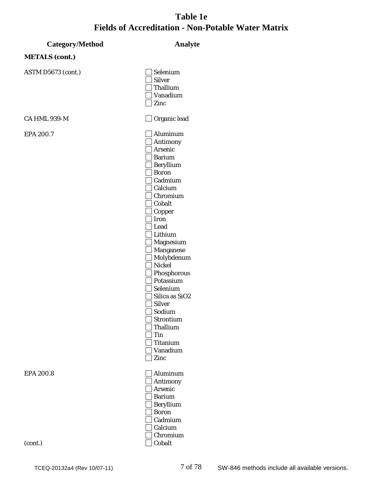| <b>Category/Method</b> | <b>Analyte</b>                                                                                                                                                                                                                                                                                                                                                                   |
|------------------------|----------------------------------------------------------------------------------------------------------------------------------------------------------------------------------------------------------------------------------------------------------------------------------------------------------------------------------------------------------------------------------|
| <b>METALS</b> (cont.)  |                                                                                                                                                                                                                                                                                                                                                                                  |
| ASTM D5673 (cont.)     | Selenium<br><b>Silver</b><br><b>Thallium</b><br>Vanadium<br>Zinc                                                                                                                                                                                                                                                                                                                 |
| CA HML 939-M           | Organic lead                                                                                                                                                                                                                                                                                                                                                                     |
| EPA 200.7              | Aluminum<br>Antimony<br>Arsenic<br>Barium<br>Beryllium<br><b>Boron</b><br>Cadmium<br>Calcium<br>Chromium<br>Cobalt<br>Copper<br>Iron<br>Lead<br>Lithium<br>Magnesium<br>Manganese<br>Molybdenum<br>Nickel<br>Phosphorous<br>Potassium<br>Selenium<br>Silica as SiO <sub>2</sub><br><b>Silver</b><br>Sodium<br>Strontium<br><b>Thallium</b><br>Tin<br><b>Titanium</b><br>Vanadium |
| <b>EPA 200.8</b>       | Zinc<br>Aluminum<br>Antimony<br><b>Arsenic</b><br><b>Barium</b><br>Beryllium<br><b>Boron</b>                                                                                                                                                                                                                                                                                     |
| (cont.)                | Cadmium<br>Calcium<br>Chromium<br>Cobalt                                                                                                                                                                                                                                                                                                                                         |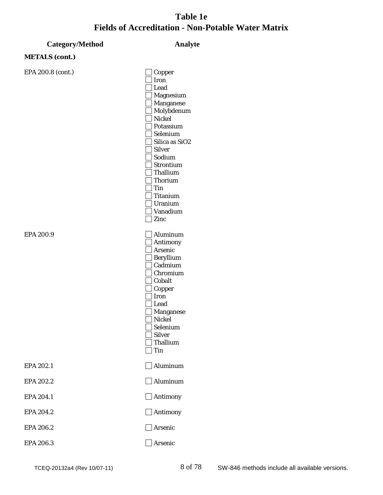| Category/Method       | <b>Analyte</b>                                                                                                                                                                                                                                                        |  |
|-----------------------|-----------------------------------------------------------------------------------------------------------------------------------------------------------------------------------------------------------------------------------------------------------------------|--|
| <b>METALS</b> (cont.) |                                                                                                                                                                                                                                                                       |  |
| EPA 200.8 (cont.)     | Copper<br>Iron<br>Lead<br>Magnesium<br>Manganese<br>Molybdenum<br>Nickel<br>Potassium<br>Selenium<br>Silica as SiO <sub>2</sub><br><b>Silver</b><br>Sodium<br>Strontium<br>Thallium<br><b>Thorium</b><br>Tin<br><b>Titanium</b><br><b>Uranium</b><br>Vanadium<br>Zinc |  |
| EPA 200.9             | Aluminum<br>Antimony<br>Arsenic<br><b>Beryllium</b><br>Cadmium<br>Chromium<br>Cobalt<br>Copper<br><b>Iron</b><br>Lead<br>$\Box$ Manganese<br>Nickel<br>Selenium<br><b>Silver</b><br>Thallium<br>Tin                                                                   |  |
| EPA 202.1             | Aluminum                                                                                                                                                                                                                                                              |  |
| EPA 202.2             | Aluminum                                                                                                                                                                                                                                                              |  |
| EPA 204.1             | Antimony                                                                                                                                                                                                                                                              |  |
| EPA 204.2             | Antimony                                                                                                                                                                                                                                                              |  |
| EPA 206.2             | Arsenic                                                                                                                                                                                                                                                               |  |
| <b>EPA 206.3</b>      | Arsenic                                                                                                                                                                                                                                                               |  |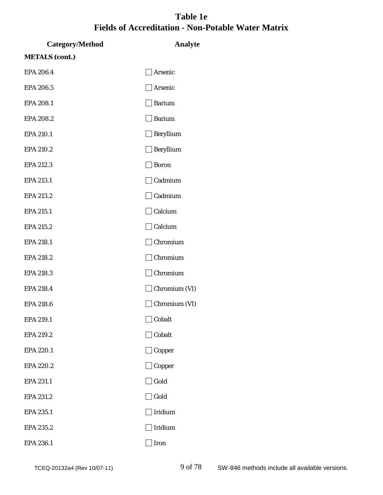| <b>Category/Method</b> | <b>Analyte</b>       |
|------------------------|----------------------|
| <b>METALS</b> (cont.)  |                      |
| EPA 206.4              | Arsenic              |
| EPA 206.5              | Arsenic              |
| EPA 208.1              | Barium               |
| EPA 208.2              | Barium               |
| EPA 210.1              | $\Box$ Beryllium     |
| EPA 210.2              | $\Box$ Beryllium     |
| EPA 212.3              | Boron                |
| EPA 213.1              | Cadmium              |
| EPA 213.2              | $\Box$ Cadmium       |
| EPA 215.1              | $\Box$ Calcium       |
| EPA 215.2              | $\Box$ Calcium       |
| EPA 218.1              | $\exists$ Chromium   |
| EPA 218.2              | $\exists$ Chromium   |
| EPA 218.3              | $\exists$ Chromium   |
| EPA 218.4              | $\Box$ Chromium (VI) |
| EPA 218.6              | Chromium (VI)        |
| EPA 219.1              | $\Box$ Cobalt        |
| EPA 219.2              | $\Box$ Cobalt        |
| EPA 220.1              | $\Box$ Copper        |
| EPA 220.2              | $\Box$ Copper        |
| EPA 231.1              | $\Box$ Gold          |
| EPA 231.2              | $\exists$ Gold       |
| EPA 235.1              | Iridium              |
| EPA 235.2              | Iridium              |
| EPA 236.1              | Iron                 |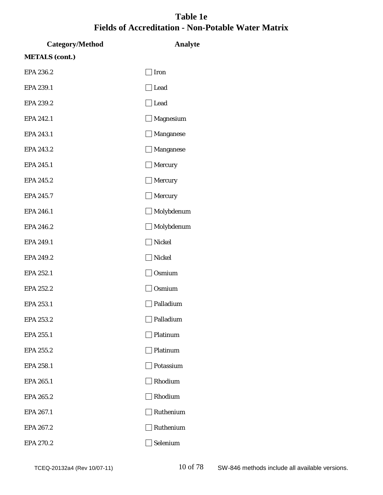| <b>Category/Method</b> | <b>Analyte</b>    |
|------------------------|-------------------|
| <b>METALS</b> (cont.)  |                   |
| EPA 236.2              | $\Box$ Iron       |
| EPA 239.1              | $\exists$ Lead    |
| EPA 239.2              | Lead              |
| EPA 242.1              | Magnesium         |
| EPA 243.1              | Manganese         |
| EPA 243.2              | Manganese         |
| EPA 245.1              | Mercury           |
| EPA 245.2              | $\Box$ Mercury    |
| EPA 245.7              | $\Box$ Mercury    |
| EPA 246.1              | $\Box$ Molybdenum |
| EPA 246.2              | $\Box$ Molybdenum |
| EPA 249.1              | $\vert$ Nickel    |
| EPA 249.2              | Nickel            |
| EPA 252.1              | Osmium            |
| EPA 252.2              | Osmium            |
| EPA 253.1              | Palladium         |
| EPA 253.2              | Palladium         |
| EPA 255.1              | $\Box$ Platinum   |
| EPA 255.2              | Platinum          |
| EPA 258.1              | Potassium         |
| EPA 265.1              | Rhodium           |
| EPA 265.2              | Rhodium           |
| EPA 267.1              | Ruthenium         |
| EPA 267.2              | Ruthenium         |
| EPA 270.2              | Selenium          |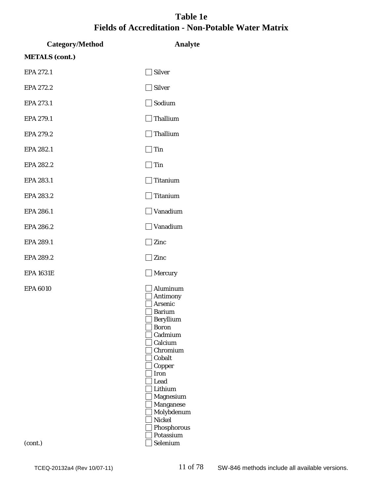| <b>Category/Method</b> | <b>Analyte</b>                                                                                                                                                                                                                                |
|------------------------|-----------------------------------------------------------------------------------------------------------------------------------------------------------------------------------------------------------------------------------------------|
| <b>METALS</b> (cont.)  |                                                                                                                                                                                                                                               |
| EPA 272.1              | Silver                                                                                                                                                                                                                                        |
| EPA 272.2              | Silver                                                                                                                                                                                                                                        |
| EPA 273.1              | Sodium                                                                                                                                                                                                                                        |
| EPA 279.1              | Thallium                                                                                                                                                                                                                                      |
| EPA 279.2              | Thallium                                                                                                                                                                                                                                      |
| EPA 282.1              | Tin                                                                                                                                                                                                                                           |
| EPA 282.2              | Tin                                                                                                                                                                                                                                           |
| EPA 283.1              | Titanium                                                                                                                                                                                                                                      |
| EPA 283.2              | Titanium                                                                                                                                                                                                                                      |
| EPA 286.1              | $\exists$ Vanadium                                                                                                                                                                                                                            |
| EPA 286.2              | Vanadium                                                                                                                                                                                                                                      |
| EPA 289.1              | Zinc                                                                                                                                                                                                                                          |
| EPA 289.2              | Zinc                                                                                                                                                                                                                                          |
| <b>EPA 1631E</b>       | Mercury                                                                                                                                                                                                                                       |
| <b>EPA 6010</b>        | Aluminum<br>Antimony<br>Arsenic<br><b>Barium</b><br><b>Beryllium</b><br><b>Boron</b><br>Cadmium<br>Calcium<br>Chromium<br>Cobalt<br>Copper<br><b>Iron</b><br>Lead<br>Lithium<br>Magnesium<br>Manganese<br>Molybdenum<br>Nickel<br>Phosphorous |
| (cont.)                | Potassium<br>Selenium                                                                                                                                                                                                                         |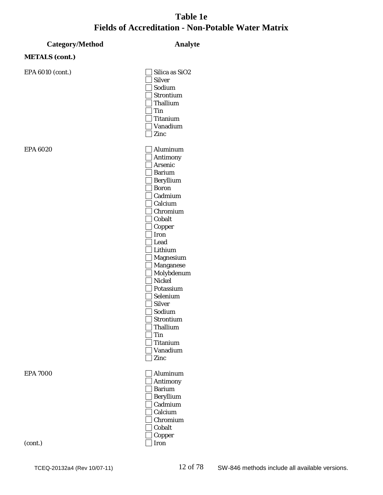| <b>Category/Method</b> | <b>Analyte</b>                                                                                                                                                                                                                                                                                                                       |
|------------------------|--------------------------------------------------------------------------------------------------------------------------------------------------------------------------------------------------------------------------------------------------------------------------------------------------------------------------------------|
| <b>METALS</b> (cont.)  |                                                                                                                                                                                                                                                                                                                                      |
| EPA 6010 (cont.)       | Silica as SiO <sub>2</sub><br><b>Silver</b><br>Sodium<br>Strontium<br>Thallium<br>Tin<br><b>Titanium</b><br>Vanadium<br>Zinc                                                                                                                                                                                                         |
| <b>EPA 6020</b>        | Aluminum<br>$\Box$ Antimony<br>Arsenic<br>Barium<br>Beryllium<br>Boron<br>Cadmium<br>Calcium<br>Chromium<br>Cobalt<br>Copper<br>Iron<br>Lead<br>Lithium<br>Magnesium<br>Manganese<br>Molybdenum<br>Nickel<br>Potassium<br>Selenium<br><b>Silver</b><br>Sodium<br>Strontium<br>Thallium<br>Tin<br><b>Titanium</b><br>Vanadium<br>Zinc |
| <b>EPA 7000</b>        | Aluminum<br>Antimony<br><b>Barium</b><br>Beryllium<br>Cadmium<br>Calcium<br>Chromium<br>Cobalt                                                                                                                                                                                                                                       |
| (cont.)                | Copper<br>Iron                                                                                                                                                                                                                                                                                                                       |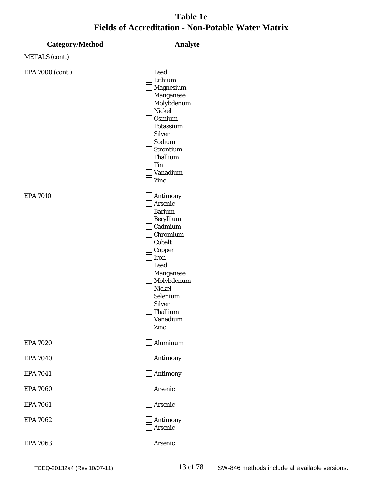| Category/Method       | Analyte                                                                                                                                                                                                                       |
|-----------------------|-------------------------------------------------------------------------------------------------------------------------------------------------------------------------------------------------------------------------------|
| <b>METALS</b> (cont.) |                                                                                                                                                                                                                               |
| EPA 7000 (cont.)      | Lead<br>Lithium<br>Magnesium<br>Manganese<br>Molybdenum<br>Nickel<br>Osmium<br>Potassium<br><b>Silver</b><br>Sodium<br>Strontium<br>Thallium<br>Tin<br>Vanadium                                                               |
| <b>EPA 7010</b>       | Zinc<br>Antimony<br><b>Arsenic</b><br>Barium<br>$\Box$ Beryllium<br>Cadmium<br>Chromium<br>Cobalt<br>Copper<br>Iron<br>Lead<br>Manganese<br>Molybdenum<br>Nickel<br>Selenium<br><b>Silver</b><br>Thallium<br>Vanadium<br>Zinc |
| <b>EPA 7020</b>       | Aluminum                                                                                                                                                                                                                      |
| <b>EPA 7040</b>       | Antimony                                                                                                                                                                                                                      |
| <b>EPA 7041</b>       | Antimony                                                                                                                                                                                                                      |
| <b>EPA 7060</b>       | Arsenic                                                                                                                                                                                                                       |
| <b>EPA 7061</b>       | Arsenic                                                                                                                                                                                                                       |
| <b>EPA 7062</b>       | Antimony<br>Arsenic                                                                                                                                                                                                           |
| <b>EPA 7063</b>       | Arsenic                                                                                                                                                                                                                       |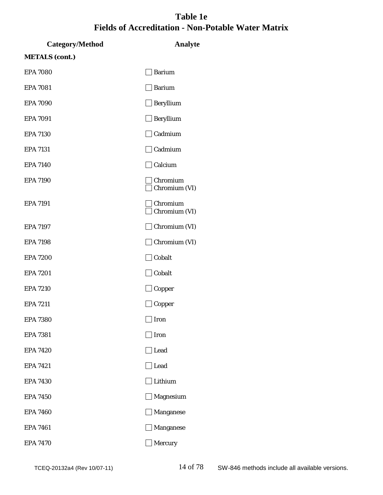| <b>Category/Method</b> | Analyte                          |
|------------------------|----------------------------------|
| <b>METALS</b> (cont.)  |                                  |
| <b>EPA 7080</b>        | Barium                           |
| <b>EPA 7081</b>        | Barium                           |
| <b>EPA 7090</b>        | Beryllium                        |
| <b>EPA 7091</b>        | Beryllium                        |
| <b>EPA 7130</b>        | Cadmium                          |
| <b>EPA 7131</b>        | Cadmium                          |
| <b>EPA 7140</b>        | Calcium                          |
| <b>EPA 7190</b>        | Chromium<br>$\Box$ Chromium (VI) |
| <b>EPA 7191</b>        | Chromium<br>$\Box$ Chromium (VI) |
| <b>EPA 7197</b>        | $\Box$ Chromium (VI)             |
| <b>EPA 7198</b>        | $\Box$ Chromium (VI)             |
| <b>EPA 7200</b>        | $\Box$ Cobalt                    |
| <b>EPA 7201</b>        | Cobalt                           |
| <b>EPA 7210</b>        | $\,$ Copper                      |
| <b>EPA 7211</b>        | Copper                           |
| <b>EPA 7380</b>        | Iron                             |
| <b>EPA 7381</b>        | Iron                             |
| <b>EPA 7420</b>        | Lead                             |
| <b>EPA 7421</b>        | Lead                             |
| <b>EPA 7430</b>        | Lithium                          |
| <b>EPA 7450</b>        | Magnesium                        |
| <b>EPA 7460</b>        | Manganese                        |
| <b>EPA 7461</b>        | Manganese                        |
| <b>EPA 7470</b>        | Mercury                          |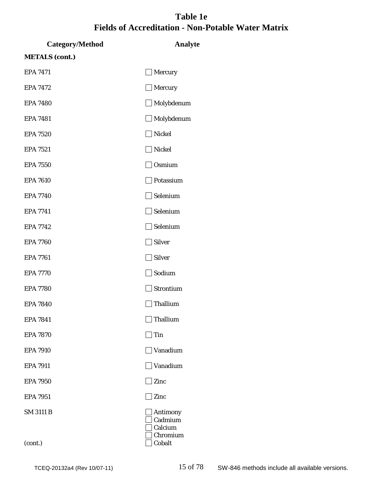| <b>Category/Method</b><br><b>METALS</b> (cont.) | Analyte                                              |
|-------------------------------------------------|------------------------------------------------------|
|                                                 |                                                      |
| <b>EPA 7471</b>                                 | Mercury                                              |
| <b>EPA 7472</b>                                 | Mercury                                              |
| <b>EPA 7480</b>                                 | $\Box$ Molybdenum                                    |
| <b>EPA 7481</b>                                 | $\Box$ Molybdenum                                    |
| <b>EPA 7520</b>                                 | Nickel                                               |
| <b>EPA 7521</b>                                 | Nickel                                               |
| <b>EPA 7550</b>                                 | Osmium                                               |
| <b>EPA 7610</b>                                 | Potassium                                            |
| <b>EPA 7740</b>                                 | $\exists$ Selenium                                   |
| <b>EPA 7741</b>                                 | Selenium                                             |
| <b>EPA 7742</b>                                 | $\Box$ Selenium                                      |
| <b>EPA 7760</b>                                 | Silver                                               |
| <b>EPA 7761</b>                                 | Silver                                               |
| <b>EPA 7770</b>                                 | Sodium                                               |
| <b>EPA 7780</b>                                 | Strontium                                            |
| <b>EPA 7840</b>                                 | Thallium                                             |
| <b>EPA 7841</b>                                 | Thallium                                             |
| <b>EPA 7870</b>                                 | Tin                                                  |
| <b>EPA 7910</b>                                 | $\Box$ Vanadium                                      |
| <b>EPA 7911</b>                                 | Vanadium                                             |
| <b>EPA 7950</b>                                 | Zinc                                                 |
| <b>EPA 7951</b>                                 | Zinc                                                 |
| <b>SM 3111 B</b><br>(cont.)                     | Antimony<br>Cadmium<br>Calcium<br>Chromium<br>Cobalt |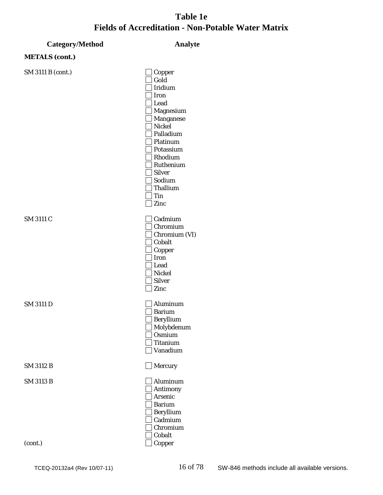| <b>Category/Method</b> | <b>Analyte</b>                                                                                                                                                                                           |
|------------------------|----------------------------------------------------------------------------------------------------------------------------------------------------------------------------------------------------------|
| <b>METALS</b> (cont.)  |                                                                                                                                                                                                          |
| SM 3111 B (cont.)      | Copper<br>Gold<br>Iridium<br><b>Iron</b><br>Lead<br>Magnesium<br>Manganese<br>Nickel<br>Palladium<br>Platinum<br>Potassium<br>Rhodium<br>Ruthenium<br><b>Silver</b><br>Sodium<br>Thallium<br>Tin<br>Zinc |
| <b>SM 3111 C</b>       | Cadmium<br>Chromium<br>Chromium (VI)<br>Cobalt<br>Copper<br>Iron<br>Lead<br>Nickel<br><b>Silver</b><br>Zinc                                                                                              |
| <b>SM 3111 D</b>       | Aluminum<br><b>Barium</b><br>Beryllium<br>Molybdenum<br>Osmium<br><b>Titanium</b><br>Vanadium                                                                                                            |
| <b>SM 3112 B</b>       | Mercury                                                                                                                                                                                                  |
| <b>SM 3113 B</b>       | Aluminum<br>Antimony<br>Arsenic<br><b>Barium</b><br><b>Beryllium</b><br>Cadmium<br>Chromium<br>Cobalt                                                                                                    |
| (cont.)                | Copper                                                                                                                                                                                                   |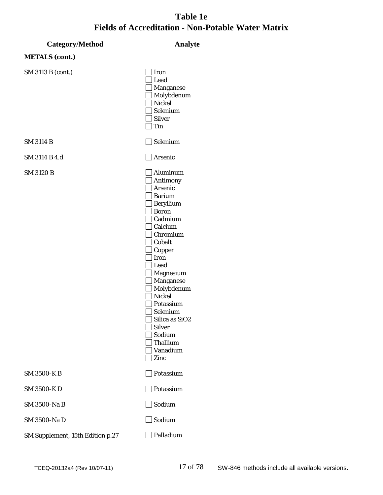| <b>Category/Method</b>           | Analyte                                                                                                                                                                                                                                                                                                                                               |
|----------------------------------|-------------------------------------------------------------------------------------------------------------------------------------------------------------------------------------------------------------------------------------------------------------------------------------------------------------------------------------------------------|
| <b>METALS</b> (cont.)            |                                                                                                                                                                                                                                                                                                                                                       |
| SM 3113 B (cont.)                | Iron<br>Lead<br><b>Manganese</b><br>Molybdenum<br>Nickel<br>Selenium<br><b>Silver</b><br>Tin                                                                                                                                                                                                                                                          |
| <b>SM 3114 B</b>                 | Selenium                                                                                                                                                                                                                                                                                                                                              |
| SM 3114 B 4.d                    | Arsenic                                                                                                                                                                                                                                                                                                                                               |
| <b>SM 3120 B</b>                 | Aluminum<br>Antimony<br>Arsenic<br><b>Barium</b><br><b>Beryllium</b><br><b>Boron</b><br>Cadmium<br>Calcium<br><b>Chromium</b><br>Cobalt<br>Copper<br><b>Iron</b><br>Lead<br>  Magnesium<br>Manganese<br>Molybdenum<br>Nickel<br>Potassium<br>Selenium<br>Silica as SiO <sub>2</sub><br><b>Silver</b><br>Sodium<br><b>Thallium</b><br>Vanadium<br>Zinc |
| <b>SM 3500-KB</b>                | Potassium                                                                                                                                                                                                                                                                                                                                             |
| SM 3500-KD                       | Potassium                                                                                                                                                                                                                                                                                                                                             |
| SM 3500-Na B                     | Sodium                                                                                                                                                                                                                                                                                                                                                |
| SM 3500-Na D                     | Sodium                                                                                                                                                                                                                                                                                                                                                |
| SM Supplement, 15th Edition p.27 | Palladium                                                                                                                                                                                                                                                                                                                                             |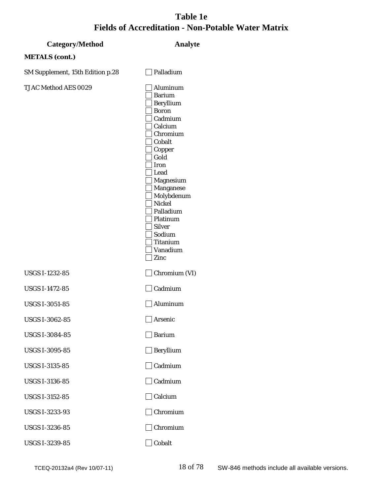| <u>ul Alect culturiuli - Twil-I utuble</u> |                                                                                                                                                                                                                                                                                   |  |
|--------------------------------------------|-----------------------------------------------------------------------------------------------------------------------------------------------------------------------------------------------------------------------------------------------------------------------------------|--|
| <b>Category/Method</b>                     | <b>Analyte</b>                                                                                                                                                                                                                                                                    |  |
| <b>METALS</b> (cont.)                      |                                                                                                                                                                                                                                                                                   |  |
| SM Supplement, 15th Edition p.28           | Palladium                                                                                                                                                                                                                                                                         |  |
| TJAC Method AES 0029                       | Aluminum<br><b>Barium</b><br>Beryllium<br><b>Boron</b><br>Cadmium<br>Calcium<br>Chromium<br>Cobalt<br>Copper<br>Gold<br>Iron<br>Lead<br>Magnesium<br>Manganese<br>Molybdenum<br>Nickel<br>Palladium<br>Platinum<br><b>Silver</b><br>Sodium<br><b>Titanium</b><br>Vanadium<br>Zinc |  |
| <b>USGS I-1232-85</b>                      | Chromium (VI)                                                                                                                                                                                                                                                                     |  |
| <b>USGS I-1472-85</b>                      | Cadmium                                                                                                                                                                                                                                                                           |  |
| <b>USGS I-3051-85</b>                      | Aluminum                                                                                                                                                                                                                                                                          |  |
| <b>USGS I-3062-85</b>                      | Arsenic                                                                                                                                                                                                                                                                           |  |
| <b>USGS I-3084-85</b>                      | <b>Barium</b>                                                                                                                                                                                                                                                                     |  |
| <b>USGS I-3095-85</b>                      | Beryllium                                                                                                                                                                                                                                                                         |  |
| <b>USGS I-3135-85</b>                      | Cadmium                                                                                                                                                                                                                                                                           |  |
| <b>USGS I-3136-85</b>                      | Cadmium                                                                                                                                                                                                                                                                           |  |
| <b>USGS I-3152-85</b>                      | Calcium                                                                                                                                                                                                                                                                           |  |
| <b>USGS I-3233-93</b>                      | Chromium                                                                                                                                                                                                                                                                          |  |
| <b>USGS I-3236-85</b>                      | Chromium                                                                                                                                                                                                                                                                          |  |
| <b>USGS I-3239-85</b>                      | Cobalt                                                                                                                                                                                                                                                                            |  |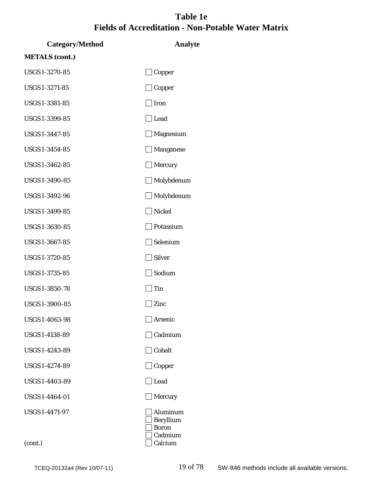| <b>Category/Method</b>           | Analyte                                                     |
|----------------------------------|-------------------------------------------------------------|
| <b>METALS</b> (cont.)            |                                                             |
| <b>USGS I-3270-85</b>            | $\bigsqcup$ Copper                                          |
| <b>USGS I-3271-85</b>            | $\Box$ Copper                                               |
| <b>USGS I-3381-85</b>            | Iron                                                        |
| <b>USGS I-3399-85</b>            | Lead                                                        |
| <b>USGS I-3447-85</b>            | $\Box$ Magnesium                                            |
| <b>USGS I-3454-85</b>            | Manganese                                                   |
| <b>USGS I-3462-85</b>            | Mercury                                                     |
| <b>USGS I-3490-85</b>            | $\Box$ Molybdenum                                           |
| <b>USGS I-3492-96</b>            | Molybdenum                                                  |
| <b>USGS I-3499-85</b>            | Nickel                                                      |
| <b>USGS I-3630-85</b>            | Potassium                                                   |
| <b>USGS I-3667-85</b>            | Selenium                                                    |
| <b>USGS I-3720-85</b>            | <b>Silver</b>                                               |
| <b>USGS I-3735-85</b>            | Sodium                                                      |
| <b>USGS I-3850-78</b>            | Tin                                                         |
| <b>USGS I-3900-85</b>            | Zinc                                                        |
| <b>USGS I-4063-98</b>            | Arsenic                                                     |
| <b>USGS I-4138-89</b>            | Cadmium                                                     |
| <b>USGS I-4243-89</b>            | Cobalt                                                      |
| <b>USGS I-4274-89</b>            | Copper                                                      |
| <b>USGS I-4403-89</b>            | Lead                                                        |
| <b>USGS I-4464-01</b>            | Mercury                                                     |
| <b>USGS I-4471-97</b><br>(cont.) | Aluminum<br>Beryllium<br><b>Boron</b><br>Cadmium<br>Calcium |
|                                  |                                                             |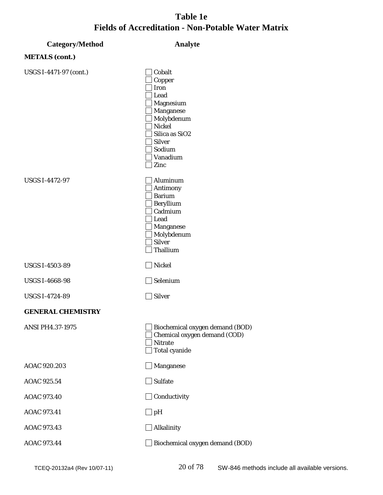| Category/Method          | Analyte                                                                                                                                                         |
|--------------------------|-----------------------------------------------------------------------------------------------------------------------------------------------------------------|
| <b>METALS</b> (cont.)    |                                                                                                                                                                 |
| USGS I-4471-97 (cont.)   | Cobalt<br>Copper<br>Iron<br>Lead<br>Magnesium<br>Manganese<br>Molybdenum<br>Nickel<br>Silica as SiO <sub>2</sub><br><b>Silver</b><br>Sodium<br>Vanadium<br>Zinc |
| <b>USGS I-4472-97</b>    | Aluminum<br>Antimony<br><b>Barium</b><br><b>Beryllium</b><br>Cadmium<br>Lead<br>Manganese<br>Molybdenum<br><b>Silver</b><br>Thallium                            |
| <b>USGS I-4503-89</b>    | Nickel                                                                                                                                                          |
| <b>USGS I-4668-98</b>    | Selenium                                                                                                                                                        |
| <b>USGS I-4724-89</b>    | <b>Silver</b>                                                                                                                                                   |
| <b>GENERAL CHEMISTRY</b> |                                                                                                                                                                 |
| <b>ANSI PH4.37-1975</b>  | Biochemical oxygen demand (BOD)<br>Chemical oxygen demand (COD)<br>Nitrate<br>Total cyanide                                                                     |
| AOAC 920.203             | Manganese                                                                                                                                                       |
| <b>AOAC 925.54</b>       | Sulfate                                                                                                                                                         |
| AOAC 973.40              | Conductivity                                                                                                                                                    |
| AOAC 973.41              | $\Box$ pH                                                                                                                                                       |
| AOAC 973.43              | Alkalinity                                                                                                                                                      |
| AOAC 973.44              | Biochemical oxygen demand (BOD)                                                                                                                                 |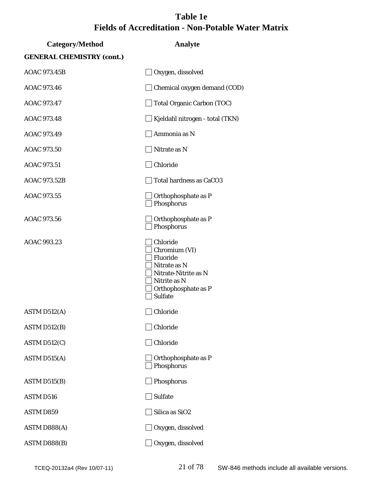| Category/Method                  | Analyte                                                                                                                                |
|----------------------------------|----------------------------------------------------------------------------------------------------------------------------------------|
| <b>GENERAL CHEMISTRY (cont.)</b> |                                                                                                                                        |
| <b>AOAC 973.45B</b>              | Oxygen, dissolved                                                                                                                      |
| AOAC 973.46                      | Chemical oxygen demand (COD)                                                                                                           |
| AOAC 973.47                      | Total Organic Carbon (TOC)                                                                                                             |
| <b>AOAC 973.48</b>               | Kjeldahl nitrogen - total (TKN)                                                                                                        |
| AOAC 973.49                      | Ammonia as N                                                                                                                           |
| AOAC 973.50                      | Nitrate as N                                                                                                                           |
| AOAC 973.51                      | Chloride                                                                                                                               |
| <b>AOAC 973.52B</b>              | <b>Total hardness as CaCO3</b>                                                                                                         |
| AOAC 973.55                      | Orthophosphate as P<br>Phosphorus                                                                                                      |
| AOAC 973.56                      | Orthophosphate as P<br>Phosphorus                                                                                                      |
| AOAC 993.23                      | Chloride<br>Chromium (VI)<br>Fluoride<br>Nitrate as N<br>Nitrate-Nitrite as N<br>Nitrite as N<br>Orthophosphate as P<br><b>Sulfate</b> |
| ASTM D512(A)                     | Chloride                                                                                                                               |
| ASTM D512(B)                     | Chloride                                                                                                                               |
| ASTM D512(C)                     | Chloride                                                                                                                               |
| ASTM D515(A)                     | Orthophosphate as P<br>Phosphorus                                                                                                      |
| ASTM D515(B)                     | Phosphorus                                                                                                                             |
| <b>ASTM D516</b>                 | <b>Sulfate</b>                                                                                                                         |
| <b>ASTM D859</b>                 | Silica as SiO <sub>2</sub>                                                                                                             |
| ASTM D888(A)                     | Oxygen, dissolved                                                                                                                      |
| ASTM D888(B)                     | Oxygen, dissolved                                                                                                                      |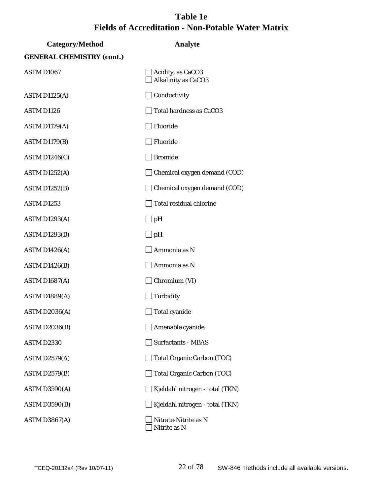| <b>Category/Method</b>           | <b>Analyte</b>                           |
|----------------------------------|------------------------------------------|
| <b>GENERAL CHEMISTRY (cont.)</b> |                                          |
| <b>ASTM D1067</b>                | Acidity, as CaCO3<br>Alkalinity as CaCO3 |
| ASTM D1125(A)                    | Conductivity                             |
| <b>ASTM D1126</b>                | Total hardness as CaCO3                  |
| ASTM D1179(A)                    | Fluoride                                 |
| ASTM D1179(B)                    | Fluoride                                 |
| ASTM D1246(C)                    | <b>Bromide</b>                           |
| ASTM D1252(A)                    | $\Box$ Chemical oxygen demand (COD)      |
| <b>ASTM D1252(B)</b>             | Chemical oxygen demand (COD)             |
| ASTM D1253                       | Total residual chlorine                  |
| ASTM D1293(A)                    | $\Box$ pH                                |
| <b>ASTM D1293(B)</b>             | $\Box$ pH                                |
| ASTM D1426(A)                    | Ammonia as N                             |
| ASTM D1426(B)                    | Ammonia as N                             |
| ASTM D1687(A)                    | Chromium (VI)                            |
| ASTM D1889(A)                    | Turbidity                                |
| ASTM D2036(A)                    | Total cyanide                            |
| ASTM D2036(B)                    | Amenable cyanide                         |
| ASTM D2330                       | <b>Surfactants - MBAS</b>                |
| ASTM D2579(A)                    | <b>Total Organic Carbon (TOC)</b>        |
| ASTM D2579(B)                    | <b>Total Organic Carbon (TOC)</b>        |
| ASTM D3590(A)                    | Kjeldahl nitrogen - total (TKN)          |
| ASTM D3590(B)                    | Kjeldahl nitrogen - total (TKN)          |
| ASTM D3867(A)                    | Nitrate-Nitrite as N<br>Nitrite as N     |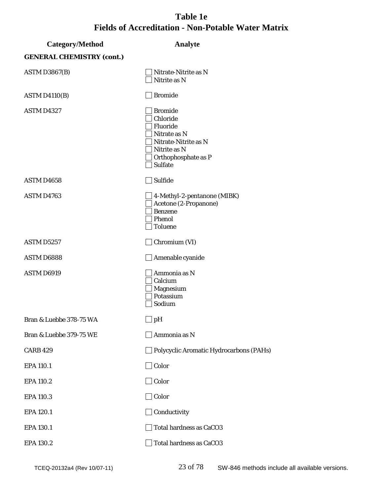| Category/Method                  | <b>Analyte</b>                                                                                                                                 |
|----------------------------------|------------------------------------------------------------------------------------------------------------------------------------------------|
| <b>GENERAL CHEMISTRY (cont.)</b> |                                                                                                                                                |
| ASTM D3867(B)                    | Nitrate-Nitrite as N<br>Nitrite as N                                                                                                           |
| <b>ASTM D4110(B)</b>             | <b>Bromide</b>                                                                                                                                 |
| ASTM D4327                       | <b>Bromide</b><br>Chloride<br>Fluoride<br>Nitrate as N<br>Nitrate-Nitrite as N<br>Nitrite as N<br>$\Box$ Orthophosphate as P<br><b>Sulfate</b> |
| ASTM D4658                       | Sulfide                                                                                                                                        |
| ASTM D4763                       | $\Box$ 4-Methyl-2-pentanone (MIBK)<br>Acetone (2-Propanone)<br><b>Benzene</b><br>Phenol<br><b>Toluene</b>                                      |
| ASTM D5257                       | Chromium (VI)                                                                                                                                  |
| ASTM D6888                       | Amenable cyanide                                                                                                                               |
| <b>ASTM D6919</b>                | Ammonia as N<br>Calcium<br>Magnesium<br>Potassium<br>Sodium                                                                                    |
| Bran & Luebbe 378-75 WA          | pH                                                                                                                                             |
| Bran & Luebbe 379-75 WE          | Ammonia as N                                                                                                                                   |
| <b>CARB 429</b>                  | Polycyclic Aromatic Hydrocarbons (PAHs)                                                                                                        |
| EPA 110.1                        | Color                                                                                                                                          |
| <b>EPA 110.2</b>                 | Color                                                                                                                                          |
| <b>EPA 110.3</b>                 | Color                                                                                                                                          |
| EPA 120.1                        | Conductivity                                                                                                                                   |
| EPA 130.1                        | <b>Total hardness as CaCO3</b>                                                                                                                 |
| EPA 130.2                        | Total hardness as CaCO3                                                                                                                        |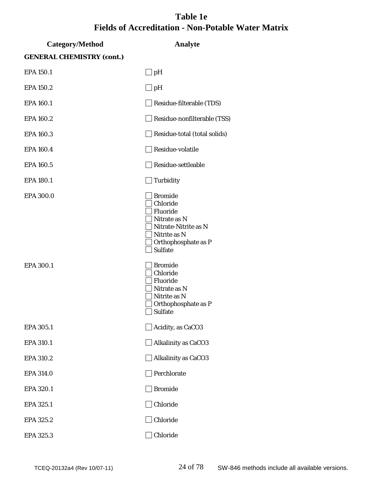| <b>Category/Method</b>           | <b>Analyte</b>                                                                                                                          |
|----------------------------------|-----------------------------------------------------------------------------------------------------------------------------------------|
| <b>GENERAL CHEMISTRY (cont.)</b> |                                                                                                                                         |
| <b>EPA 150.1</b>                 | $\vert$ pH                                                                                                                              |
| EPA 150.2                        | $\lfloor$ pH                                                                                                                            |
| EPA 160.1                        | Residue-filterable (TDS)                                                                                                                |
| EPA 160.2                        | Residue-nonfilterable (TSS)                                                                                                             |
| <b>EPA 160.3</b>                 | Residue-total (total solids)                                                                                                            |
| <b>EPA 160.4</b>                 | Residue-volatile                                                                                                                        |
| <b>EPA 160.5</b>                 | Residue-settleable                                                                                                                      |
| EPA 180.1                        | Turbidity                                                                                                                               |
| <b>EPA 300.0</b>                 | <b>Bromide</b><br>Chloride<br>Fluoride<br>Nitrate as N<br>Nitrate-Nitrite as N<br>Nitrite as N<br>Orthophosphate as P<br><b>Sulfate</b> |
| <b>EPA 300.1</b>                 | <b>Bromide</b><br>Chloride<br>Fluoride<br>Nitrate as N<br>Nitrite as N<br>Orthophosphate as P<br><b>Sulfate</b>                         |
| EPA 305.1                        | Acidity, as CaCO3                                                                                                                       |
| EPA 310.1                        | <b>Alkalinity as CaCO3</b>                                                                                                              |
| EPA 310.2                        | Alkalinity as CaCO3                                                                                                                     |
| EPA 314.0                        | <b>Perchlorate</b>                                                                                                                      |
| EPA 320.1                        | <b>Bromide</b>                                                                                                                          |
| EPA 325.1                        | Chloride                                                                                                                                |
| EPA 325.2                        | Chloride                                                                                                                                |
| EPA 325.3                        | Chloride                                                                                                                                |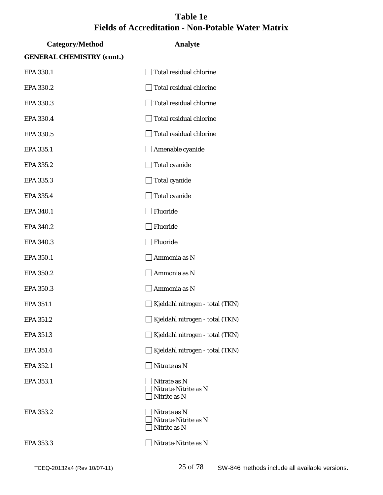| <b>Category/Method</b>           | Analyte                                              |
|----------------------------------|------------------------------------------------------|
| <b>GENERAL CHEMISTRY (cont.)</b> |                                                      |
| EPA 330.1                        | <b>Total residual chlorine</b>                       |
| EPA 330.2                        | Total residual chlorine                              |
| <b>EPA 330.3</b>                 | Total residual chlorine                              |
| EPA 330.4                        | Total residual chlorine                              |
| EPA 330.5                        | Total residual chlorine                              |
| EPA 335.1                        | $\Box$ Amenable cyanide                              |
| EPA 335.2                        | Total cyanide                                        |
| EPA 335.3                        | $\Box$ Total cyanide                                 |
| EPA 335.4                        | Total cyanide                                        |
| EPA 340.1                        | Fluoride                                             |
| EPA 340.2                        | Fluoride                                             |
| EPA 340.3                        | Fluoride                                             |
| EPA 350.1                        | Ammonia as N                                         |
| EPA 350.2                        | Ammonia as N                                         |
| EPA 350.3                        | Ammonia as N                                         |
| EPA 351.1                        | Kjeldahl nitrogen - total (TKN)                      |
| EPA 351.2                        | Kjeldahl nitrogen - total (TKN)                      |
| EPA 351.3                        | Kjeldahl nitrogen - total (TKN)                      |
| EPA 351.4                        | $\Box$ Kjeldahl nitrogen - total (TKN)               |
| EPA 352.1                        | Nitrate as N                                         |
| EPA 353.1                        | Nitrate as N<br>Nitrate-Nitrite as N<br>Nitrite as N |
| EPA 353.2                        | Nitrate as N<br>Nitrate-Nitrite as N<br>Nitrite as N |
| EPA 353.3                        | Nitrate-Nitrite as N                                 |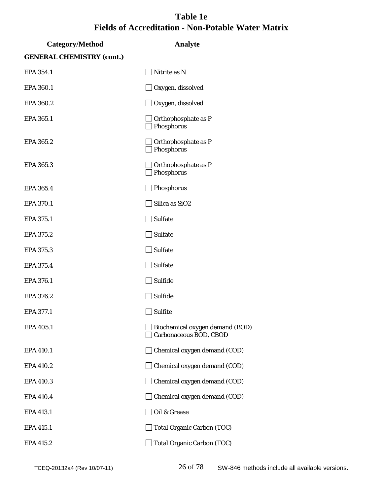| Category/Method                  | <b>Analyte</b>                                            |
|----------------------------------|-----------------------------------------------------------|
| <b>GENERAL CHEMISTRY (cont.)</b> |                                                           |
| EPA 354.1                        | Nitrite as N                                              |
| EPA 360.1                        | Oxygen, dissolved                                         |
| EPA 360.2                        | Oxygen, dissolved                                         |
| EPA 365.1                        | Orthophosphate as P<br>Phosphorus                         |
| EPA 365.2                        | Orthophosphate as P<br>Phosphorus                         |
| EPA 365.3                        | Orthophosphate as P<br>Phosphorus                         |
| EPA 365.4                        | Phosphorus                                                |
| EPA 370.1                        | Silica as SiO <sub>2</sub>                                |
| EPA 375.1                        | Sulfate                                                   |
| EPA 375.2                        | Sulfate                                                   |
| EPA 375.3                        | Sulfate                                                   |
| EPA 375.4                        | Sulfate                                                   |
| EPA 376.1                        | Sulfide                                                   |
| EPA 376.2                        | Sulfide                                                   |
| EPA 377.1                        | <b>Sulfite</b>                                            |
| EPA 405.1                        | Biochemical oxygen demand (BOD)<br>Carbonaceous BOD, CBOD |
| EPA 410.1                        | Chemical oxygen demand (COD)                              |
| EPA 410.2                        | Chemical oxygen demand (COD)                              |
| <b>EPA 410.3</b>                 | Chemical oxygen demand (COD)                              |
| EPA 410.4                        | Chemical oxygen demand (COD)                              |
| EPA 413.1                        | Oil & Grease                                              |
| EPA 415.1                        | <b>Total Organic Carbon (TOC)</b>                         |
| EPA 415.2                        | <b>Total Organic Carbon (TOC)</b>                         |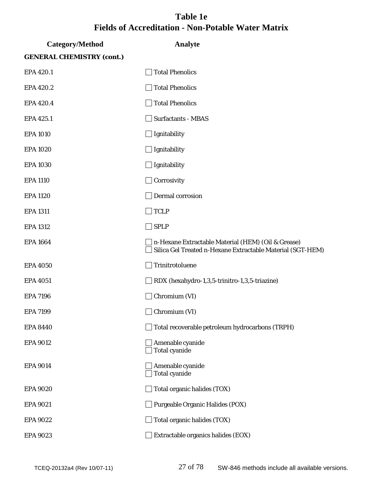| <b>Category/Method</b>           | Analyte                                                                                                          |
|----------------------------------|------------------------------------------------------------------------------------------------------------------|
| <b>GENERAL CHEMISTRY (cont.)</b> |                                                                                                                  |
| EPA 420.1                        | <b>Total Phenolics</b>                                                                                           |
| EPA 420.2                        | <b>Total Phenolics</b>                                                                                           |
| EPA 420.4                        | <b>Total Phenolics</b>                                                                                           |
| EPA 425.1                        | <b>Surfactants - MBAS</b>                                                                                        |
| <b>EPA 1010</b>                  | $\Box$ Ignitability                                                                                              |
| <b>EPA 1020</b>                  | $\Box$ Ignitability                                                                                              |
| <b>EPA 1030</b>                  | $\Box$ Ignitability                                                                                              |
| <b>EPA 1110</b>                  | $\Box$ Corrosivity                                                                                               |
| <b>EPA 1120</b>                  | Dermal corrosion                                                                                                 |
| <b>EPA 1311</b>                  | <b>TCLP</b>                                                                                                      |
| <b>EPA 1312</b>                  | <b>SPLP</b>                                                                                                      |
| <b>EPA 1664</b>                  | n-Hexane Extractable Material (HEM) (Oil & Grease)<br>Silica Gel Treated n-Hexane Extractable Material (SGT-HEM) |
| <b>EPA 4050</b>                  | Trinitrotoluene                                                                                                  |
| <b>EPA 4051</b>                  | RDX (hexahydro-1,3,5-trinitro-1,3,5-triazine)                                                                    |
| <b>EPA 7196</b>                  | Chromium (VI)                                                                                                    |
| <b>EPA 7199</b>                  | Chromium (VI)                                                                                                    |
| <b>EPA 8440</b>                  | Total recoverable petroleum hydrocarbons (TRPH)                                                                  |
| <b>EPA 9012</b>                  | Amenable cyanide<br>Total cyanide                                                                                |
| <b>EPA 9014</b>                  | Amenable cyanide<br><b>Total cyanide</b>                                                                         |
| <b>EPA 9020</b>                  | $\Box$ Total organic halides (TOX)                                                                               |
| <b>EPA 9021</b>                  | $\Box$ Purgeable Organic Halides (POX)                                                                           |
| <b>EPA 9022</b>                  | Total organic halides (TOX)                                                                                      |
| <b>EPA 9023</b>                  | Extractable organics halides (EOX)                                                                               |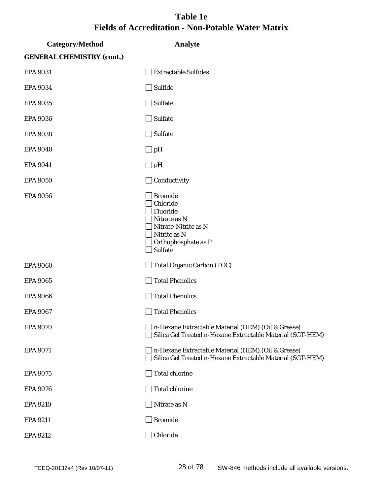| <b>Category/Method</b>           | Analyte                                                                                                                                 |
|----------------------------------|-----------------------------------------------------------------------------------------------------------------------------------------|
| <b>GENERAL CHEMISTRY (cont.)</b> |                                                                                                                                         |
| <b>EPA 9031</b>                  | <b>Extractable Sulfides</b>                                                                                                             |
| <b>EPA 9034</b>                  | Sulfide                                                                                                                                 |
| <b>EPA 9035</b>                  | Sulfate                                                                                                                                 |
| <b>EPA 9036</b>                  | Sulfate                                                                                                                                 |
| <b>EPA 9038</b>                  | $\Box$ Sulfate                                                                                                                          |
| <b>EPA 9040</b>                  | $\Box$ pH                                                                                                                               |
| <b>EPA 9041</b>                  | $\Box$ pH                                                                                                                               |
| <b>EPA 9050</b>                  | Conductivity                                                                                                                            |
| <b>EPA 9056</b>                  | <b>Bromide</b><br>Chloride<br>Fluoride<br>Nitrate as N<br>Nitrate-Nitrite as N<br>Nitrite as N<br>Orthophosphate as P<br><b>Sulfate</b> |
| <b>EPA 9060</b>                  | Total Organic Carbon (TOC)                                                                                                              |
| <b>EPA 9065</b>                  | <b>Total Phenolics</b>                                                                                                                  |
| <b>EPA 9066</b>                  | <b>Total Phenolics</b>                                                                                                                  |
| <b>EPA 9067</b>                  | <b>Total Phenolics</b>                                                                                                                  |
| <b>EPA 9070</b>                  | n-Hexane Extractable Material (HEM) (Oil & Grease)<br>Silica Gel Treated n-Hexane Extractable Material (SGT-HEM)                        |
| <b>EPA 9071</b>                  | n-Hexane Extractable Material (HEM) (Oil & Grease)<br>Silica Gel Treated n-Hexane Extractable Material (SGT-HEM)                        |
| <b>EPA 9075</b>                  | Total chlorine                                                                                                                          |
| <b>EPA 9076</b>                  | $\Box$ Total chlorine                                                                                                                   |
| <b>EPA 9210</b>                  | Nitrate as N                                                                                                                            |
| <b>EPA 9211</b>                  | <b>Bromide</b>                                                                                                                          |
| <b>EPA 9212</b>                  | Chloride                                                                                                                                |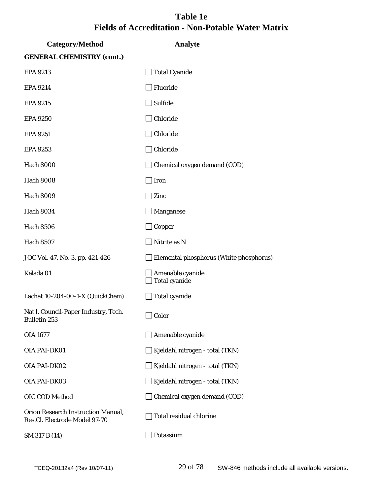| <b>Category/Method</b>                                                     | <b>Analyte</b>                                 |
|----------------------------------------------------------------------------|------------------------------------------------|
| <b>GENERAL CHEMISTRY (cont.)</b>                                           |                                                |
| <b>EPA 9213</b>                                                            | <b>Total Cyanide</b>                           |
| <b>EPA 9214</b>                                                            | Fluoride                                       |
| <b>EPA 9215</b>                                                            | <b>Sulfide</b>                                 |
| <b>EPA 9250</b>                                                            | Chloride                                       |
| <b>EPA 9251</b>                                                            | <b>Chloride</b>                                |
| <b>EPA 9253</b>                                                            | Chloride                                       |
| <b>Hach 8000</b>                                                           | Chemical oxygen demand (COD)<br>$\blacksquare$ |
| <b>Hach 8008</b>                                                           | $\sqrt{\frac{1}{1}}$ Iron                      |
| <b>Hach 8009</b>                                                           | Zinc                                           |
| <b>Hach 8034</b>                                                           | Manganese                                      |
| <b>Hach 8506</b>                                                           | Copper                                         |
| <b>Hach 8507</b>                                                           | Nitrite as N                                   |
| JOC Vol. 47, No. 3, pp. 421-426                                            | Elemental phosphorus (White phosphorus)        |
| Kelada 01                                                                  | Amenable cyanide<br><b>Total cyanide</b>       |
| Lachat 10-204-00-1-X (QuickChem)                                           | <b>Total cyanide</b>                           |
| Nat'l. Council-Paper Industry, Tech.<br><b>Bulletin 253</b>                | Color                                          |
| <b>OIA 1677</b>                                                            | Amenable cyanide                               |
| OIA PAI-DK01                                                               | Kjeldahl nitrogen - total (TKN)                |
| OIA PAI-DK02                                                               | $\Box$ Kjeldahl nitrogen - total (TKN)         |
| OIA PAI-DK03                                                               | $\Box$ Kjeldahl nitrogen - total (TKN)         |
| OIC COD Method                                                             | $\Box$ Chemical oxygen demand (COD)            |
| <b>Orion Research Instruction Manual,</b><br>Res.Cl. Electrode Model 97-70 | Total residual chlorine                        |
| SM 317 B (14)                                                              | Potassium                                      |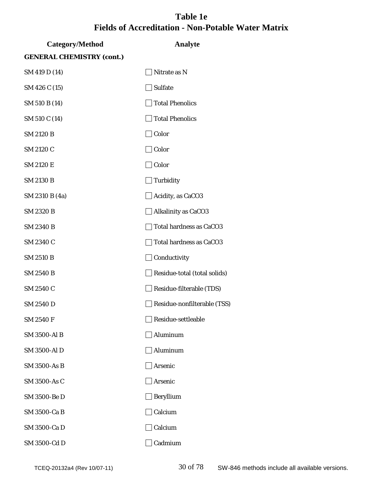| Category/Method                  | <b>Analyte</b>               |
|----------------------------------|------------------------------|
| <b>GENERAL CHEMISTRY (cont.)</b> |                              |
| SM 419 D (14)                    | Nitrate as N                 |
| SM 426 C (15)                    | Sulfate                      |
| SM 510 B (14)                    | <b>Total Phenolics</b>       |
| SM 510 C (14)                    | <b>Total Phenolics</b>       |
| SM 2120 B                        | Color                        |
| SM 2120 C                        | Color                        |
| <b>SM 2120 E</b>                 | Color                        |
| <b>SM 2130 B</b>                 | $\Box$ Turbidity             |
| SM 2310 B (4a)                   | Acidity, as CaCO3            |
| <b>SM 2320 B</b>                 | <b>Alkalinity as CaCO3</b>   |
| <b>SM 2340 B</b>                 | Total hardness as CaCO3      |
| SM 2340 C                        | Total hardness as CaCO3      |
| <b>SM 2510 B</b>                 | Conductivity                 |
| SM 2540 B                        | Residue-total (total solids) |
| SM 2540 C                        | Residue-filterable (TDS)     |
| SM 2540 D                        | Residue-nonfilterable (TSS)  |
| SM 2540 F                        | $\fbox{Residue-set}$         |
| <b>SM 3500-Al B</b>              | Aluminum                     |
| <b>SM 3500-Al D</b>              | Aluminum                     |
| <b>SM 3500-As B</b>              | Arsenic                      |
| SM 3500-As C                     | Arsenic                      |
| SM 3500-Be D                     | <b>Beryllium</b>             |
| SM 3500-Ca B                     | Calcium                      |
| SM 3500-Ca D                     | Calcium                      |
| SM 3500-Cd D                     | Cadmium                      |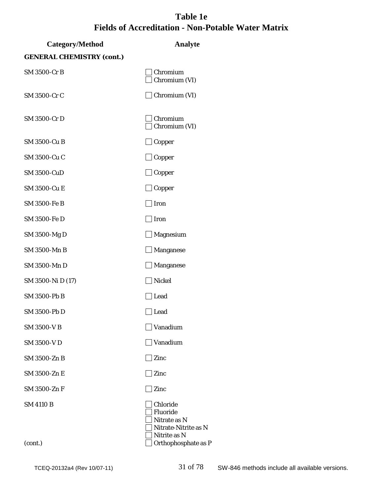| <b>Category/Method</b>           | <b>Analyte</b>                                                                                      |
|----------------------------------|-----------------------------------------------------------------------------------------------------|
| <b>GENERAL CHEMISTRY (cont.)</b> |                                                                                                     |
| SM 3500-Cr B                     | Chromium<br>Chromium (VI)                                                                           |
| SM 3500-Cr C                     | $\Box$ Chromium (VI)                                                                                |
| SM 3500-Cr D                     | Chromium<br>$\Box$ Chromium (VI)                                                                    |
| SM 3500-Cu B                     | $\lfloor$ Copper                                                                                    |
| SM 3500-Cu C                     | Scopper                                                                                             |
| <b>SM 3500-CuD</b>               | Scopper                                                                                             |
| <b>SM 3500-Cu E</b>              | $\lfloor$ Copper                                                                                    |
| <b>SM 3500-Fe B</b>              | Iron                                                                                                |
| <b>SM 3500-Fe D</b>              | Iron                                                                                                |
| <b>SM 3500-Mg D</b>              | Magnesium                                                                                           |
| SM 3500-Mn B                     | Manganese                                                                                           |
| SM 3500-Mn D                     | Manganese                                                                                           |
| SM 3500-Ni D (17)                | Nickel                                                                                              |
| <b>SM 3500-Pb B</b>              | Lead                                                                                                |
| SM 3500-Pb D                     | Lead                                                                                                |
| <b>SM 3500-V B</b>               | Vanadium                                                                                            |
| <b>SM 3500-V D</b>               | Vanadium                                                                                            |
| SM 3500-Zn B                     | Zinc                                                                                                |
| SM 3500-Zn E                     | Zinc                                                                                                |
| SM 3500-Zn F                     | Zinc                                                                                                |
| <b>SM 4110 B</b><br>(cont.)      | Chloride<br>Fluoride<br>Nitrate as N<br>Nitrate-Nitrite as N<br>Nitrite as N<br>Orthophosphate as P |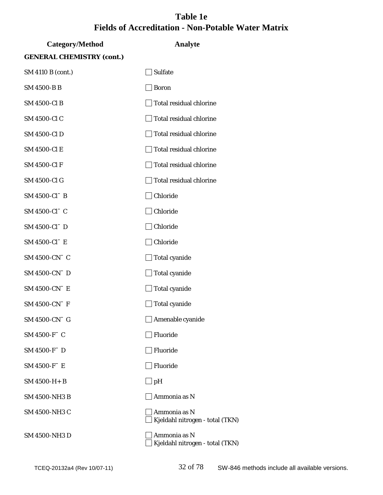| <b>Category/Method</b><br><b>GENERAL CHEMISTRY (cont.)</b> | <b>Analyte</b>                                  |
|------------------------------------------------------------|-------------------------------------------------|
| SM 4110 B (cont.)                                          | <b>Sulfate</b>                                  |
| <b>SM 4500-B B</b>                                         | <b>Boron</b>                                    |
| <b>SM 4500-Cl B</b>                                        | Total residual chlorine                         |
| SM 4500-Cl C                                               | Total residual chlorine                         |
| SM 4500-Cl D                                               | Total residual chlorine                         |
| <b>SM 4500-Cl E</b>                                        | Total residual chlorine                         |
| <b>SM 4500-Cl F</b>                                        | Total residual chlorine                         |
| SM 4500-Cl G                                               | Total residual chlorine                         |
| SM 4500-Cl <sup>-</sup> B                                  | Chloride                                        |
| SM 4500-Cl <sup>-</sup> C                                  | Chloride                                        |
| SM 4500-Cl <sup>-</sup> D                                  | Chloride                                        |
| SM 4500-Cl <sup>-</sup> E                                  | Chloride                                        |
| SM 4500-CN <sup>-</sup> C                                  | Total cyanide                                   |
| SM 4500-CN <sup>-</sup> D                                  | Total cyanide                                   |
| SM 4500-CN <sup>-</sup> E                                  | Total cyanide                                   |
| SM 4500-CN <sup>-</sup> F                                  | Total cyanide                                   |
| SM 4500-CN <sup>-</sup> G                                  | Amenable cyanide                                |
| SM 4500-F <sup>-</sup> C                                   | Fluoride                                        |
| SM 4500-F <sup>-</sup> D                                   | Fluoride                                        |
| SM 4500-F <sup>-</sup> E                                   | Fluoride                                        |
| SM 4500-H+B                                                | $\Box$ pH                                       |
| <b>SM 4500-NH3 B</b>                                       | Ammonia as N                                    |
| SM 4500-NH3 C                                              | Ammonia as N<br>Kjeldahl nitrogen - total (TKN) |
| SM 4500-NH3 D                                              | Ammonia as N<br>Kjeldahl nitrogen - total (TKN) |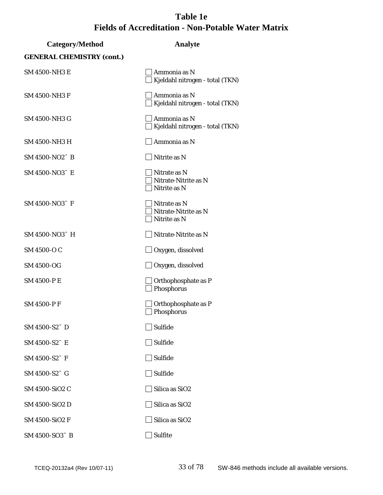| Category/Method                  | <b>Analyte</b>                                       |
|----------------------------------|------------------------------------------------------|
| <b>GENERAL CHEMISTRY (cont.)</b> |                                                      |
| <b>SM 4500-NH3 E</b>             | Ammonia as N<br>Kjeldahl nitrogen - total (TKN)      |
| <b>SM 4500-NH3 F</b>             | Ammonia as N<br>Kjeldahl nitrogen - total (TKN)      |
| SM 4500-NH3 G                    | Ammonia as N<br>Kjeldahl nitrogen - total (TKN)      |
| <b>SM 4500-NH3 H</b>             | Ammonia as N                                         |
| SM 4500-NO2 <sup>-</sup> B       | Nitrite as N                                         |
| SM 4500-NO3 <sup>-</sup> E       | Nitrate as N<br>Nitrate-Nitrite as N<br>Nitrite as N |
| SM 4500-NO3 <sup>-</sup> F       | Nitrate as N<br>Nitrate-Nitrite as N<br>Nitrite as N |
| SM 4500-NO3 <sup>-</sup> H       | Nitrate-Nitrite as N                                 |
| SM 4500-O C                      | Oxygen, dissolved                                    |
| <b>SM 4500-OG</b>                | Oxygen, dissolved                                    |
| <b>SM 4500-P E</b>               | Orthophosphate as P<br>Phosphorus                    |
| <b>SM 4500-PF</b>                | Orthophosphate as P<br>Phosphorus                    |
| SM 4500-S2 <sup>-</sup> D        | Sulfide                                              |
| SM 4500-S2 <sup>-</sup> E        | Sulfide                                              |
| SM 4500-S2 <sup>-</sup> F        | Sulfide                                              |
| SM 4500-S2 <sup>-</sup> G        | Sulfide                                              |
| SM 4500-SiO2 C                   | Silica as SiO <sub>2</sub>                           |
| SM 4500-SiO2 D                   | Silica as SiO <sub>2</sub>                           |
| SM 4500-SiO2 F                   | Silica as SiO <sub>2</sub>                           |
| SM 4500-SO3 <sup>-</sup> B       | Sulfite                                              |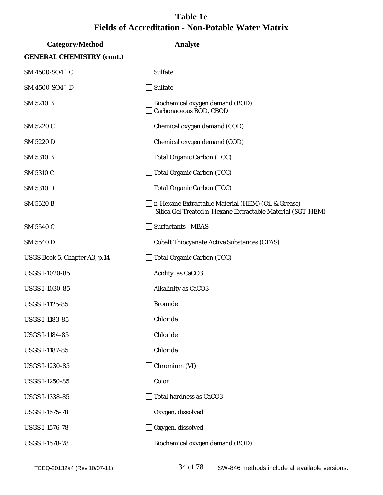| <b>Category/Method</b>           | Analyte                                                                                                          |
|----------------------------------|------------------------------------------------------------------------------------------------------------------|
| <b>GENERAL CHEMISTRY (cont.)</b> |                                                                                                                  |
| SM 4500-SO4 <sup>-</sup> C       | Sulfate                                                                                                          |
| SM 4500-SO4 <sup>-</sup> D       | Sulfate                                                                                                          |
| <b>SM 5210 B</b>                 | Biochemical oxygen demand (BOD)<br>Carbonaceous BOD, CBOD                                                        |
| SM 5220 C                        | Chemical oxygen demand (COD)                                                                                     |
| <b>SM 5220 D</b>                 | Chemical oxygen demand (COD)                                                                                     |
| <b>SM 5310 B</b>                 | <b>Total Organic Carbon (TOC)</b>                                                                                |
| SM 5310 C                        | Total Organic Carbon (TOC)                                                                                       |
| <b>SM 5310 D</b>                 | Total Organic Carbon (TOC)                                                                                       |
| <b>SM 5520 B</b>                 | n-Hexane Extractable Material (HEM) (Oil & Grease)<br>Silica Gel Treated n-Hexane Extractable Material (SGT-HEM) |
| SM 5540 C                        | <b>Surfactants - MBAS</b>                                                                                        |
| <b>SM 5540 D</b>                 | Cobalt Thiocyanate Active Substances (CTAS)                                                                      |
| USGS Book 5, Chapter A3, p.14    | <b>Total Organic Carbon (TOC)</b>                                                                                |
| <b>USGS I-1020-85</b>            | $\Box$ Acidity, as CaCO3                                                                                         |
| <b>USGS I-1030-85</b>            | Alkalinity as CaCO3                                                                                              |
| <b>USGS I-1125-85</b>            | <b>Bromide</b>                                                                                                   |
| <b>USGS I-1183-85</b>            | Chloride                                                                                                         |
| <b>USGS I-1184-85</b>            | Chloride                                                                                                         |
| <b>USGS I-1187-85</b>            | Chloride                                                                                                         |
| <b>USGS I-1230-85</b>            | Chromium (VI)                                                                                                    |
| <b>USGS I-1250-85</b>            | $\Box$ Color                                                                                                     |
| <b>USGS I-1338-85</b>            | Total hardness as CaCO3                                                                                          |
| <b>USGS I-1575-78</b>            | Oxygen, dissolved                                                                                                |
| <b>USGS I-1576-78</b>            | Oxygen, dissolved                                                                                                |
| <b>USGS I-1578-78</b>            | Biochemical oxygen demand (BOD)                                                                                  |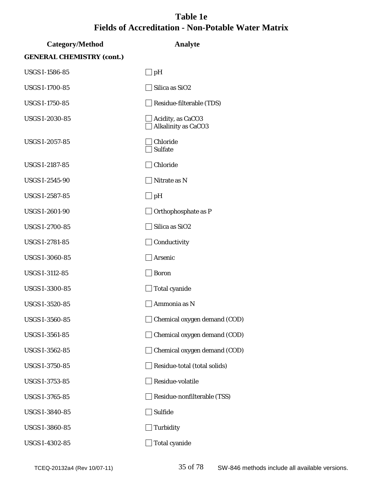| Category/Method                  | Analyte                                  |
|----------------------------------|------------------------------------------|
| <b>GENERAL CHEMISTRY (cont.)</b> |                                          |
| <b>USGS I-1586-85</b>            | pH                                       |
| <b>USGS I-1700-85</b>            | Silica as SiO <sub>2</sub>               |
| <b>USGS I-1750-85</b>            | Residue-filterable (TDS)                 |
| <b>USGS I-2030-85</b>            | Acidity, as CaCO3<br>Alkalinity as CaCO3 |
| <b>USGS I-2057-85</b>            | Chloride<br><b>Sulfate</b>               |
| <b>USGS I-2187-85</b>            | Chloride                                 |
| <b>USGS I-2545-90</b>            | Nitrate as N                             |
| <b>USGS I-2587-85</b>            | pH                                       |
| <b>USGS I-2601-90</b>            | Orthophosphate as P                      |
| <b>USGS I-2700-85</b>            | Silica as SiO <sub>2</sub>               |
| <b>USGS I-2781-85</b>            | Conductivity                             |
| <b>USGS I-3060-85</b>            | Arsenic                                  |
| <b>USGS I-3112-85</b>            | <b>Boron</b>                             |
| <b>USGS I-3300-85</b>            | Total cyanide                            |
| <b>USGS I-3520-85</b>            | Ammonia as N                             |
| <b>USGS I-3560-85</b>            | Chemical oxygen demand (COD)             |
| <b>USGS I-3561-85</b>            | Chemical oxygen demand (COD)             |
| <b>USGS I-3562-85</b>            | Chemical oxygen demand (COD)             |
| <b>USGS I-3750-85</b>            | Residue-total (total solids)             |
| <b>USGS I-3753-85</b>            | Residue-volatile                         |
| <b>USGS I-3765-85</b>            | Residue-nonfilterable (TSS)              |
| <b>USGS I-3840-85</b>            | Sulfide                                  |
| <b>USGS I-3860-85</b>            | Turbidity                                |
| <b>USGS I-4302-85</b>            | Total cyanide                            |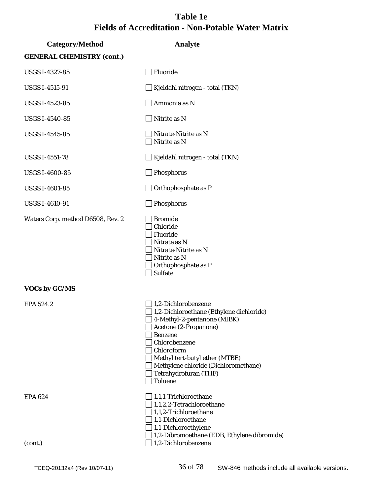| Category/Method                   | Analyte                                                                                                                                                                                                                                                                                       |
|-----------------------------------|-----------------------------------------------------------------------------------------------------------------------------------------------------------------------------------------------------------------------------------------------------------------------------------------------|
| <b>GENERAL CHEMISTRY (cont.)</b>  |                                                                                                                                                                                                                                                                                               |
| <b>USGS I-4327-85</b>             | Fluoride                                                                                                                                                                                                                                                                                      |
| <b>USGS I-4515-91</b>             | Kjeldahl nitrogen - total (TKN)                                                                                                                                                                                                                                                               |
| <b>USGS I-4523-85</b>             | Ammonia as N                                                                                                                                                                                                                                                                                  |
| <b>USGS I-4540-85</b>             | Nitrite as N                                                                                                                                                                                                                                                                                  |
| <b>USGS I-4545-85</b>             | Nitrate-Nitrite as N<br>Nitrite as N                                                                                                                                                                                                                                                          |
| <b>USGS I-4551-78</b>             | Kjeldahl nitrogen - total (TKN)                                                                                                                                                                                                                                                               |
| <b>USGS I-4600-85</b>             | Phosphorus                                                                                                                                                                                                                                                                                    |
| <b>USGS I-4601-85</b>             | Orthophosphate as P                                                                                                                                                                                                                                                                           |
| <b>USGS I-4610-91</b>             | Phosphorus                                                                                                                                                                                                                                                                                    |
| Waters Corp. method D6508, Rev. 2 | <b>Bromide</b><br>Chloride<br>Fluoride<br>Nitrate as N<br>Nitrate-Nitrite as N<br>Nitrite as N<br>Orthophosphate as P<br><b>Sulfate</b>                                                                                                                                                       |
| <b>VOCs by GC/MS</b>              |                                                                                                                                                                                                                                                                                               |
| EPA 524.2                         | 1,2-Dichlorobenzene<br>1,2-Dichloroethane (Ethylene dichloride)<br>4-Methyl-2-pentanone (MIBK)<br>Acetone (2-Propanone)<br><b>Benzene</b><br>Chlorobenzene<br>Chloroform<br>Methyl tert-butyl ether (MTBE)<br>Methylene chloride (Dichloromethane)<br>Tetrahydrofuran (THF)<br><b>Toluene</b> |
| <b>EPA 624</b>                    | 1,1,1-Trichloroethane<br>1,1,2,2-Tetrachloroethane<br>1,1,2-Trichloroethane<br>1,1-Dichloroethane<br>1,1-Dichloroethylene<br>1,2-Dibromoethane (EDB, Ethylene dibromide)                                                                                                                      |
| (cont.)                           | 1,2-Dichlorobenzene                                                                                                                                                                                                                                                                           |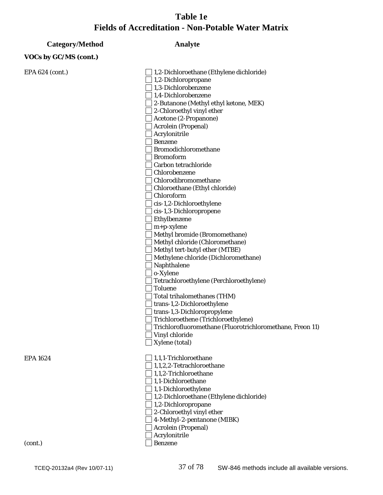#### **Category/Method Analyte VOCs by GC/MS (cont.)** EPA 624 (cont.) 1,2-Dichloroethane (Ethylene dichloride) 1,2-Dichloropropane 1,3-Dichlorobenzene 1,4-Dichlorobenzene 2-Butanone (Methyl ethyl ketone, MEK) 2-Chloroethyl vinyl ether Acetone (2-Propanone) Acrolein (Propenal) Acrylonitrile Benzene Bromodichloromethane Bromoform Carbon tetrachloride Chlorobenzene Chlorodibromomethane Chloroethane (Ethyl chloride) Chloroform cis-1,2-Dichloroethylene cis-1,3-Dichloropropene Ethylbenzene  $\Box$  m+p-xylene Methyl bromide (Bromomethane) Methyl chloride (Chloromethane) Methyl tert-butyl ether (MTBE) Methylene chloride (Dichloromethane) Naphthalene  $\Box$  o-Xylene Tetrachloroethylene (Perchloroethylene)  $\Box$  Toluene Total trihalomethanes (THM)  $\Box$  trans-1,2-Dichloroethylene trans-1,3-Dichloropropylene Trichloroethene (Trichloroethylene) Trichlorofluoromethane (Fluorotrichloromethane, Freon 11) Vinyl chloride  $\Box$  Xylene (total)  $EPA$  1624  $1,1,1$ -Trichloroethane 1,1,2,2-Tetrachloroethane 1,1,2-Trichloroethane  $\Box$  1.1-Dichloroethane 1,1-Dichloroethylene 1,2-Dichloroethane (Ethylene dichloride)  $\Box$  1,2-Dichloropropane

□ 2-Chloroethyl vinyl ether 4-Methyl-2-pentanone (MIBK)

Acrolein (Propenal) Acrylonitrile

(cont.) Benzene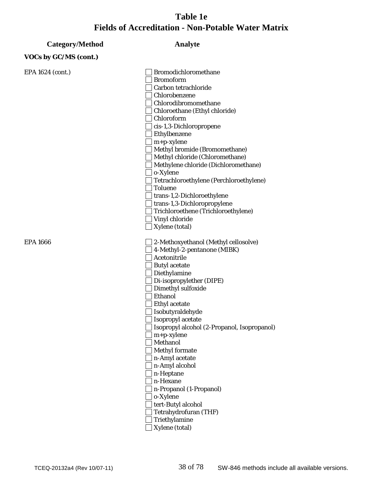| Category/Method       | <b>Analyte</b>                              |
|-----------------------|---------------------------------------------|
| VOCs by GC/MS (cont.) |                                             |
| EPA 1624 (cont.)      | Bromodichloromethane                        |
|                       | <b>Bromoform</b>                            |
|                       | Carbon tetrachloride                        |
|                       | Chlorobenzene                               |
|                       | Chlorodibromomethane                        |
|                       | Chloroethane (Ethyl chloride)               |
|                       | Chloroform                                  |
|                       | cis-1,3-Dichloropropene                     |
|                       | Ethylbenzene                                |
|                       | $m+p$ -xylene                               |
|                       | Methyl bromide (Bromomethane)               |
|                       | Methyl chloride (Chloromethane)             |
|                       | Methylene chloride (Dichloromethane)        |
|                       | o-Xylene                                    |
|                       | Tetrachloroethylene (Perchloroethylene)     |
|                       | <b>Toluene</b>                              |
|                       | trans-1,2-Dichloroethylene                  |
|                       | trans-1,3-Dichloropropylene                 |
|                       | Trichloroethene (Trichloroethylene)         |
|                       | $\Box$ Vinyl chloride                       |
|                       | Xylene (total)                              |
|                       |                                             |
| <b>EPA 1666</b>       | 2-Methoxyethanol (Methyl cellosolve)        |
|                       | 4-Methyl-2-pentanone (MIBK)                 |
|                       | Acetonitrile                                |
|                       | <b>Butyl</b> acetate                        |
|                       | Diethylamine                                |
|                       | Di-isopropylether (DIPE)                    |
|                       | Dimethyl sulfoxide                          |
|                       | Ethanol                                     |
|                       | <b>Ethyl</b> acetate                        |
|                       | Isobutyraldehyde                            |
|                       | <b>Isopropyl</b> acetate                    |
|                       | Isopropyl alcohol (2-Propanol, Isopropanol) |
|                       | $m+p$ -xylene                               |
|                       | Methanol                                    |
|                       | <b>Methyl</b> formate                       |
|                       | n-Amyl acetate                              |
|                       | n-Amyl alcohol                              |
|                       | n-Heptane                                   |
|                       | n-Hexane                                    |
|                       | n-Propanol (1-Propanol)                     |
|                       | o-Xylene                                    |
|                       | tert-Butyl alcohol                          |
|                       | Tetrahydrofuran (THF)                       |
|                       | Triethylamine                               |
|                       | Xylene (total)                              |
|                       |                                             |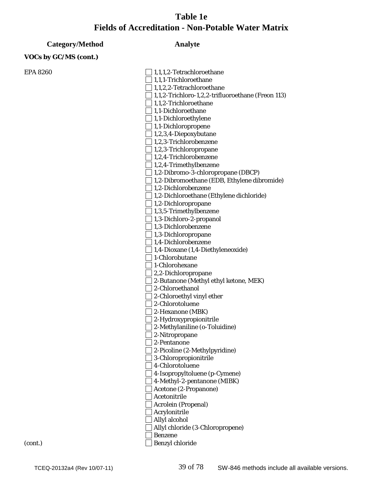#### **VOCs by GC/MS (cont.)**

 **Category/Method Analyte** EPA 8260  $\Box$  1.1.1.2-Tetrachloroethane 1,1,1-Trichloroethane 1,1,2,2-Tetrachloroethane 1,1,2-Trichloro-1,2,2-trifluoroethane (Freon 113)  $\Box$  1.1.2-Trichloroethane □ 1.1-Dichloroethane 1,1-Dichloroethylene 1,1-Dichloropropene  $\Box$  1,2,3,4-Diepoxybutane 1,2,3-Trichlorobenzene  $\Box$  1,2,3-Trichloropropane 1,2,4-Trichlorobenzene 1,2,4-Trimethylbenzene 1,2-Dibromo-3-chloropropane (DBCP) 1,2-Dibromoethane (EDB, Ethylene dibromide) 1,2-Dichlorobenzene 1,2-Dichloroethane (Ethylene dichloride)  $\Box$  1,2-Dichloropropane  $\Box$  1,3,5-Trimethylbenzene 1,3-Dichloro-2-propanol 1,3-Dichlorobenzene 1,3-Dichloropropane 1,4-Dichlorobenzene 1,4-Dioxane (1,4-Diethyleneoxide)  $\Box$  1-Chlorobutane 1-Chlorohexane 2,2-Dichloropropane 2-Butanone (Methyl ethyl ketone, MEK) □ 2-Chloroethanol  $\Box$  2-Chloroethyl vinyl ether 2-Chlorotoluene 2-Hexanone (MBK) 2-Hydroxypropionitrile 2-Methylaniline (o-Toluidine)  $\Box$  2-Nitropropane 2-Pentanone 2-Picoline (2-Methylpyridine) 3-Chloropropionitrile 4-Chlorotoluene 4-Isopropyltoluene (p-Cymene) 4-Methyl-2-pentanone (MIBK) Acetone (2-Propanone) Acetonitrile Acrolein (Propenal) Acrylonitrile Allyl alcohol

Allyl chloride (3-Chloropropene)

Benzene

(cont.) Benzyl chloride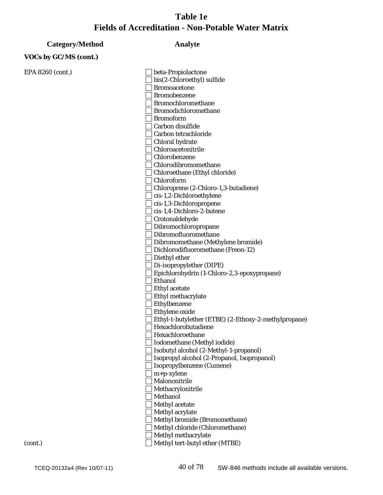#### **Category/Method Analyte**

#### **VOCs by GC/MS (cont.)**

EPA 8260 (cont.) and a propiolactone bis(2-Chloroethyl) sulfide Bromoacetone  $\Box$ Bromobenzene Bromochloromethane Bromodichloromethane  $\Box$ Bromoform  $\Box$  Carbon disulfide Carbon tetrachloride Chloral hydrate Chloroacetonitrile Chlorobenzene Chlorodibromomethane Chloroethane (Ethyl chloride) Chloroform Chloroprene (2-Chloro-1,3-butadiene) cis-1,2-Dichloroethylene cis-1,3-Dichloropropene cis-1,4-Dichloro-2-butene Crotonaldehyde Dibromochloropropane Dibromofluoromethane Dibromomethane (Methylene bromide) Dichlorodifluoromethane (Freon-12) Diethyl ether Di-isopropylether (DIPE) Epichlorohydrin (1-Chloro-2,3-epoxypropane)  $\Box$  Ethanol  $\Box$  Ethyl acetate  $\Box$  Ethyl methacrylate Ethylbenzene Ethylene oxide Ethyl-t-butylether (ETBE) (2-Ethoxy-2-methylpropane)  $\Box$  Hexachlorobutadiene Hexachloroethane Iodomethane (Methyl iodide) Isobutyl alcohol (2-Methyl-1-propanol) Isopropyl alcohol (2-Propanol, Isopropanol) Isopropylbenzene (Cumene)  $\Box$  m+p-xylene Malononitrile  $\Box$  Methacrylonitrile Methanol Methyl acetate  $\Box$  Methyl acrylate Methyl bromide (Bromomethane) Methyl chloride (Chloromethane) Methyl methacrylate (cont.) Methyl tert-butyl ether (MTBE)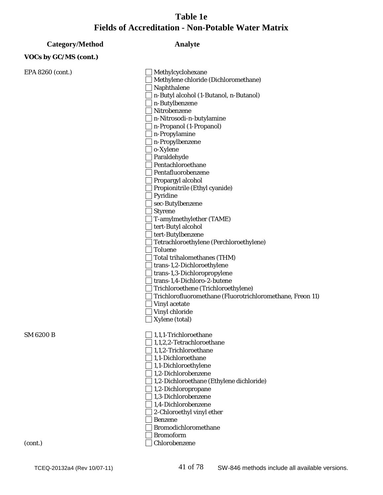#### **Category/Method Analyte**

# **VOCs by GC/MS (cont.)**

| EPA 8260 (cont.) | Methylcyclohexane                                         |
|------------------|-----------------------------------------------------------|
|                  | Methylene chloride (Dichloromethane)                      |
|                  | Naphthalene                                               |
|                  | n-Butyl alcohol (1-Butanol, n-Butanol)                    |
|                  | n-Butylbenzene                                            |
|                  | Nitrobenzene                                              |
|                  | n-Nitrosodi-n-butylamine                                  |
|                  | n-Propanol (1-Propanol)                                   |
|                  | n-Propylamine                                             |
|                  | n-Propylbenzene                                           |
|                  | o-Xylene                                                  |
|                  | Paraldehyde                                               |
|                  | Pentachloroethane                                         |
|                  | Pentafluorobenzene                                        |
|                  | Propargyl alcohol                                         |
|                  | Propionitrile (Ethyl cyanide)                             |
|                  | Pyridine                                                  |
|                  | sec-Butylbenzene                                          |
|                  | <b>Styrene</b>                                            |
|                  | T-amylmethylether (TAME)                                  |
|                  | tert-Butyl alcohol                                        |
|                  | tert-Butylbenzene                                         |
|                  | Tetrachloroethylene (Perchloroethylene)                   |
|                  | Toluene                                                   |
|                  | <b>Total trihalomethanes (THM)</b>                        |
|                  | trans-1,2-Dichloroethylene                                |
|                  | trans-1,3-Dichloropropylene                               |
|                  | trans-1,4-Dichloro-2-butene                               |
|                  | Trichloroethene (Trichloroethylene)                       |
|                  | Trichlorofluoromethane (Fluorotrichloromethane, Freon 11) |
|                  | Vinyl acetate                                             |
|                  | Vinyl chloride                                            |
|                  | Xylene (total)                                            |
|                  |                                                           |
| <b>SM 6200 B</b> | 1,1,1-Trichloroethane                                     |
|                  | 1,1,2,2-Tetrachloroethane                                 |
|                  | 1,1,2-Trichloroethane                                     |
|                  | 1,1-Dichloroethane                                        |
|                  | 1,1-Dichloroethylene                                      |
|                  | 1,2-Dichlorobenzene                                       |
|                  | 1,2-Dichloroethane (Ethylene dichloride)                  |
|                  | 1,2-Dichloropropane                                       |
|                  | 1,3-Dichlorobenzene                                       |
|                  | 1,4-Dichlorobenzene                                       |
|                  | 2-Chloroethyl vinyl ether                                 |
|                  | <b>Benzene</b>                                            |
|                  | Bromodichloromethane                                      |
|                  | <b>Bromoform</b>                                          |
|                  |                                                           |
| (cont.)          | Chlorobenzene                                             |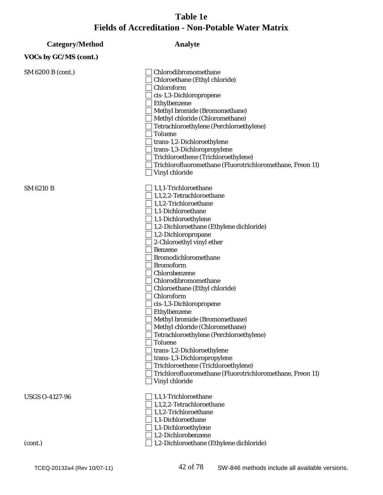| Category/Method       | Analyte                                                                                                                                                                                                                                                                                                                                                                                                                                                                                                                                                                                                                                                                                                                                                             |
|-----------------------|---------------------------------------------------------------------------------------------------------------------------------------------------------------------------------------------------------------------------------------------------------------------------------------------------------------------------------------------------------------------------------------------------------------------------------------------------------------------------------------------------------------------------------------------------------------------------------------------------------------------------------------------------------------------------------------------------------------------------------------------------------------------|
| VOCs by GC/MS (cont.) |                                                                                                                                                                                                                                                                                                                                                                                                                                                                                                                                                                                                                                                                                                                                                                     |
| SM 6200 B (cont.)     | Chlorodibromomethane<br>Chloroethane (Ethyl chloride)<br>Chloroform<br>cis-1,3-Dichloropropene<br>Ethylbenzene<br>Methyl bromide (Bromomethane)<br>Methyl chloride (Chloromethane)<br>Tetrachloroethylene (Perchloroethylene)<br><b>Toluene</b><br>trans-1,2-Dichloroethylene<br>trans-1,3-Dichloropropylene<br>Trichloroethene (Trichloroethylene)<br>Trichlorofluoromethane (Fluorotrichloromethane, Freon 11)<br>Vinyl chloride                                                                                                                                                                                                                                                                                                                                  |
| <b>SM 6210 B</b>      | 1,1,1-Trichloroethane<br>1,1,2,2-Tetrachloroethane<br>1,1,2-Trichloroethane<br>1,1-Dichloroethane<br>$\Box$ 1,1-Dichloroethylene<br>$\Box$ 1,2-Dichloroethane (Ethylene dichloride)<br>$\Box$ 1,2-Dichloropropane<br>2-Chloroethyl vinyl ether<br><b>Benzene</b><br>Bromodichloromethane<br><b>Bromoform</b><br>Chlorobenzene<br>Chlorodibromomethane<br>Chloroethane (Ethyl chloride)<br>Chloroform<br>cis-1,3-Dichloropropene<br>Ethylbenzene<br>Methyl bromide (Bromomethane)<br>Methyl chloride (Chloromethane)<br>Tetrachloroethylene (Perchloroethylene)<br><b>Toluene</b><br>trans-1,2-Dichloroethylene<br>trans-1,3-Dichloropropylene<br>Trichloroethene (Trichloroethylene)<br>Trichlorofluoromethane (Fluorotrichloromethane, Freon 11)<br>Vinyl chloride |
| <b>USGS O-4127-96</b> | 1,1,1-Trichloroethane<br>1,1,2,2-Tetrachloroethane<br>1,1,2-Trichloroethane<br>1,1-Dichloroethane<br>1,1-Dichloroethylene<br>1,2-Dichlorobenzene                                                                                                                                                                                                                                                                                                                                                                                                                                                                                                                                                                                                                    |
| (cont.)               | 1,2-Dichloroethane (Ethylene dichloride)                                                                                                                                                                                                                                                                                                                                                                                                                                                                                                                                                                                                                                                                                                                            |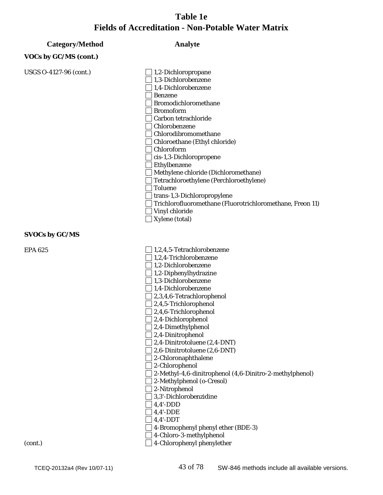#### **Category/Method Analyte**

| <b>VOCs by GC/MS (cont.)</b> |  |  |
|------------------------------|--|--|
|------------------------------|--|--|

- USGS O-4127-96 (cont.)  $\qquad \qquad \Box$  1,2-Dichloropropane 1,3-Dichlorobenzene 1,4-Dichlorobenzene Benzene Bromodichloromethane Bromoform Carbon tetrachloride Chlorobenzene Chlorodibromomethane Chloroethane (Ethyl chloride) Chloroform cis-1,3-Dichloropropene Ethylbenzene Methylene chloride (Dichloromethane) Tetrachloroethylene (Perchloroethylene)  $\Box$ Toluene trans-1,3-Dichloropropylene Trichlorofluoromethane (Fluorotrichloromethane, Freon 11)
- **SVOCs by GC/MS**

- EPA 625 1,2,4,5-Tetrachlorobenzene
	- 1,2,4-Trichlorobenzene

Vinyl chloride  $\Box$  Xylene (total)

- 1,2-Dichlorobenzene
- $\Box$  1,2-Diphenylhydrazine
- 1,3-Dichlorobenzene
- 1,4-Dichlorobenzene
- 2,3,4,6-Tetrachlorophenol
- $\Box$  2,4,5-Trichlorophenol
- 2,4,6-Trichlorophenol
- 2,4-Dichlorophenol
- $\Box$  2,4-Dimethylphenol
- 2,4-Dinitrophenol
- 2,4-Dinitrotoluene (2,4-DNT)
- 2,6-Dinitrotoluene (2,6-DNT)
- 2-Chloronaphthalene
- 2-Chlorophenol
- 2-Methyl-4,6-dinitrophenol (4,6-Dinitro-2-methylphenol)
- 2-Methylphenol (o-Cresol)
- $\Box$  2-Nitrophenol
- 3,3'-Dichlorobenzidine
- $\Box$  4.4'-DDD
- $\Box$  4,4'-DDE
- $\Box$  4,4'-DDT
- 4-Bromophenyl phenyl ether (BDE-3)
- □ 4-Chloro-3-methylphenol
- (cont.) 4-Chlorophenyl phenylether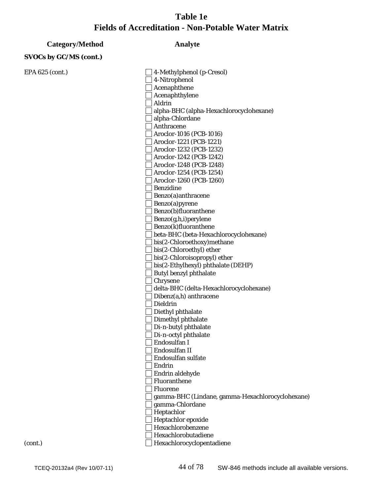#### **Category/Method Analyte**

| SVOCs by GC/MS (cont.) |  |
|------------------------|--|
|------------------------|--|

EPA 625 (cont.)  $\Box$  4-Methylphenol (p-Cresol) 4-Nitrophenol  $\Box$  Acenaphthene  $\Box$  Acenaphthylene Aldrin alpha-BHC (alpha-Hexachlorocyclohexane) alpha-Chlordane Anthracene Aroclor-1016 (PCB-1016) Aroclor-1221 (PCB-1221) Aroclor-1232 (PCB-1232) Aroclor-1242 (PCB-1242) Aroclor-1248 (PCB-1248) Aroclor-1254 (PCB-1254) Aroclor-1260 (PCB-1260)  $\Box$  Benzidine Benzo(a)anthracene  $\Box$  Benzo(a) pyrene Benzo(b)fluoranthene  $\Box$  Benzo(g,h,i) perylene  $\Box$  Benzo(k)fluoranthene beta-BHC (beta-Hexachlorocyclohexane) bis(2-Chloroethoxy)methane bis(2-Chloroethyl) ether  $\Box$  bis(2-Chloroisopropyl) ether bis(2-Ethylhexyl) phthalate (DEHP)  $\Box$  Butyl benzyl phthalate Chrysene delta-BHC (delta-Hexachlorocyclohexane)  $\Box$ Dibenz(a,h) anthracene Dieldrin Diethyl phthalate Dimethyl phthalate Di-n-butyl phthalate Di-n-octyl phthalate Endosulfan I Endosulfan II  $\Box$  Endosulfan sulfate  $\Box$  Endrin Endrin aldehyde  $\Box$  Fluoranthene  $\Box$  Fluorene gamma-BHC (Lindane, gamma-Hexachlorocyclohexane) gamma-Chlordane □ Heptachlor Heptachlor epoxide Hexachlorobenzene

Hexachlorobutadiene

(cont.) Hexachlorocyclopentadiene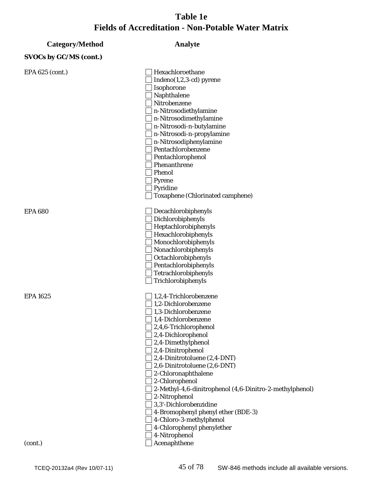| Category/Method        | Analyte                                                                                                                                                                                                                                                                                                                                                                                                                                                                                                              |
|------------------------|----------------------------------------------------------------------------------------------------------------------------------------------------------------------------------------------------------------------------------------------------------------------------------------------------------------------------------------------------------------------------------------------------------------------------------------------------------------------------------------------------------------------|
| SVOCs by GC/MS (cont.) |                                                                                                                                                                                                                                                                                                                                                                                                                                                                                                                      |
| EPA 625 (cont.)        | Hexachloroethane<br>Indeno $(1,2,3-cd)$ pyrene<br>Isophorone<br>Naphthalene<br>Nitrobenzene<br>n-Nitrosodiethylamine<br>n-Nitrosodimethylamine<br>n-Nitrosodi-n-butylamine<br>n-Nitrosodi-n-propylamine<br>n-Nitrosodiphenylamine<br>Pentachlorobenzene<br>Pentachlorophenol<br>Phenanthrene<br>Phenol<br>Pyrene<br>Pyridine<br><b>Toxaphene (Chlorinated camphene)</b>                                                                                                                                              |
| <b>EPA 680</b>         | Decachlorobiphenyls<br>Dichlorobiphenyls<br>Heptachlorobiphenyls<br>Hexachlorobiphenyls<br>Monochlorobiphenyls<br>Nonachlorobiphenyls<br>Octachlorobiphenyls<br>Pentachlorobiphenyls<br>Tetrachlorobiphenyls<br>Trichlorobiphenyls                                                                                                                                                                                                                                                                                   |
| <b>EPA 1625</b>        | 1,2,4-Trichlorobenzene<br>1,2-Dichlorobenzene<br>1,3-Dichlorobenzene<br>1,4-Dichlorobenzene<br>2,4,6-Trichlorophenol<br>2,4-Dichlorophenol<br>2,4-Dimethylphenol<br>2,4-Dinitrophenol<br>2,4-Dinitrotoluene (2,4-DNT)<br>2,6-Dinitrotoluene (2,6-DNT)<br>2-Chloronaphthalene<br>2-Chlorophenol<br>2-Methyl-4,6-dinitrophenol (4,6-Dinitro-2-methylphenol)<br>2-Nitrophenol<br>3,3'-Dichlorobenzidine<br>4-Bromophenyl phenyl ether (BDE-3)<br>4-Chloro-3-methylphenol<br>4-Chlorophenyl phenylether<br>4-Nitrophenol |
| (cont.)                | Acenaphthene                                                                                                                                                                                                                                                                                                                                                                                                                                                                                                         |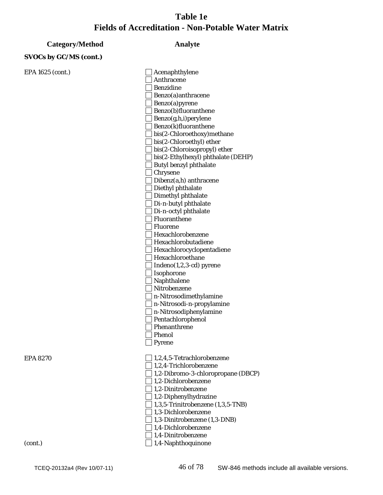#### **Category/Method Analyte**

| SVOCs by GC/MS (cont.) |  |
|------------------------|--|
|------------------------|--|

 $EPA 1625$  (cont.)

| ∫Acenaphthylene                                      |
|------------------------------------------------------|
| <b>Anthracene</b>                                    |
| <b>Benzidine</b>                                     |
| Benzo(a)anthracene                                   |
| Benzo(a)pyrene_                                      |
| Benzo(b)fluoranthene                                 |
| Benzo(g,h,i)perylene                                 |
| Benzo(k)fluoranthene [                               |
| bis(2-Chloroethoxy)methane                           |
| ] bis(2-Chloroethyl) ether                           |
| [bis(2-Chloroisopropyl) ether                        |
| bis(2-Ethylhexyl) phthalate (DEHP)                   |
| Butyl benzyl phthalate                               |
| $\Box$ Chrysene                                      |
| $\Box$ Dibenz(a,h) anthracene                        |
| Diethyl phthalate                                    |
| Dimethyl phthalate                                   |
| Di-n-butyl phthalate                                 |
| Di-n-octyl phthalate                                 |
| Fluoranthene                                         |
| Fluorene                                             |
| Hexachlorobenzene                                    |
| Hexachlorobutadiene                                  |
| Hexachlorocyclopentadiene                            |
| Hexachloroethane                                     |
| $\perp$ Indeno(1,2,3-cd) pyrene                      |
| $\Box$ Isophorone                                    |
| Naphthalene                                          |
| Nitrobenzene                                         |
| ⊿n-Nitrosodimethylamine<br>n-Nitrosodi-n-propylamine |
| ∫n-Nitrosodiphenylamine                              |
| Pentachlorophenol                                    |
| Phenanthrene                                         |
| Phenol                                               |
| $\Box$ Pyrene                                        |
|                                                      |
| 1,2,4,5-Tetrachlorobenzene                           |
| 1,2,4-Trichlorobenzene                               |
| 1,2-Dibromo-3-chloropropane (DBCP)                   |
| 1,2-Dichlorobenzene                                  |
| $\vert$ 1,2-Dinitrobenzene                           |
| 1,2-Diphenylhydrazine                                |
| $\vert$ 1,3,5-Trinitrobenzene (1,3,5-TNB)            |
| $\lceil 1, 3 - Dichlorobenzene \rceil$               |
| 1,3-Dinitrobenzene (1,3-DNB)                         |
|                                                      |

1,4-Dichlorobenzene

- $\overline{\Box}$  1,4-Dinitrobenzene
- (cont.) 1,4-Naphthoquinone

EPA 8270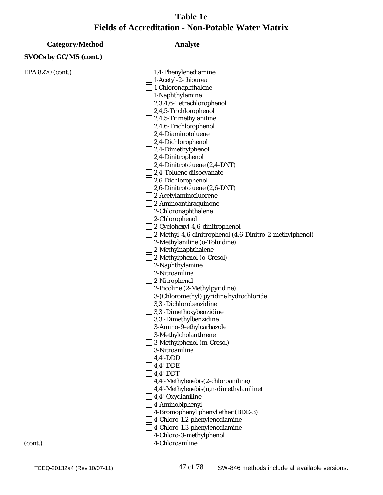#### **Category/Method Analyte**

**SVOCs by GC/MS (cont.)**

EPA 8270 (cont.)  $\Box$  1,4-Phenylenediamine 1-Acetyl-2-thiourea □ 1-Chloronaphthalene  $\Box$  1-Naphthylamine 2,3,4,6-Tetrachlorophenol 2,4,5-Trichlorophenol 2,4,5-Trimethylaniline 2,4,6-Trichlorophenol  $\Box$  2.4-Diaminotoluene 2,4-Dichlorophenol 2,4-Dimethylphenol 2,4-Dinitrophenol 2,4-Dinitrotoluene (2,4-DNT)  $\Box$  2,4-Toluene diisocyanate 2,6-Dichlorophenol 2,6-Dinitrotoluene (2,6-DNT) 2-Acetylaminofluorene 2-Aminoanthraquinone 2-Chloronaphthalene 2-Chlorophenol 2-Cyclohexyl-4,6-dinitrophenol 2-Methyl-4,6-dinitrophenol (4,6-Dinitro-2-methylphenol) 2-Methylaniline (o-Toluidine) 2-Methylnaphthalene 2-Methylphenol (o-Cresol)  $\Box$  2-Naphthylamine  $\Box$  2-Nitroaniline 2-Nitrophenol 2-Picoline (2-Methylpyridine) 3-(Chloromethyl) pyridine hydrochloride 3,3'-Dichlorobenzidine 3,3'-Dimethoxybenzidine 3,3'-Dimethylbenzidine 3-Amino-9-ethylcarbazole 3-Methylcholanthrene 3-Methylphenol (m-Cresol) 3-Nitroaniline  $\Box$  4.4'-DDD  $\Box$  4.4'-DDE  $\Box$  4,4'-DDT 4,4'-Methylenebis(2-chloroaniline)  $\Box$  4,4'-Methylenebis(n,n-dimethylaniline)  $\Box$  4,4'-Oxydianiline 4-Aminobiphenyl  $\Box$  4-Bromophenyl phenyl ether (BDE-3) 4-Chloro-1,2-phenylenediamine 4-Chloro-1,3-phenylenediamine 4-Chloro-3-methylphenol (cont.) 4-Chloroaniline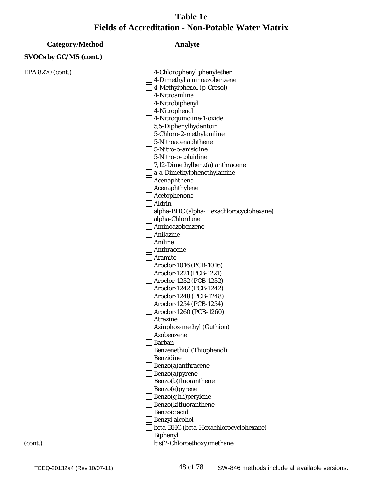#### **Category/Method Analyte**

| SVOCs by GC/MS (cont.) |  |  |  |
|------------------------|--|--|--|
|------------------------|--|--|--|

EPA 8270 (cont.)  $\Box$  4-Chlorophenyl phenylether 4-Dimethyl aminoazobenzene 4-Methylphenol (p-Cresol)  $\Box$  4-Nitroaniline  $\Box$  4-Nitrobiphenyl 4-Nitrophenol 4-Nitroquinoline-1-oxide  $\Box$  5,5-Diphenylhydantoin 5-Chloro-2-methylaniline 5-Nitroacenaphthene 5-Nitro-o-anisidine 5-Nitro-o-toluidine 7,12-Dimethylbenz(a) anthracene a-a-Dimethylphenethylamine Acenaphthene Acenaphthylene Acetophenone Aldrin alpha-BHC (alpha-Hexachlorocyclohexane) alpha-Chlordane Aminoazobenzene Anilazine  $\Box$  Aniline Anthracene **Namite** Aroclor-1016 (PCB-1016) Aroclor-1221 (PCB-1221) Aroclor-1232 (PCB-1232) Aroclor-1242 (PCB-1242) Aroclor-1248 (PCB-1248)  $\Box$  Aroclor-1254 (PCB-1254) Aroclor-1260 (PCB-1260) Atrazine Azinphos-methyl (Guthion) Azobenzene  $\Box$  Barban Benzenethiol (Thiophenol)  $\Box$  Benzidine Benzo(a)anthracene Benzo(a) pyrene Benzo(b)fluoranthene  $\Box$  Benzo(e) pyrene  $\Box$  Benzo(g,h,i) perylene  $\Box$  Benzo(k)fluoranthene Benzoic acid Benzyl alcohol beta-BHC (beta-Hexachlorocyclohexane) Biphenyl (cont.) bis(2-Chloroethoxy)methane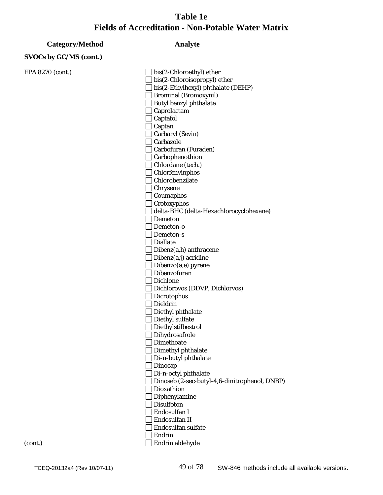#### **Category/Method Analyte**

#### **SVOCs by GC/MS (cont.)**

EPA 8270 (cont.)  $\Box$  bis(2-Chloroethyl) ether  $\Box$  bis(2-Chloroisopropyl) ether bis(2-Ethylhexyl) phthalate (DEHP) Brominal (Bromoxynil)  $\Box$  Butyl benzyl phthalate Caprolactam  $\Box$  $\Box$  Captafol  $\Box$  Captan Carbaryl (Sevin) Carbazole Carbofuran (Furaden) Carbophenothion Chlordane (tech.) Chlorfenvinphos Chlorobenzilate Chrysene Coumaphos  $\Box$  Crotoxyphos delta-BHC (delta-Hexachlorocyclohexane) Demeton Demeton-o Demeton-s  $\Box$  Diallate  $\Box$  Dibenz(a,h) anthracene  $\Box$  Dibenz(a,j) acridine  $\Box$  Dibenzo(a,e) pyrene Dibenzofuran  $\Box$ Dichlone Dichlorovos (DDVP, Dichlorvos) Dicrotophos  $\Box$ Dieldrin Diethyl phthalate  $\Box$  Diethyl sulfate Diethylstilbestrol Dihydrosafrole  $\Box$  Dimethoate Dimethyl phthalate Di-n-butyl phthalate Dinocap Di-n-octyl phthalate Dinoseb (2-sec-butyl-4,6-dinitrophenol, DNBP) Dioxathion Diphenylamine  $\Box$  Disulfoton Endosulfan I Endosulfan II  $\Box$  Endosulfan sulfate Endrin (cont.) Endrin aldehyde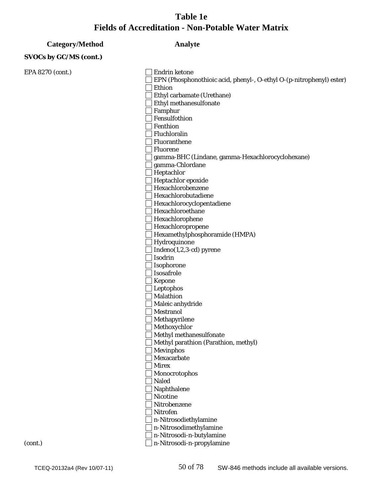#### **Category/Method Analyte**

#### **SVOCs by GC/MS (cont.)**

EPA 8270 (cont.) Endrin ketone EPN (Phosphonothioic acid, phenyl-, O-ethyl O-(p-nitrophenyl) ester)  $\Box$  Ethion Ethyl carbamate (Urethane) Ethyl methanesulfonate Famphur  $\Box$  $\Box$  Fensulfothion  $\Box$  Fenthion  $\Box$  Fluchloralin  $\Box$  Fluoranthene  $\Box$  Fluorene gamma-BHC (Lindane, gamma-Hexachlorocyclohexane) gamma-Chlordane **□ Heptachlor** Heptachlor epoxide  $\Box$  Hexachlorobenzene Hexachlorobutadiene Hexachlorocyclopentadiene  $\Box$  Hexachloroethane Hexachlorophene Hexachloropropene  $\Box$  Hexamethylphosphoramide (HMPA) Hydroquinone  $\Box$  Indeno(1,2,3-cd) pyrene  $\Box$  Isodrin  $\Box$ Isophorone  $\Box$  Isosafrole **■Kepone** Leptophos **Malathion** Maleic anhydride Mestranol  $\Box$  Methapyrilene Methoxychlor Methyl methanesulfonate Methyl parathion (Parathion, methyl)  $\Box$  Mevinphos Mexacarbate **Mirex** Monocrotophos Naled  $\Box$  Naphthalene **□**Nicotine Nitrobenzene Nitrofen n-Nitrosodiethylamine n-Nitrosodimethylamine n-Nitrosodi-n-butylamine (cont.) n-Nitrosodi-n-propylamine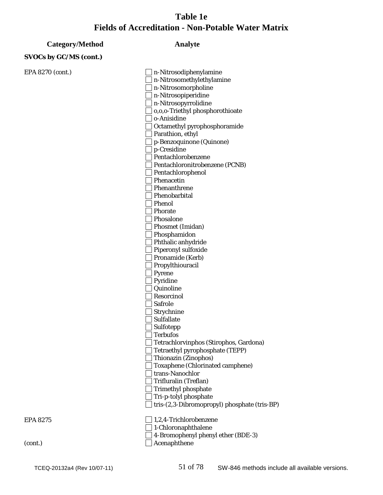#### **Category/Method Analyte**

|  | SVOCs by GC/MS (cont.) |  |
|--|------------------------|--|
|  |                        |  |

EPA 8270 (cont.)

| n-Nitrosodiphenylamine                                 |
|--------------------------------------------------------|
| n-Nitrosomethylethylamine]                             |
| n-Nitrosomorpholine                                    |
| n-Nitrosopiperidine                                    |
| n-Nitrosopyrrolidine                                   |
| o,o,o-Triethyl phosphorothioate                        |
| l o-Anisidine                                          |
| Octamethyl pyrophosphoramide                           |
| Parathion, ethyl                                       |
| p-Benzoquinone (Quinone)                               |
| <b>p-Cresidine</b>                                     |
| Pentachlorobenzene                                     |
| Pentachloronitrobenzene (PCNB)                         |
| Pentachlorophenol                                      |
| Phenacetin                                             |
| Phenanthrene                                           |
| Phenobarbital                                          |
| Phenol                                                 |
| Phorate                                                |
| Phosalone                                              |
| Phosmet (Imidan)                                       |
| <b>] Phosphamidon</b>                                  |
| Phthalic anhydride                                     |
| Piperonyl sulfoxide                                    |
| Pronamide (Kerb)                                       |
| Propylthiouracil                                       |
| Pyrene                                                 |
| Pyridine                                               |
| <b>Quinoline</b>                                       |
| Resorcinol                                             |
| <b>Safrole</b>                                         |
| Strychnine                                             |
| <b>Sulfallate</b>                                      |
| Sulfotepp                                              |
| <b>Terbufos</b>                                        |
| Tetrachlorvinphos (Stirophos, Gardona)                 |
| Tetraethyl pyrophosphate (TEPP)                        |
| Thionazin (Zinophos)                                   |
| Toxaphene (Chlorinated camphene)                       |
| trans-Nanochlor                                        |
| Trifluralin (Treflan)                                  |
| Trimethyl phosphate                                    |
| Tri-p-tolyl phosphate                                  |
| $\exists$ tris-(2,3-Dibromopropyl) phosphate (tris-BP) |
|                                                        |
| 1,2,4-Trichlorobenzene                                 |
| 1-Chloronaphthalene                                    |
| 4-Bromophenyl phenyl ether (BDE-3)                     |

(cont.) and a set of  $\Box$  Acenaphthene

EPA 8275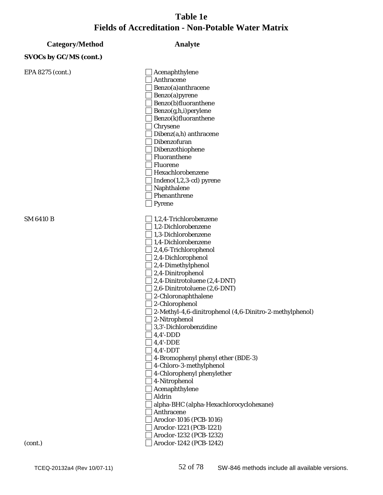| <b>Category/Method</b> | Analyte                                                 |
|------------------------|---------------------------------------------------------|
| SVOCs by GC/MS (cont.) |                                                         |
| EPA 8275 (cont.)       | Acenaphthylene                                          |
|                        | Anthracene                                              |
|                        | Benzo(a)anthracene                                      |
|                        | Benzo(a)pyrene                                          |
|                        | Benzo(b)fluoranthene                                    |
|                        | Benzo(g,h,i) perylene                                   |
|                        | Benzo(k)fluoranthene                                    |
|                        | Chrysene                                                |
|                        | Dibenz(a,h) anthracene                                  |
|                        | Dibenzofuran                                            |
|                        | Dibenzothiophene                                        |
|                        | Fluoranthene                                            |
|                        | Fluorene                                                |
|                        | Hexachlorobenzene                                       |
|                        | Indeno(1,2,3-cd) pyrene                                 |
|                        | Naphthalene                                             |
|                        | Phenanthrene                                            |
|                        | Pyrene                                                  |
| <b>SM 6410 B</b>       | 1,2,4-Trichlorobenzene                                  |
|                        | 1,2-Dichlorobenzene                                     |
|                        | 1,3-Dichlorobenzene                                     |
|                        | 1,4-Dichlorobenzene                                     |
|                        | 2,4,6-Trichlorophenol                                   |
|                        | 2,4-Dichlorophenol                                      |
|                        | 2,4-Dimethylphenol                                      |
|                        | 2,4-Dinitrophenol                                       |
|                        | 2,4-Dinitrotoluene (2,4-DNT)                            |
|                        | 2,6-Dinitrotoluene (2,6-DNT)                            |
|                        | 2-Chloronaphthalene                                     |
|                        | 2-Chlorophenol                                          |
|                        | 2-Methyl-4,6-dinitrophenol (4,6-Dinitro-2-methylphenol) |
|                        | $\Box$ 2-Nitrophenol                                    |
|                        | 3,3'-Dichlorobenzidine                                  |
|                        | $4,4'-DDD$                                              |
|                        | $4,4'$ -DDE                                             |
|                        | $4,4'-DDT$                                              |
|                        | 4-Bromophenyl phenyl ether (BDE-3)                      |
|                        | 4-Chloro-3-methylphenol                                 |
|                        | 4-Chlorophenyl phenylether                              |
|                        | 4-Nitrophenol                                           |
|                        | Acenaphthylene                                          |
|                        | Aldrin                                                  |
|                        | alpha-BHC (alpha-Hexachlorocyclohexane)                 |
|                        | Anthracene                                              |
|                        | Aroclor-1016 (PCB-1016)                                 |
|                        | Aroclor-1221 (PCB-1221)                                 |
|                        | Aroclor-1232 (PCB-1232)                                 |
| (cont.)                | Aroclor-1242 (PCB-1242)                                 |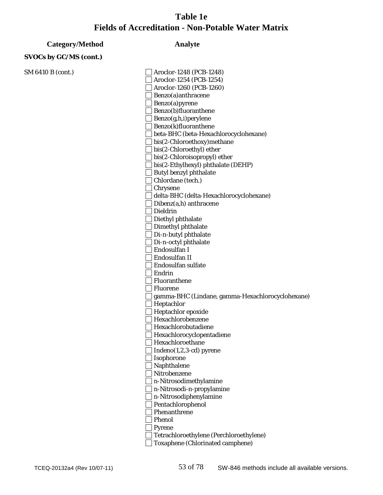#### **Category/Method Analyte**

| SVOCs by GC/MS (cont.) |  |
|------------------------|--|
|------------------------|--|

SM 6410 B (cont.)

| Aroclor-1248 (PCB-1248)                          |
|--------------------------------------------------|
| $\Box$ Aroclor-1254 (PCB-1254)                   |
| Aroclor-1260 (PCB-1260)                          |
| Benzo(a)anthracene                               |
| Benzo(a)pyrene                                   |
| Benzo(b)fluoranthene                             |
| Benzo(g,h,i)perylene [                           |
| Benzo(k)fluoranthene                             |
| beta-BHC (beta-Hexachlorocyclohexane)            |
| bis(2-Chloroethoxy)methane                       |
| bis(2-Chloroethyl) ether                         |
| bis(2-Chloroisopropyl) ether                     |
| bis(2-Ethylhexyl) phthalate (DEHP)               |
| Butyl benzyl phthalate                           |
| Chlordane (tech.)                                |
| Chrysene                                         |
| delta-BHC (delta-Hexachlorocyclohexane)_         |
| Dibenz $(a,h)$ anthracene                        |
| Dieldrin                                         |
| Diethyl phthalate                                |
| Dimethyl phthalate                               |
| Di-n-butyl phthalate                             |
| Di-n-octyl phthalate                             |
| Endosulfan I                                     |
| Endosulfan II                                    |
| <b>Endosulfan sulfate</b>                        |
| Endrin                                           |
| Fluoranthene                                     |
| Fluorene                                         |
| gamma-BHC (Lindane, gamma-Hexachlorocyclohexane) |
| Heptachlor                                       |
| Heptachlor epoxide                               |
| Hexachlorobenzene                                |
| Hexachlorobutadiene                              |
| Hexachlorocyclopentadiene                        |
| Hexachloroethane                                 |
| Indeno $(1,2,3$ -cd) pyrene                      |
| Isophorone                                       |
| Naphthalene                                      |
| Nitrobenzene                                     |
| n-Nitrosodimethylamine                           |
| n-Nitrosodi-n-propylamine                        |
| n-Nitrosodiphenylamine                           |
| Pentachlorophenol                                |
| Phenanthrene                                     |
| Phenol                                           |
| Pyrene                                           |
| Tetrachloroethylene (Perchloroethylene)          |
| Toxaphene (Chlorinated camphene)                 |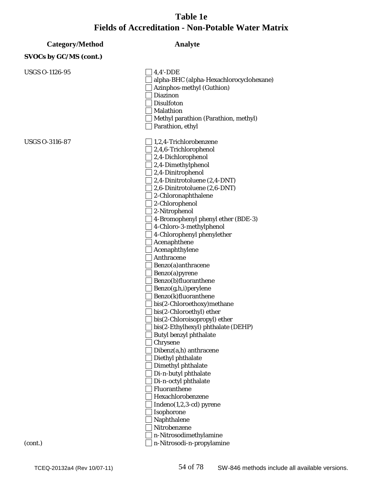| <b>Category/Method</b> | Analyte                                                                                                                                                                                                                                                                                                                                                                                                                                                                                                                                                                                                                                                                                                                                                                                                                                                                                                                       |
|------------------------|-------------------------------------------------------------------------------------------------------------------------------------------------------------------------------------------------------------------------------------------------------------------------------------------------------------------------------------------------------------------------------------------------------------------------------------------------------------------------------------------------------------------------------------------------------------------------------------------------------------------------------------------------------------------------------------------------------------------------------------------------------------------------------------------------------------------------------------------------------------------------------------------------------------------------------|
| SVOCs by GC/MS (cont.) |                                                                                                                                                                                                                                                                                                                                                                                                                                                                                                                                                                                                                                                                                                                                                                                                                                                                                                                               |
| <b>USGS 0-1126-95</b>  | $4,4'$ -DDE<br>alpha-BHC (alpha-Hexachlorocyclohexane)<br>Azinphos-methyl (Guthion)<br><b>Diazinon</b><br><b>Disulfoton</b><br>Malathion<br>Methyl parathion (Parathion, methyl)<br>Parathion, ethyl                                                                                                                                                                                                                                                                                                                                                                                                                                                                                                                                                                                                                                                                                                                          |
| <b>USGS 0-3116-87</b>  | 1,2,4-Trichlorobenzene<br>2,4,6-Trichlorophenol<br>2,4-Dichlorophenol<br>2,4-Dimethylphenol<br>2,4-Dinitrophenol<br>2,4-Dinitrotoluene (2,4-DNT)<br>2,6-Dinitrotoluene (2,6-DNT)<br>2-Chloronaphthalene<br>2-Chlorophenol<br>2-Nitrophenol<br>4-Bromophenyl phenyl ether (BDE-3)<br>4-Chloro-3-methylphenol<br>4-Chlorophenyl phenylether<br>Acenaphthene<br>Acenaphthylene<br>Anthracene<br>Benzo(a)anthracene<br>Benzo(a)pyrene<br>Benzo(b)fluoranthene<br>Benzo(g,h,i) perylene<br>Benzo(k)fluoranthene<br>bis(2-Chloroethoxy)methane<br>bis(2-Chloroethyl) ether<br>bis(2-Chloroisopropyl) ether<br>bis(2-Ethylhexyl) phthalate (DEHP)<br><b>Butyl benzyl phthalate</b><br>Chrysene<br>Dibenz(a,h) anthracene<br>Diethyl phthalate<br>Dimethyl phthalate<br>Di-n-butyl phthalate<br>Di-n-octyl phthalate<br>Fluoranthene<br>Hexachlorobenzene<br>Indeno $(1,2,3$ -cd) pyrene<br>Isophorone<br>Naphthalene<br>Nitrobenzene |
| (cont.)                | n-Nitrosodimethylamine<br>n-Nitrosodi-n-propylamine                                                                                                                                                                                                                                                                                                                                                                                                                                                                                                                                                                                                                                                                                                                                                                                                                                                                           |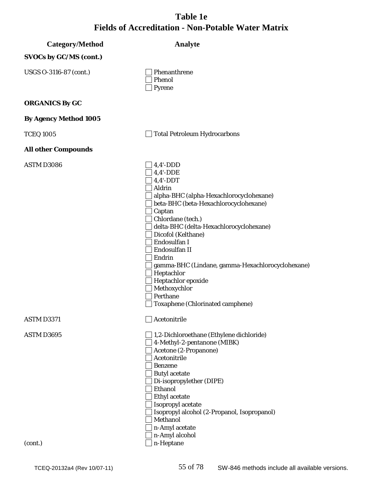| Category/Method              | Analyte                                                                                                                                                                                                                                                                                                                                                                                                                                                 |
|------------------------------|---------------------------------------------------------------------------------------------------------------------------------------------------------------------------------------------------------------------------------------------------------------------------------------------------------------------------------------------------------------------------------------------------------------------------------------------------------|
| SVOCs by GC/MS (cont.)       |                                                                                                                                                                                                                                                                                                                                                                                                                                                         |
| USGS O-3116-87 (cont.)       | Phenanthrene<br>Phenol<br>Pyrene                                                                                                                                                                                                                                                                                                                                                                                                                        |
| <b>ORGANICS By GC</b>        |                                                                                                                                                                                                                                                                                                                                                                                                                                                         |
| <b>By Agency Method 1005</b> |                                                                                                                                                                                                                                                                                                                                                                                                                                                         |
| <b>TCEQ 1005</b>             | Total Petroleum Hydrocarbons                                                                                                                                                                                                                                                                                                                                                                                                                            |
| <b>All other Compounds</b>   |                                                                                                                                                                                                                                                                                                                                                                                                                                                         |
| <b>ASTM D3086</b>            | $4,4'-DDD$<br>$4,4'$ -DDE<br>$4,4'-DDT$<br>Aldrin<br>alpha-BHC (alpha-Hexachlorocyclohexane)<br>$\Box$ beta-BHC (beta-Hexachlorocyclohexane)<br>$\Box$ Captan<br>Chlordane (tech.)<br>delta-BHC (delta-Hexachlorocyclohexane)_<br>Dicofol (Kelthane)<br>Endosulfan I<br>Endosulfan II<br>Endrin<br>gamma-BHC (Lindane, gamma-Hexachlorocyclohexane)<br>Heptachlor<br>Heptachlor epoxide<br>Methoxychlor<br>Perthane<br>Toxaphene (Chlorinated camphene) |
| ASTM D3371                   | Acetonitrile                                                                                                                                                                                                                                                                                                                                                                                                                                            |
| <b>ASTM D3695</b>            | 1,2-Dichloroethane (Ethylene dichloride)<br>4-Methyl-2-pentanone (MIBK)<br>Acetone (2-Propanone)<br>Acetonitrile<br><b>Benzene</b><br><b>Butyl</b> acetate<br>Di-isopropylether (DIPE)<br>Ethanol<br><b>Ethyl</b> acetate<br><b>Isopropyl</b> acetate<br>Isopropyl alcohol (2-Propanol, Isopropanol)<br>Methanol<br>n-Amyl acetate<br>n-Amyl alcohol                                                                                                    |
| (cont.)                      | n-Heptane                                                                                                                                                                                                                                                                                                                                                                                                                                               |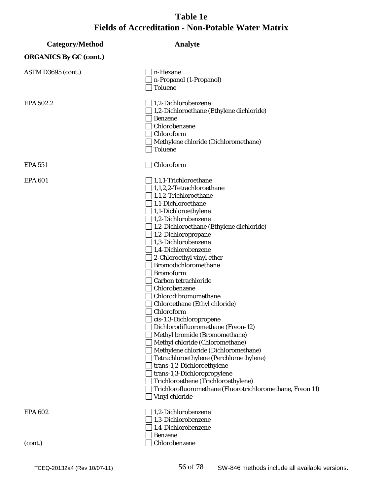| Category/Method               | Analyte                                                                                                                                                                                                                                                                                                                                                                                                                                                                                                                                                                                                                                                                                                                                                                                                                                                                                                                                         |
|-------------------------------|-------------------------------------------------------------------------------------------------------------------------------------------------------------------------------------------------------------------------------------------------------------------------------------------------------------------------------------------------------------------------------------------------------------------------------------------------------------------------------------------------------------------------------------------------------------------------------------------------------------------------------------------------------------------------------------------------------------------------------------------------------------------------------------------------------------------------------------------------------------------------------------------------------------------------------------------------|
| <b>ORGANICS By GC (cont.)</b> |                                                                                                                                                                                                                                                                                                                                                                                                                                                                                                                                                                                                                                                                                                                                                                                                                                                                                                                                                 |
| ASTM D3695 (cont.)            | n-Hexane<br>n-Propanol (1-Propanol)<br><b>Toluene</b>                                                                                                                                                                                                                                                                                                                                                                                                                                                                                                                                                                                                                                                                                                                                                                                                                                                                                           |
| EPA 502.2                     | 1,2-Dichlorobenzene<br>1,2-Dichloroethane (Ethylene dichloride)<br><b>Benzene</b><br>Chlorobenzene<br>Chloroform<br>Methylene chloride (Dichloromethane)<br><b>Toluene</b>                                                                                                                                                                                                                                                                                                                                                                                                                                                                                                                                                                                                                                                                                                                                                                      |
| <b>EPA 551</b>                | Chloroform                                                                                                                                                                                                                                                                                                                                                                                                                                                                                                                                                                                                                                                                                                                                                                                                                                                                                                                                      |
| <b>EPA 601</b>                | $\vert$ 1,1,1-Trichloroethane<br>$\Box$ 1,1,2,2-Tetrachloroethane<br>$\Box$ 1,1,2-Trichloroethane<br>1,1-Dichloroethane<br>$\Box$ 1,1-Dichloroethylene<br>$\Box$ 1,2-Dichlorobenzene<br>$\Box$ 1,2-Dichloroethane (Ethylene dichloride)<br>$\Box$ 1,2-Dichloropropane<br>$\Box$ 1,3-Dichlorobenzene<br>$\Box$ 1,4-Dichlorobenzene<br>2-Chloroethyl vinyl ether<br>Bromodichloromethane<br><b>Bromoform</b><br>Carbon tetrachloride<br>Chlorobenzene<br>Chlorodibromomethane<br>Chloroethane (Ethyl chloride)<br>Chloroform<br>$\exists$ cis-1,3-Dichloropropene<br>Dichlorodifluoromethane (Freon-12)<br>Methyl bromide (Bromomethane)<br>Methyl chloride (Chloromethane)<br>Methylene chloride (Dichloromethane)<br>Tetrachloroethylene (Perchloroethylene)<br>trans-1,2-Dichloroethylene<br>trans-1,3-Dichloropropylene<br>Trichloroethene (Trichloroethylene)<br>Trichlorofluoromethane (Fluorotrichloromethane, Freon 11)<br>Vinyl chloride |
| <b>EPA 602</b>                | 1,2-Dichlorobenzene<br>1,3-Dichlorobenzene<br>1,4-Dichlorobenzene                                                                                                                                                                                                                                                                                                                                                                                                                                                                                                                                                                                                                                                                                                                                                                                                                                                                               |
| (cont.)                       | <b>Benzene</b><br>Chlorobenzene                                                                                                                                                                                                                                                                                                                                                                                                                                                                                                                                                                                                                                                                                                                                                                                                                                                                                                                 |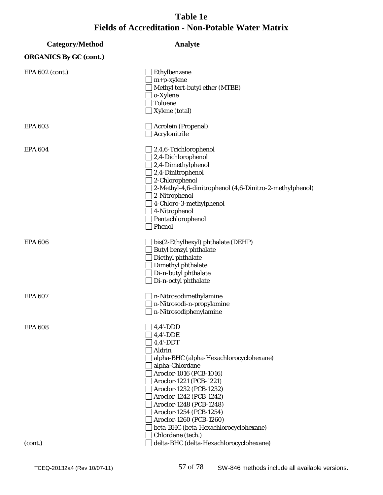| Category/Method               | Analyte                                                                                                                                                                                                                                                                                                                                                                    |
|-------------------------------|----------------------------------------------------------------------------------------------------------------------------------------------------------------------------------------------------------------------------------------------------------------------------------------------------------------------------------------------------------------------------|
| <b>ORGANICS By GC (cont.)</b> |                                                                                                                                                                                                                                                                                                                                                                            |
| EPA 602 (cont.)               | Ethylbenzene<br>$m+p$ -xylene<br>Methyl tert-butyl ether (MTBE)<br>o-Xylene<br><b>Toluene</b><br>Xylene (total)                                                                                                                                                                                                                                                            |
| <b>EPA 603</b>                | Acrolein (Propenal)<br>Acrylonitrile                                                                                                                                                                                                                                                                                                                                       |
| <b>EPA 604</b>                | 2,4,6-Trichlorophenol<br>2,4-Dichlorophenol<br>2,4-Dimethylphenol<br>2,4-Dinitrophenol<br>2-Chlorophenol<br>2-Methyl-4,6-dinitrophenol (4,6-Dinitro-2-methylphenol)<br>2-Nitrophenol<br>4-Chloro-3-methylphenol<br>4-Nitrophenol<br>Pentachlorophenol<br>Phenol                                                                                                            |
| <b>EPA 606</b>                | bis(2-Ethylhexyl) phthalate (DEHP)<br><b>Butyl benzyl phthalate</b><br>Diethyl phthalate<br>Dimethyl phthalate<br>Di-n-butyl phthalate<br>Di-n-octyl phthalate                                                                                                                                                                                                             |
| <b>EPA 607</b>                | n-Nitrosodimethylamine<br>n-Nitrosodi-n-propylamine<br>n-Nitrosodiphenylamine                                                                                                                                                                                                                                                                                              |
| <b>EPA 608</b>                | $4,4'-DDD$<br>$4,4'$ -DDE<br>$4,4'-DDT$<br>Aldrin<br>alpha-BHC (alpha-Hexachlorocyclohexane)<br>alpha-Chlordane<br>Aroclor-1016 (PCB-1016)<br>Aroclor-1221 (PCB-1221)<br>Aroclor-1232 (PCB-1232)<br>Aroclor-1242 (PCB-1242)<br>Aroclor-1248 (PCB-1248)<br>Aroclor-1254 (PCB-1254)<br>Aroclor-1260 (PCB-1260)<br>beta-BHC (beta-Hexachlorocyclohexane)<br>Chlordane (tech.) |
| (cont.)                       | delta-BHC (delta-Hexachlorocyclohexane)                                                                                                                                                                                                                                                                                                                                    |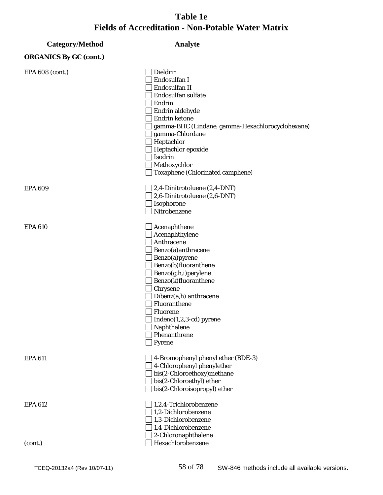| Category/Method               | Analyte                                                                                                                                                                                                                                                                                                |
|-------------------------------|--------------------------------------------------------------------------------------------------------------------------------------------------------------------------------------------------------------------------------------------------------------------------------------------------------|
| <b>ORGANICS By GC (cont.)</b> |                                                                                                                                                                                                                                                                                                        |
| EPA 608 (cont.)               | <b>Dieldrin</b><br>Endosulfan I<br>Endosulfan II<br>Endosulfan sulfate<br>Endrin<br>Endrin aldehyde<br><b>Endrin ketone</b><br>gamma-BHC (Lindane, gamma-Hexachlorocyclohexane)<br>gamma-Chlordane<br>Heptachlor<br>Heptachlor epoxide<br>Isodrin<br>Methoxychlor<br>Toxaphene (Chlorinated camphene)  |
| <b>EPA 609</b>                | 2,4-Dinitrotoluene (2,4-DNT)<br>2,6-Dinitrotoluene (2,6-DNT)<br>Isophorone<br>Nitrobenzene                                                                                                                                                                                                             |
| <b>EPA 610</b>                | Acenaphthene<br>Acenaphthylene<br>Anthracene<br>Benzo(a)anthracene<br>Benzo(a)pyrene<br>Benzo(b)fluoranthene<br>Benzo(g,h,i) perylene<br>Benzo(k)fluoranthene<br>Chrysene<br>Dibenz(a,h) anthracene<br>Fluoranthene<br>Fluorene<br>Indeno $(1,2,3-cd)$ pyrene<br>Naphthalene<br>Phenanthrene<br>Pyrene |
| <b>EPA 611</b>                | 4-Bromophenyl phenyl ether (BDE-3)<br>4-Chlorophenyl phenylether<br>bis(2-Chloroethoxy)methane<br>bis(2-Chloroethyl) ether<br>bis(2-Chloroisopropyl) ether                                                                                                                                             |
| <b>EPA 612</b>                | 1,2,4-Trichlorobenzene<br>1,2-Dichlorobenzene<br>1,3-Dichlorobenzene<br>1,4-Dichlorobenzene<br>2-Chloronaphthalene                                                                                                                                                                                     |
| (cont.)                       | Hexachlorobenzene                                                                                                                                                                                                                                                                                      |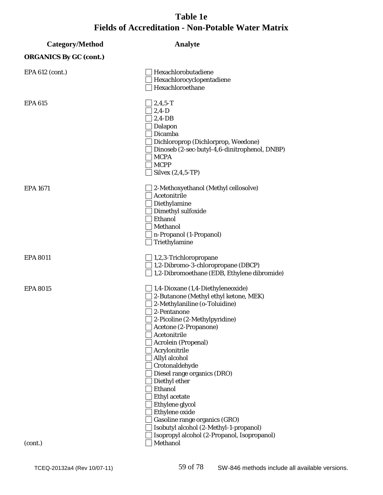| Category/Method               | Analyte                                                                                                                                                                                                                                                                                                                                                                                                                                                                                   |
|-------------------------------|-------------------------------------------------------------------------------------------------------------------------------------------------------------------------------------------------------------------------------------------------------------------------------------------------------------------------------------------------------------------------------------------------------------------------------------------------------------------------------------------|
| <b>ORGANICS By GC (cont.)</b> |                                                                                                                                                                                                                                                                                                                                                                                                                                                                                           |
| EPA 612 (cont.)               | Hexachlorobutadiene<br>Hexachlorocyclopentadiene<br>Hexachloroethane                                                                                                                                                                                                                                                                                                                                                                                                                      |
| <b>EPA 615</b>                | $2,4,5-T$<br>$2,4-D$<br>$2,4$ -DB<br>Dalapon<br>Dicamba<br>Dichloroprop (Dichlorprop, Weedone)<br>Dinoseb (2-sec-butyl-4,6-dinitrophenol, DNBP)<br><b>MCPA</b><br><b>MCPP</b><br>Silvex $(2,4,5-TP)$                                                                                                                                                                                                                                                                                      |
| <b>EPA 1671</b>               | 2-Methoxyethanol (Methyl cellosolve)<br>Acetonitrile<br>$\Box$ Diethylamine<br>Dimethyl sulfoxide<br>$\exists$ Ethanol<br>$\Box$ Methanol<br>$\Box$ n-Propanol (1-Propanol)<br>$\Box$ Triethylamine                                                                                                                                                                                                                                                                                       |
| <b>EPA 8011</b>               | $\Box$ 1,2,3-Trichloropropane<br>$\Box$ 1,2-Dibromo-3-chloropropane (DBCP)<br>$\Box$ 1,2-Dibromoethane (EDB, Ethylene dibromide)                                                                                                                                                                                                                                                                                                                                                          |
| <b>EPA 8015</b>               | $\Box$ 1,4-Dioxane (1,4-Diethyleneoxide)<br>2-Butanone (Methyl ethyl ketone, MEK)<br>2-Methylaniline (o-Toluidine)<br>2-Pentanone<br>2-Picoline (2-Methylpyridine)<br>Acetone (2-Propanone)<br>Acetonitrile<br>Acrolein (Propenal)<br>Acrylonitrile<br>Allyl alcohol<br>Crotonaldehyde<br>Diesel range organics (DRO)<br>Diethyl ether<br>Ethanol<br><b>Ethyl</b> acetate<br>Ethylene glycol<br>Ethylene oxide<br>Gasoline range organics (GRO)<br>Isobutyl alcohol (2-Methyl-1-propanol) |
| (cont.)                       | Isopropyl alcohol (2-Propanol, Isopropanol)<br>Methanol                                                                                                                                                                                                                                                                                                                                                                                                                                   |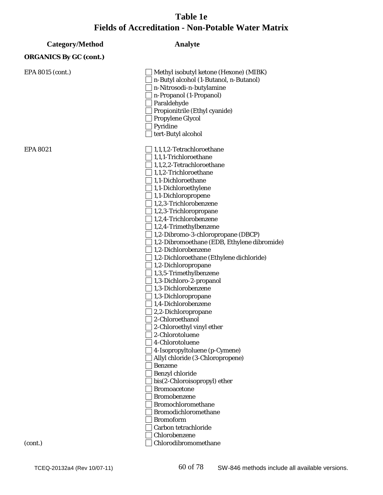| <b>Category/Method</b>        | Analyte                                                                                                                                                                                                                                                                                                                                                                                                                                                                                                                                                                                                                                                                                                                                                                                                                                                                                                                                                                                              |
|-------------------------------|------------------------------------------------------------------------------------------------------------------------------------------------------------------------------------------------------------------------------------------------------------------------------------------------------------------------------------------------------------------------------------------------------------------------------------------------------------------------------------------------------------------------------------------------------------------------------------------------------------------------------------------------------------------------------------------------------------------------------------------------------------------------------------------------------------------------------------------------------------------------------------------------------------------------------------------------------------------------------------------------------|
| <b>ORGANICS By GC (cont.)</b> |                                                                                                                                                                                                                                                                                                                                                                                                                                                                                                                                                                                                                                                                                                                                                                                                                                                                                                                                                                                                      |
| EPA 8015 (cont.)              | Methyl isobutyl ketone (Hexone) (MIBK)<br>n-Butyl alcohol (1-Butanol, n-Butanol)<br>n-Nitrosodi-n-butylamine<br>n-Propanol (1-Propanol)<br>Paraldehyde<br>Propionitrile (Ethyl cyanide)<br>Propylene Glycol<br>Pyridine<br>tert-Butyl alcohol                                                                                                                                                                                                                                                                                                                                                                                                                                                                                                                                                                                                                                                                                                                                                        |
| <b>EPA 8021</b>               | 1,1,1,2-Tetrachloroethane<br>1,1,1-Trichloroethane<br>1,1,2,2-Tetrachloroethane<br>1,1,2-Trichloroethane<br>1,1-Dichloroethane<br>1,1-Dichloroethylene<br>1,1-Dichloropropene<br>1,2,3-Trichlorobenzene<br>1,2,3-Trichloropropane<br>1,2,4-Trichlorobenzene<br>1,2,4-Trimethylbenzene<br>1,2-Dibromo-3-chloropropane (DBCP)<br>1,2-Dibromoethane (EDB, Ethylene dibromide)<br>1,2-Dichlorobenzene<br>1,2-Dichloroethane (Ethylene dichloride)<br>1,2-Dichloropropane<br>1,3,5-Trimethylbenzene<br>1,3-Dichloro-2-propanol<br>1,3-Dichlorobenzene<br>1,3-Dichloropropane<br>1,4-Dichlorobenzene<br>2,2-Dichloropropane<br>2-Chloroethanol<br>2-Chloroethyl vinyl ether<br>2-Chlorotoluene<br>4-Chlorotoluene<br>4-Isopropyltoluene (p-Cymene)<br>Allyl chloride (3-Chloropropene)<br><b>Benzene</b><br><b>Benzyl</b> chloride<br>bis(2-Chloroisopropyl) ether<br><b>Bromoacetone</b><br><b>Bromobenzene</b><br>Bromochloromethane<br>Bromodichloromethane<br><b>Bromoform</b><br>Carbon tetrachloride |
| (cont.)                       | Chlorobenzene<br>Chlorodibromomethane                                                                                                                                                                                                                                                                                                                                                                                                                                                                                                                                                                                                                                                                                                                                                                                                                                                                                                                                                                |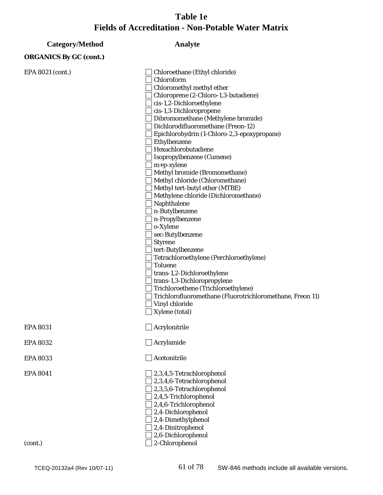| Category/Method               | Analyte                                                                                                                                                                                                                                                                                                                                                                                                                                                                                                                                                                                                                                                                                                                                                                                                                                                                                                                                      |
|-------------------------------|----------------------------------------------------------------------------------------------------------------------------------------------------------------------------------------------------------------------------------------------------------------------------------------------------------------------------------------------------------------------------------------------------------------------------------------------------------------------------------------------------------------------------------------------------------------------------------------------------------------------------------------------------------------------------------------------------------------------------------------------------------------------------------------------------------------------------------------------------------------------------------------------------------------------------------------------|
| <b>ORGANICS By GC (cont.)</b> |                                                                                                                                                                                                                                                                                                                                                                                                                                                                                                                                                                                                                                                                                                                                                                                                                                                                                                                                              |
| EPA 8021 (cont.)              | Chloroethane (Ethyl chloride)<br>Chloroform<br>Chloromethyl methyl ether<br>Chloroprene (2-Chloro-1,3-butadiene)<br>cis-1,2-Dichloroethylene<br>cis-1,3-Dichloropropene<br>Dibromomethane (Methylene bromide)<br>Dichlorodifluoromethane (Freon-12)<br>Epichlorohydrin (1-Chloro-2,3-epoxypropane)<br>Ethylbenzene<br>Hexachlorobutadiene<br>Isopropylbenzene (Cumene)<br>$m+p$ -xylene<br>Methyl bromide (Bromomethane)<br>Methyl chloride (Chloromethane)<br>Methyl tert-butyl ether (MTBE)<br>Methylene chloride (Dichloromethane)<br>Naphthalene<br>n-Butylbenzene<br>n-Propylbenzene<br>o-Xylene<br>sec-Butylbenzene<br><b>Styrene</b><br>tert-Butylbenzene<br>Tetrachloroethylene (Perchloroethylene)<br><b>Toluene</b><br>trans-1,2-Dichloroethylene<br>trans-1,3-Dichloropropylene<br>Trichloroethene (Trichloroethylene)<br>Trichlorofluoromethane (Fluorotrichloromethane, Freon 11)<br>Vinyl chloride<br>$\exists$ Xylene (total) |
| <b>EPA 8031</b>               | Acrylonitrile                                                                                                                                                                                                                                                                                                                                                                                                                                                                                                                                                                                                                                                                                                                                                                                                                                                                                                                                |
| <b>EPA 8032</b>               | Acrylamide                                                                                                                                                                                                                                                                                                                                                                                                                                                                                                                                                                                                                                                                                                                                                                                                                                                                                                                                   |
| <b>EPA 8033</b>               | Acetonitrile                                                                                                                                                                                                                                                                                                                                                                                                                                                                                                                                                                                                                                                                                                                                                                                                                                                                                                                                 |
| <b>EPA 8041</b>               | 2,3,4,5-Tetrachlorophenol<br>2,3,4,6-Tetrachlorophenol<br>2,3,5,6-Tetrachlorophenol<br>2,4,5-Trichlorophenol<br>2,4,6-Trichlorophenol<br>2,4-Dichlorophenol<br>2,4-Dimethylphenol<br>2,4-Dinitrophenol<br>2,6-Dichlorophenol                                                                                                                                                                                                                                                                                                                                                                                                                                                                                                                                                                                                                                                                                                                 |
| (cont.)                       | 2-Chlorophenol                                                                                                                                                                                                                                                                                                                                                                                                                                                                                                                                                                                                                                                                                                                                                                                                                                                                                                                               |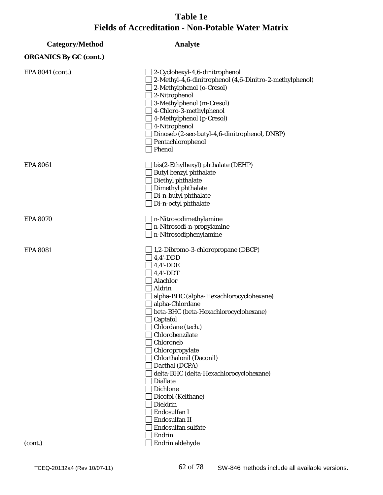| Category/Method               | <b>Analyte</b>                                                                                                                                                                                                                                                                                                                                                                                                                                                                                                                  |
|-------------------------------|---------------------------------------------------------------------------------------------------------------------------------------------------------------------------------------------------------------------------------------------------------------------------------------------------------------------------------------------------------------------------------------------------------------------------------------------------------------------------------------------------------------------------------|
| <b>ORGANICS By GC (cont.)</b> |                                                                                                                                                                                                                                                                                                                                                                                                                                                                                                                                 |
| EPA 8041 (cont.)              | 2-Cyclohexyl-4,6-dinitrophenol<br>2-Methyl-4,6-dinitrophenol (4,6-Dinitro-2-methylphenol)<br>2-Methylphenol (o-Cresol)<br>2-Nitrophenol<br>3-Methylphenol (m-Cresol)<br>4-Chloro-3-methylphenol<br>4-Methylphenol (p-Cresol)<br>4-Nitrophenol<br>Dinoseb (2-sec-butyl-4,6-dinitrophenol, DNBP)<br>Pentachlorophenol<br>Phenol                                                                                                                                                                                                   |
| <b>EPA 8061</b>               | bis(2-Ethylhexyl) phthalate (DEHP)<br><b>Butyl benzyl phthalate</b><br>Diethyl phthalate<br>Dimethyl phthalate<br>Di-n-butyl phthalate<br>Di-n-octyl phthalate                                                                                                                                                                                                                                                                                                                                                                  |
| <b>EPA 8070</b>               | n-Nitrosodimethylamine<br>n-Nitrosodi-n-propylamine<br>n-Nitrosodiphenylamine                                                                                                                                                                                                                                                                                                                                                                                                                                                   |
| <b>EPA 8081</b>               | 1,2-Dibromo-3-chloropropane (DBCP)<br>$4,4'-DDD$<br>$4,4'$ -DDE<br>$4,4'-DDT$<br>Alachlor<br>Aldrin<br>alpha-BHC (alpha-Hexachlorocyclohexane)<br>alpha-Chlordane<br>beta-BHC (beta-Hexachlorocyclohexane)<br>Captafol<br>Chlordane (tech.)<br>Chlorobenzilate<br>Chloroneb<br>Chloropropylate<br>Chlorthalonil (Daconil)<br>Dacthal (DCPA)<br>delta-BHC (delta-Hexachlorocyclohexane)<br><b>Diallate</b><br><b>Dichlone</b><br>Dicofol (Kelthane)<br>Dieldrin<br>Endosulfan I<br>Endosulfan II<br>Endosulfan sulfate<br>Endrin |
| (cont.)                       | Endrin aldehyde                                                                                                                                                                                                                                                                                                                                                                                                                                                                                                                 |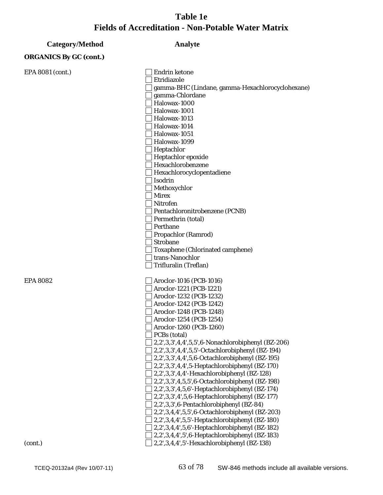| Category/Method               | Analyte                                                                                                                                                                                                                                                                                                                                                                                                                                                                                                                                                                                                                                                                                                                                                                                                                                                                |
|-------------------------------|------------------------------------------------------------------------------------------------------------------------------------------------------------------------------------------------------------------------------------------------------------------------------------------------------------------------------------------------------------------------------------------------------------------------------------------------------------------------------------------------------------------------------------------------------------------------------------------------------------------------------------------------------------------------------------------------------------------------------------------------------------------------------------------------------------------------------------------------------------------------|
| <b>ORGANICS By GC (cont.)</b> |                                                                                                                                                                                                                                                                                                                                                                                                                                                                                                                                                                                                                                                                                                                                                                                                                                                                        |
| EPA 8081 (cont.)              | <b>Endrin ketone</b><br>Etridiazole<br>gamma-BHC (Lindane, gamma-Hexachlorocyclohexane)<br>gamma-Chlordane<br>Halowax-1000<br>Halowax-1001<br>Halowax-1013<br>Halowax-1014<br>Halowax-1051<br>Halowax-1099<br>Heptachlor<br>Heptachlor epoxide<br>Hexachlorobenzene<br>Hexachlorocyclopentadiene<br>Isodrin<br>Methoxychlor<br><b>Mirex</b><br>Nitrofen<br>Pentachloronitrobenzene (PCNB)<br>Permethrin (total)<br>Perthane<br>Propachlor (Ramrod)<br><b>Strobane</b><br>Toxaphene (Chlorinated camphene)<br>trans-Nanochlor<br>Trifluralin (Treflan)                                                                                                                                                                                                                                                                                                                  |
| <b>EPA 8082</b>               | Aroclor-1016 (PCB-1016)<br>Aroclor-1221 (PCB-1221)<br>Aroclor-1232 (PCB-1232)<br>Aroclor-1242 (PCB-1242)<br>Aroclor-1248 (PCB-1248)<br>Aroclor-1254 (PCB-1254)<br>Aroclor-1260 (PCB-1260)<br>PCBs (total)<br>2,2',3,3',4,4',5,5',6-Nonachlorobiphenyl (BZ-206)<br>2,2',3,3',4,4',5,5'-Octachlorobiphenyl (BZ-194)<br>2,2',3,3',4,4',5,6-Octachlorobiphenyl (BZ-195)<br>2,2',3,3',4,4',5-Heptachlorobiphenyl (BZ-170)<br>2,2',3,3',4,4'-Hexachlorobiphenyl (BZ-128)<br>2,2',3,3',4,5,5',6-Octachlorobiphenyl (BZ-198)<br>2,2',3,3',4,5,6'-Heptachlorobiphenyl (BZ-174)<br>2,2',3,3',4',5,6-Heptachlorobiphenyl (BZ-177)<br>2,2',3,3',6-Pentachlorobiphenyl (BZ-84)<br>2,2',3,4,4',5,5',6-Octachlorobiphenyl (BZ-203)<br>2,2',3,4,4',5,5'-Heptachlorobiphenyl (BZ-180)<br>2,2',3,4,4',5,6'-Heptachlorobiphenyl (BZ-182)<br>2,2',3,4,4',5',6-Heptachlorobiphenyl (BZ-183) |
| (cont.)                       | 2,2',3,4,4',5'-Hexachlorobiphenyl (BZ-138)                                                                                                                                                                                                                                                                                                                                                                                                                                                                                                                                                                                                                                                                                                                                                                                                                             |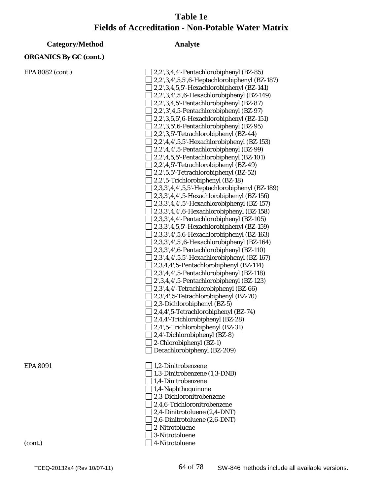#### **Category/Method Analyte**

**ORGANICS By GC (cont.)**

EPA 8082 (cont.)

| $\Box$ 2,2',3,4,4'-Pentachlorobiphenyl (BZ-85)       |
|------------------------------------------------------|
| $\Box$ 2,2',3,4',5,5',6-Heptachlorobiphenyl (BZ-187) |
|                                                      |
| $\Box$ 2,2',3,4,5,5'-Hexachlorobiphenyl (BZ-141)     |
| $\Box$ 2,2',3,4',5',6-Hexachlorobiphenyl (BZ-149)    |
| $\Box$ 2,2',3,4,5'-Pentachlorobiphenyl (BZ-87)       |
| $\Box$ 2,2',3',4,5-Pentachlorobiphenyl (BZ-97)       |
| $\Box$ 2,2',3,5,5',6-Hexachlorobiphenyl (BZ-151)     |
|                                                      |
| $\Box$ 2,2',3,5',6-Pentachlorobiphenyl (BZ-95)       |
| $\Box$ 2,2',3,5'-Tetrachlorobiphenyl (BZ-44)         |
| $\Box$ 2,2',4,4',5,5'-Hexachlorobiphenyl (BZ-153)    |
| $\Box$ 2,2',4,4',5-Pentachlorobiphenyl (BZ-99)       |
| $\Box$ 2,2',4,5,5'-Pentachlorobiphenyl (BZ-101)      |
|                                                      |
| $\Box$ 2,2',4,5'-Tetrachlorobiphenyl (BZ-49)         |
| $\Box$ 2,2',5,5'-Tetrachlorobiphenyl (BZ-52)         |
| 2,2',5-Trichlorobiphenyl (BZ-18)                     |
| $\Box$ 2,3,3',4,4',5,5'-Heptachlorobiphenyl (BZ-189) |
| $\exists$ 2,3,3',4,4',5-Hexachlorobiphenyl (BZ-156)  |
|                                                      |
| $\Box$ 2,3,3',4,4',5'-Hexachlorobiphenyl (BZ-157)    |
| $\Box$ 2,3,3',4,4',6-Hexachlorobiphenyl (BZ-158)     |
| $\Box$ 2,3,3',4,4'-Pentachlorobiphenyl (BZ-105)      |
| $\Box$ 2,3,3',4,5,5'-Hexachlorobiphenyl (BZ-159)     |
| $\Box$ 2,3,3',4',5,6-Hexachlorobiphenyl (BZ-163)     |
|                                                      |
| $\Box$ 2,3,3',4',5',6-Hexachlorobiphenyl (BZ-164)    |
| $\Box$ 2,3,3',4',6-Pentachlorobiphenyl (BZ-110)      |
| $\Box$ 2,3',4,4',5,5'-Hexachlorobiphenyl (BZ-167)    |
| $\Box$ 2,3,4,4',5-Pentachlorobiphenyl (BZ-114)       |
| $\exists$ 2,3',4,4',5-Pentachlorobiphenyl (BZ-118)   |
| $\exists$ 2',3,4,4',5-Pentachlorobiphenyl (BZ-123)   |
|                                                      |
| $\exists$ 2,3',4,4'-Tetrachlorobiphenyl (BZ-66)      |
| 2,3',4',5-Tetrachlorobiphenyl (BZ-70)                |
| 3,3-Dichlorobiphenyl (BZ-5)                          |
| $\exists$ 2,4,4',5-Tetrachlorobiphenyl (BZ-74)       |
| $\Box$ 2,4,4'-Trichlorobiphenyl (BZ-28)              |
| $\Box$ 2,4',5-Trichlorobiphenyl (BZ-31)              |
|                                                      |
| $\Box$ 2,4'-Dichlorobiphenyl (BZ-8)                  |
| 2-Chlorobiphenyl (BZ-1)                              |
| Decachlorobiphenyl (BZ-209)                          |
|                                                      |
| 1,2-Dinitrobenzene                                   |
| 1,3-Dinitrobenzene (1,3-DNB)                         |
|                                                      |
| 1,4-Dinitrobenzene                                   |
| 1,4-Naphthoquinone                                   |
| 2,3-Dichloronitrobenzene                             |
| 2,4,6-Trichloronitrobenzene                          |
| 2,4-Dinitrotoluene (2,4-DNT)                         |
| 2,6-Dinitrotoluene (2,6-DNT)                         |
| 2-Nitrotoluene                                       |
|                                                      |
| 3-Nitrotoluene                                       |

EPA 8091

(cont.) 4-Nitrotoluene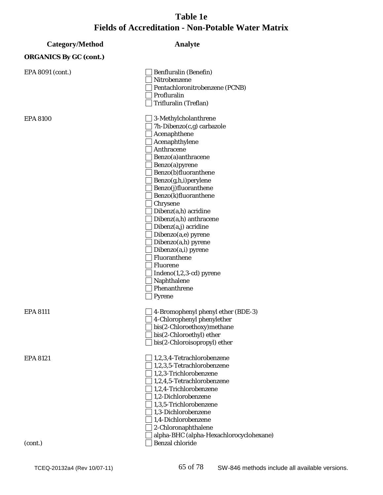| Category/Method               | Analyte                                                                                                                                                                                                                                                                                                                                                                                                                                                                                        |
|-------------------------------|------------------------------------------------------------------------------------------------------------------------------------------------------------------------------------------------------------------------------------------------------------------------------------------------------------------------------------------------------------------------------------------------------------------------------------------------------------------------------------------------|
| <b>ORGANICS By GC (cont.)</b> |                                                                                                                                                                                                                                                                                                                                                                                                                                                                                                |
| EPA 8091 (cont.)              | Benfluralin (Benefin)<br>Nitrobenzene<br>Pentachloronitrobenzene (PCNB)<br>Profluralin<br>Trifluralin (Treflan)                                                                                                                                                                                                                                                                                                                                                                                |
| <b>EPA 8100</b>               | 3-Methylcholanthrene<br>7h-Dibenzo(c,g) carbazole<br>Acenaphthene<br>Acenaphthylene<br>Anthracene<br>Benzo(a)anthracene<br>Benzo(a) pyrene<br>Benzo(b)fluoranthene<br>Benzo(g,h,i) perylene<br>Benzo(j)fluoranthene<br>Benzo(k)fluoranthene<br>Chrysene<br>Dibenz(a,h) acridine<br>Dibenz(a,h) anthracene<br>Dibenz(a,j) acridine<br>Dibenzo(a,e) pyrene<br>Dibenzo(a,h) pyrene<br>Dibenzo(a,i) pyrene<br>Fluoranthene<br>Fluorene<br>$Indeno(1,2,3-cd)$ pyrene<br>Naphthalene<br>Phenanthrene |
| <b>EPA 8111</b>               | Pyrene                                                                                                                                                                                                                                                                                                                                                                                                                                                                                         |
|                               | 4-Bromophenyl phenyl ether (BDE-3)<br>4-Chlorophenyl phenylether<br>bis(2-Chloroethoxy)methane<br>bis(2-Chloroethyl) ether<br>bis(2-Chloroisopropyl) ether                                                                                                                                                                                                                                                                                                                                     |
| <b>EPA 8121</b>               | 1,2,3,4-Tetrachlorobenzene<br>1,2,3,5-Tetrachlorobenzene<br>1,2,3-Trichlorobenzene<br>1,2,4,5-Tetrachlorobenzene<br>1,2,4-Trichlorobenzene<br>1,2-Dichlorobenzene<br>1,3,5-Trichlorobenzene<br>1,3-Dichlorobenzene<br>1,4-Dichlorobenzene<br>2-Chloronaphthalene                                                                                                                                                                                                                               |
| (cont.)                       | alpha-BHC (alpha-Hexachlorocyclohexane)<br><b>Benzal chloride</b>                                                                                                                                                                                                                                                                                                                                                                                                                              |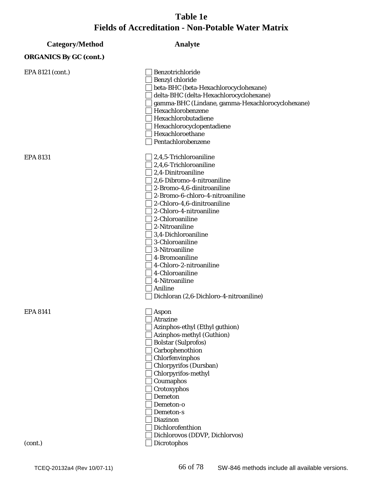| Category/Method               | <b>Analyte</b>                                                                                                                                                                                                                                                                                                                                                                                                                                                           |
|-------------------------------|--------------------------------------------------------------------------------------------------------------------------------------------------------------------------------------------------------------------------------------------------------------------------------------------------------------------------------------------------------------------------------------------------------------------------------------------------------------------------|
| <b>ORGANICS By GC (cont.)</b> |                                                                                                                                                                                                                                                                                                                                                                                                                                                                          |
| EPA 8121 (cont.)              | Benzotrichloride<br>Benzyl chloride<br>beta-BHC (beta-Hexachlorocyclohexane)<br>delta-BHC (delta-Hexachlorocyclohexane)<br>gamma-BHC (Lindane, gamma-Hexachlorocyclohexane)<br>Hexachlorobenzene<br>Hexachlorobutadiene<br>Hexachlorocyclopentadiene<br>Hexachloroethane<br>Pentachlorobenzene                                                                                                                                                                           |
| <b>EPA 8131</b>               | 2,4,5-Trichloroaniline<br>2,4,6-Trichloroaniline<br>2,4-Dinitroaniline<br>2,6-Dibromo-4-nitroaniline<br>2-Bromo-4,6-dinitroaniline<br>2-Bromo-6-chloro-4-nitroaniline<br>2-Chloro-4,6-dinitroaniline<br>2-Chloro-4-nitroaniline<br>2-Chloroaniline<br>2-Nitroaniline<br>3,4-Dichloroaniline<br>3-Chloroaniline<br>3-Nitroaniline<br>4-Bromoaniline<br>4-Chloro-2-nitroaniline<br>4-Chloroaniline<br>4-Nitroaniline<br>Aniline<br>Dichloran (2,6-Dichloro-4-nitroaniline) |
| <b>EPA 8141</b>               | Aspon<br><b>Atrazine</b><br>Azinphos-ethyl (Ethyl guthion)<br>Azinphos-methyl (Guthion)<br><b>Bolstar (Sulprofos)</b><br>Carbophenothion<br>Chlorfenvinphos<br>Chlorpyrifos (Dursban)<br>Chlorpyrifos-methyl<br>Coumaphos<br>Crotoxyphos<br>Demeton<br>Demeton-o<br>Demeton-s<br>Diazinon<br>Dichlorofenthion<br>Dichlorovos (DDVP, Dichlorvos)                                                                                                                          |
| (cont.)                       | Dicrotophos                                                                                                                                                                                                                                                                                                                                                                                                                                                              |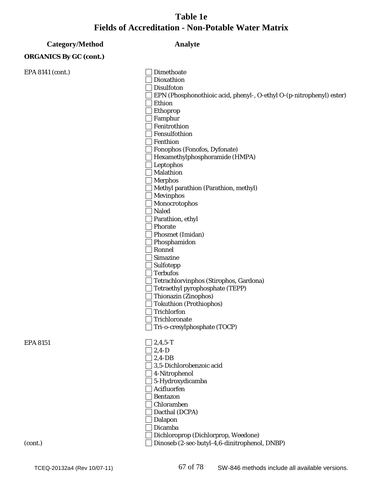#### **Category/Method Analyte**

#### **ORGANICS By GC (cont.)**

| EPA 8141 (cont.) | Dimethoate                                                           |
|------------------|----------------------------------------------------------------------|
|                  | Dioxathion                                                           |
|                  | Disulfoton                                                           |
|                  | EPN (Phosphonothioic acid, phenyl-, O-ethyl O-(p-nitrophenyl) ester) |
|                  | Ethion                                                               |
|                  | Ethoprop                                                             |
|                  | Famphur                                                              |
|                  | Fenitrothion                                                         |
|                  | Fensulfothion                                                        |
|                  | Fenthion                                                             |
|                  | Fonophos (Fonofos, Dyfonate)                                         |
|                  | Hexamethylphosphoramide (HMPA)                                       |
|                  | Leptophos                                                            |
|                  | Malathion                                                            |
|                  | <b>Merphos</b>                                                       |
|                  | Methyl parathion (Parathion, methyl)                                 |
|                  | <b>Mevinphos</b>                                                     |
|                  | Monocrotophos                                                        |
|                  | <b>Naled</b>                                                         |
|                  | Parathion, ethyl                                                     |
|                  | Phorate                                                              |
|                  | Phosmet (Imidan)                                                     |
|                  | Phosphamidon                                                         |
|                  | Ronnel                                                               |
|                  | Simazine                                                             |
|                  | Sulfotepp                                                            |
|                  | <b>Terbufos</b>                                                      |
|                  | Tetrachlorvinphos (Stirophos, Gardona)                               |
|                  | Tetraethyl pyrophosphate (TEPP)                                      |
|                  | Thionazin (Zinophos)                                                 |
|                  | <b>Tokuthion (Prothiophos)</b>                                       |
|                  | Trichlorfon                                                          |
|                  | Trichloronate                                                        |
|                  | Tri-o-cresylphosphate (TOCP)                                         |
|                  |                                                                      |
| <b>EPA 8151</b>  | $ 2,4,5-T$                                                           |
|                  | $2,4-D$                                                              |
|                  | $2,4$ -DB                                                            |
|                  | 3,5-Dichlorobenzoic acid                                             |
|                  | 4-Nitrophenol                                                        |
|                  |                                                                      |
|                  | 5-Hydroxydicamba<br>$\Box$ Acifluorfen                               |
|                  |                                                                      |
|                  | <b>Bentazon</b><br>Chloramben                                        |
|                  |                                                                      |
|                  | Dacthal (DCPA)                                                       |
|                  | Dalapon                                                              |
|                  | Dicamba                                                              |
|                  | Dichloroprop (Dichlorprop, Weedone)                                  |
| (cont.)          | Dinoseb (2-sec-butyl-4,6-dinitrophenol, DNBP)                        |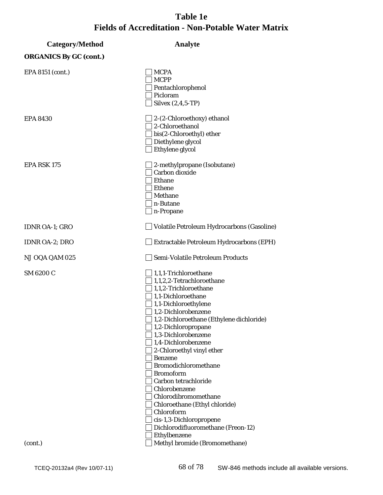| Category/Method               | Analyte                                                                                                                                                                                                                                                                                                                                                                                                                                                                                                                                       |
|-------------------------------|-----------------------------------------------------------------------------------------------------------------------------------------------------------------------------------------------------------------------------------------------------------------------------------------------------------------------------------------------------------------------------------------------------------------------------------------------------------------------------------------------------------------------------------------------|
| <b>ORGANICS By GC (cont.)</b> |                                                                                                                                                                                                                                                                                                                                                                                                                                                                                                                                               |
| EPA 8151 (cont.)              | <b>MCPA</b><br><b>MCPP</b><br>Pentachlorophenol<br>Picloram<br>Silvex (2,4,5-TP)                                                                                                                                                                                                                                                                                                                                                                                                                                                              |
| <b>EPA 8430</b>               | 2-(2-Chloroethoxy) ethanol<br>2-Chloroethanol<br>bis(2-Chloroethyl) ether<br>Diethylene glycol<br>Ethylene glycol                                                                                                                                                                                                                                                                                                                                                                                                                             |
| EPA RSK 175                   | 2-methylpropane (Isobutane)<br>Carbon dioxide<br><b>Ethane</b><br>Ethene<br>Methane<br>n-Butane<br>n-Propane                                                                                                                                                                                                                                                                                                                                                                                                                                  |
| <b>IDNR OA-1; GRO</b>         | Volatile Petroleum Hydrocarbons (Gasoline)                                                                                                                                                                                                                                                                                                                                                                                                                                                                                                    |
| <b>IDNR OA-2; DRO</b>         | Extractable Petroleum Hydrocarbons (EPH)                                                                                                                                                                                                                                                                                                                                                                                                                                                                                                      |
| NJ OQA QAM 025                | Semi-Volatile Petroleum Products                                                                                                                                                                                                                                                                                                                                                                                                                                                                                                              |
| SM 6200 C                     | 1,1,1-Trichloroethane<br>1,1,2,2-Tetrachloroethane<br>1,1,2-Trichloroethane<br>1,1-Dichloroethane<br>1,1-Dichloroethylene<br>1,2-Dichlorobenzene<br>1,2-Dichloroethane (Ethylene dichloride)<br>1,2-Dichloropropane<br>1,3-Dichlorobenzene<br>1,4-Dichlorobenzene<br>2-Chloroethyl vinyl ether<br><b>Benzene</b><br>Bromodichloromethane<br><b>Bromoform</b><br>Carbon tetrachloride<br>Chlorobenzene<br>Chlorodibromomethane<br>Chloroethane (Ethyl chloride)<br>Chloroform<br>cis-1,3-Dichloropropene<br>Dichlorodifluoromethane (Freon-12) |
| (cont.)                       | Ethylbenzene<br>Methyl bromide (Bromomethane)                                                                                                                                                                                                                                                                                                                                                                                                                                                                                                 |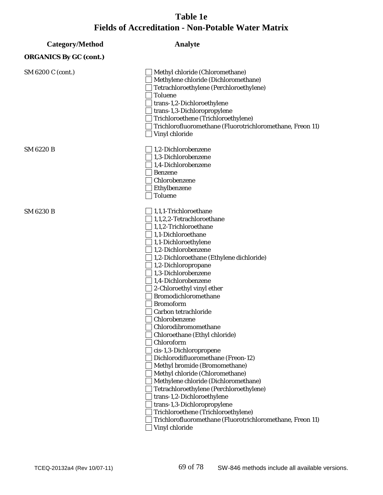| Category/Method               | Analyte                                                                                                                                                                                                                                                                                                                                                                                                                                                                                                                                                                                                                                                                                                                                                                                                                                                                       |
|-------------------------------|-------------------------------------------------------------------------------------------------------------------------------------------------------------------------------------------------------------------------------------------------------------------------------------------------------------------------------------------------------------------------------------------------------------------------------------------------------------------------------------------------------------------------------------------------------------------------------------------------------------------------------------------------------------------------------------------------------------------------------------------------------------------------------------------------------------------------------------------------------------------------------|
| <b>ORGANICS By GC (cont.)</b> |                                                                                                                                                                                                                                                                                                                                                                                                                                                                                                                                                                                                                                                                                                                                                                                                                                                                               |
| SM 6200 C (cont.)             | Methyl chloride (Chloromethane)<br>Methylene chloride (Dichloromethane)<br>Tetrachloroethylene (Perchloroethylene)<br><b>Toluene</b><br>trans-1,2-Dichloroethylene<br>trans-1,3-Dichloropropylene<br>Trichloroethene (Trichloroethylene)<br>Trichlorofluoromethane (Fluorotrichloromethane, Freon 11)<br>Vinyl chloride                                                                                                                                                                                                                                                                                                                                                                                                                                                                                                                                                       |
| <b>SM 6220 B</b>              | 1,2-Dichlorobenzene<br>1,3-Dichlorobenzene<br>1,4-Dichlorobenzene<br><b>Benzene</b><br>Chlorobenzene<br>Ethylbenzene<br><b>Toluene</b>                                                                                                                                                                                                                                                                                                                                                                                                                                                                                                                                                                                                                                                                                                                                        |
| <b>SM 6230 B</b>              | 1,1,1-Trichloroethane<br>$\left]$ 1,1,2,2-Tetrachloroethane<br>$\left]$ 1,1,2-Trichloroethane<br>1,1-Dichloroethane<br>1,1-Dichloroethylene<br>1,2-Dichlorobenzene<br>1,2-Dichloroethane (Ethylene dichloride)<br>$\perp$ 1,2-Dichloropropane<br>1,3-Dichlorobenzene<br>1,4-Dichlorobenzene<br>2-Chloroethyl vinyl ether<br>Bromodichloromethane<br><b>Bromoform</b><br>Carbon tetrachloride<br>Chlorobenzene<br>Chlorodibromomethane<br>Chloroethane (Ethyl chloride)<br>Chloroform<br>cis-1,3-Dichloropropene<br>Dichlorodifluoromethane (Freon-12)<br>Methyl bromide (Bromomethane)<br>Methyl chloride (Chloromethane)<br>Methylene chloride (Dichloromethane)<br>Tetrachloroethylene (Perchloroethylene)<br>trans-1,2-Dichloroethylene<br>trans-1,3-Dichloropropylene<br>Trichloroethene (Trichloroethylene)<br>Trichlorofluoromethane (Fluorotrichloromethane, Freon 11) |

Vinyl chloride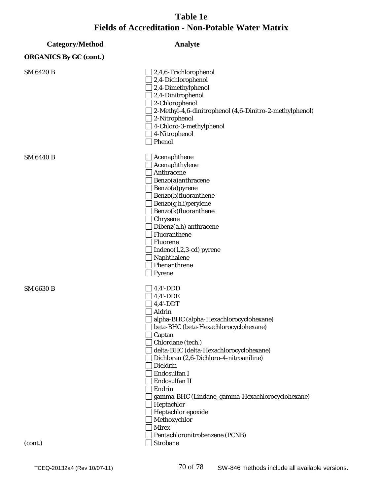| <b>Category/Method</b>        | Analyte                                                                                                                                                                                                                                                                                                                                                                                                                                                                  |
|-------------------------------|--------------------------------------------------------------------------------------------------------------------------------------------------------------------------------------------------------------------------------------------------------------------------------------------------------------------------------------------------------------------------------------------------------------------------------------------------------------------------|
| <b>ORGANICS By GC (cont.)</b> |                                                                                                                                                                                                                                                                                                                                                                                                                                                                          |
| <b>SM 6420 B</b>              | 2,4,6-Trichlorophenol<br>2,4-Dichlorophenol<br>2,4-Dimethylphenol<br>2,4-Dinitrophenol<br>2-Chlorophenol<br>2-Methyl-4,6-dinitrophenol (4,6-Dinitro-2-methylphenol)<br>2-Nitrophenol<br>4-Chloro-3-methylphenol<br>4-Nitrophenol<br>Phenol                                                                                                                                                                                                                               |
| <b>SM 6440 B</b>              | Acenaphthene<br>Acenaphthylene<br>Anthracene<br>Benzo(a)anthracene<br>Benzo(a)pyrene<br>Benzo(b)fluoranthene<br>Benzo(g,h,i) perylene<br>Benzo(k)fluoranthene<br>Chrysene<br>Dibenz(a,h) anthracene<br>Fluoranthene<br><b>Fluorene</b><br>Indeno(1,2,3-cd) pyrene<br>Naphthalene<br>Phenanthrene<br>Pyrene                                                                                                                                                               |
| <b>SM 6630 B</b>              | $4,4'-DDD$<br>4,4'-DDE<br>$4,4'-DDT$<br>Aldrin<br>alpha-BHC (alpha-Hexachlorocyclohexane)<br>beta-BHC (beta-Hexachlorocyclohexane)<br>Captan<br>Chlordane (tech.)<br>delta-BHC (delta-Hexachlorocyclohexane)<br>Dichloran (2,6-Dichloro-4-nitroaniline)<br>Dieldrin<br>Endosulfan I<br>Endosulfan II<br>Endrin<br>gamma-BHC (Lindane, gamma-Hexachlorocyclohexane)<br>Heptachlor<br>Heptachlor epoxide<br>Methoxychlor<br><b>Mirex</b><br>Pentachloronitrobenzene (PCNB) |
| (cont.)                       | <b>Strobane</b>                                                                                                                                                                                                                                                                                                                                                                                                                                                          |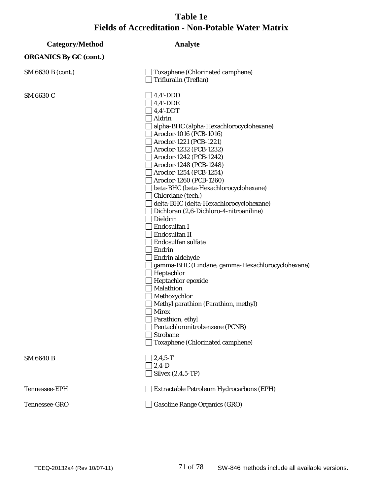| Category/Method               | Analyte                                                                                                                                                                                                                                                                                                                                                                                                                                                                                                                                                                                                                                                                                                                                                                                                                                 |
|-------------------------------|-----------------------------------------------------------------------------------------------------------------------------------------------------------------------------------------------------------------------------------------------------------------------------------------------------------------------------------------------------------------------------------------------------------------------------------------------------------------------------------------------------------------------------------------------------------------------------------------------------------------------------------------------------------------------------------------------------------------------------------------------------------------------------------------------------------------------------------------|
| <b>ORGANICS By GC (cont.)</b> |                                                                                                                                                                                                                                                                                                                                                                                                                                                                                                                                                                                                                                                                                                                                                                                                                                         |
| SM 6630 B (cont.)             | Toxaphene (Chlorinated camphene)<br>Trifluralin (Treflan)                                                                                                                                                                                                                                                                                                                                                                                                                                                                                                                                                                                                                                                                                                                                                                               |
| SM 6630 C                     | $4,4'-DDD$<br>$4,4'$ -DDE<br>$4,4'-DDT$<br>Aldrin<br>alpha-BHC (alpha-Hexachlorocyclohexane)<br>Aroclor-1016 (PCB-1016)<br>Aroclor-1221 (PCB-1221)<br>Aroclor-1232 (PCB-1232)<br>Aroclor-1242 (PCB-1242)<br>Aroclor-1248 (PCB-1248)<br>Aroclor-1254 (PCB-1254)<br>Aroclor-1260 (PCB-1260)<br>beta-BHC (beta-Hexachlorocyclohexane)<br>Chlordane (tech.)<br>delta-BHC (delta-Hexachlorocyclohexane)<br>Dichloran (2,6-Dichloro-4-nitroaniline)<br>Dieldrin<br>Endosulfan I<br>Endosulfan II<br>Endosulfan sulfate<br>Endrin<br>Endrin aldehyde<br>gamma-BHC (Lindane, gamma-Hexachlorocyclohexane)<br>Heptachlor<br>Heptachlor epoxide<br>Malathion<br>Methoxychlor<br>Methyl parathion (Parathion, methyl)<br><b>Mirex</b><br>Parathion, ethyl<br>Pentachloronitrobenzene (PCNB)<br><b>Strobane</b><br>Toxaphene (Chlorinated camphene) |
| <b>SM 6640 B</b>              | $2,4,5-T$<br>$2,4-D$<br>Silvex (2,4,5-TP)                                                                                                                                                                                                                                                                                                                                                                                                                                                                                                                                                                                                                                                                                                                                                                                               |
| Tennessee-EPH                 | Extractable Petroleum Hydrocarbons (EPH)                                                                                                                                                                                                                                                                                                                                                                                                                                                                                                                                                                                                                                                                                                                                                                                                |
| Tennessee-GRO                 | <b>Gasoline Range Organics (GRO)</b>                                                                                                                                                                                                                                                                                                                                                                                                                                                                                                                                                                                                                                                                                                                                                                                                    |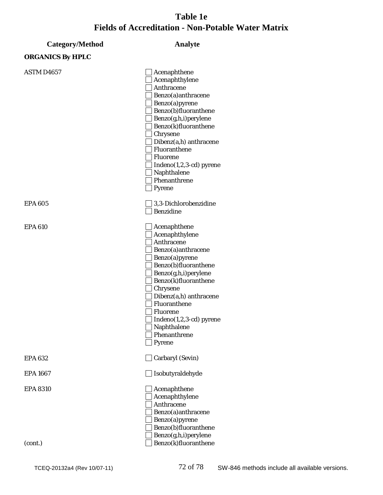| <b>Category/Method</b>  | Analyte                                                                                                                                                                                                                                                                                                    |  |
|-------------------------|------------------------------------------------------------------------------------------------------------------------------------------------------------------------------------------------------------------------------------------------------------------------------------------------------------|--|
| <b>ORGANICS By HPLC</b> |                                                                                                                                                                                                                                                                                                            |  |
| <b>ASTM D4657</b>       | Acenaphthene<br>Acenaphthylene<br>Anthracene<br>Benzo(a)anthracene<br>Benzo(a) pyrene<br>Benzo(b)fluoranthene<br>Benzo(g,h,i)perylene<br>Benzo(k)fluoranthene<br>Chrysene<br>Dibenz(a,h) anthracene<br>Fluoranthene<br>Fluorene<br>Indeno(1,2,3-cd) pyrene<br>Naphthalene<br>Phenanthrene<br><b>Pyrene</b> |  |
| <b>EPA 605</b>          | 3,3-Dichlorobenzidine<br><b>Benzidine</b>                                                                                                                                                                                                                                                                  |  |
| <b>EPA 610</b>          | Acenaphthene<br>Acenaphthylene<br>Anthracene<br>Benzo(a)anthracene<br>Benzo(a)pyrene<br>Benzo(b)fluoranthene<br>Benzo(g,h,i) perylene<br>Benzo(k)fluoranthene<br>Chrysene<br>Dibenz(a,h) anthracene<br>Fluoranthene<br><b>Fluorene</b><br>Indeno(1,2,3-cd) pyrene<br>Naphthalene<br>Phenanthrene<br>Pyrene |  |
| <b>EPA 632</b>          | Carbaryl (Sevin)                                                                                                                                                                                                                                                                                           |  |
| <b>EPA 1667</b>         | Isobutyraldehyde                                                                                                                                                                                                                                                                                           |  |
| <b>EPA 8310</b>         | Acenaphthene<br>Acenaphthylene<br>Anthracene<br>Benzo(a)anthracene<br>Benzo(a)pyrene<br>Benzo(b)fluoranthene<br>Benzo(g,h,i) perylene                                                                                                                                                                      |  |
| (cont.)                 | Benzo(k)fluoranthene                                                                                                                                                                                                                                                                                       |  |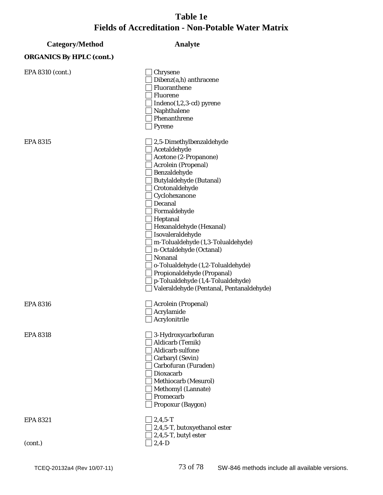| Category/Method                 | Analyte                                                                                                                                                                                                                                                                                                                                                                                                                                                                                                   |
|---------------------------------|-----------------------------------------------------------------------------------------------------------------------------------------------------------------------------------------------------------------------------------------------------------------------------------------------------------------------------------------------------------------------------------------------------------------------------------------------------------------------------------------------------------|
| <b>ORGANICS By HPLC (cont.)</b> |                                                                                                                                                                                                                                                                                                                                                                                                                                                                                                           |
| EPA 8310 (cont.)                | Chrysene<br>Dibenz(a,h) anthracene<br>Fluoranthene<br><b>Fluorene</b><br>Indeno $(1,2,3-cd)$ pyrene<br>Naphthalene<br>Phenanthrene<br>Pyrene                                                                                                                                                                                                                                                                                                                                                              |
| <b>EPA 8315</b>                 | 2,5-Dimethylbenzaldehyde<br>Acetaldehyde<br>Acetone (2-Propanone)<br>Acrolein (Propenal)<br>Benzaldehyde<br><b>Butylaldehyde (Butanal)</b><br>Crotonaldehyde<br>Cyclohexanone<br>Decanal<br>Formaldehyde<br>Heptanal<br>Hexanaldehyde (Hexanal)<br>$\Box$ Isovaleraldehyde<br>m-Tolualdehyde (1,3-Tolualdehyde)<br>n-Octaldehyde (Octanal)<br>Nonanal<br>o-Tolualdehyde (1,2-Tolualdehyde)<br>Propionaldehyde (Propanal)<br>p-Tolualdehyde (1,4-Tolualdehyde)<br>Valeraldehyde (Pentanal, Pentanaldehyde) |
| <b>EPA 8316</b>                 | Acrolein (Propenal)<br>Acrylamide<br>$\Box$ Acrylonitrile                                                                                                                                                                                                                                                                                                                                                                                                                                                 |
| <b>EPA 8318</b>                 | 3-Hydroxycarbofuran<br>Aldicarb (Temik)<br>Aldicarb sulfone<br>Carbaryl (Sevin)<br>Carbofuran (Furaden)<br><b>Dioxacarb</b><br>Methiocarb (Mesurol)<br>Methomyl (Lannate)<br>Promecarb<br>Propoxur (Baygon)                                                                                                                                                                                                                                                                                               |
| <b>EPA 8321</b><br>(cont.)      | $2,4,5-T$<br>2,4,5-T, butoxyethanol ester<br>2,4,5-T, butyl ester<br>$2,4-D$                                                                                                                                                                                                                                                                                                                                                                                                                              |
|                                 |                                                                                                                                                                                                                                                                                                                                                                                                                                                                                                           |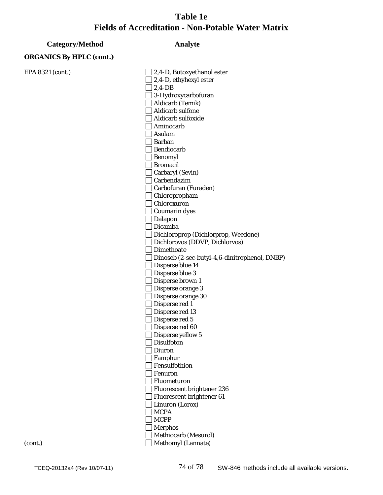#### **Category/Method Analyte**

**ORGANICS By HPLC (cont.)**

EPA 8321 (cont.)  $\Box$  2.4-D, Butoxyethanol ester  $\Box$  2,4-D, ethyhexyl ester  $\Box$  2.4-DB 3-Hydroxycarbofuran Aldicarb (Temik)  $\Box$  Aldicarb sulfone Aldicarb sulfoxide Aminocarb  $\Box$  Asulam Barban Bendiocarb  $\Box$  Benomyl Bromacil  $\Box$  Carbaryl (Sevin)  $\Box$  Carbendazim Carbofuran (Furaden) Chloropropham Chloroxuron Coumarin dyes Dalapon Dicamba Dichloroprop (Dichlorprop, Weedone) Dichlorovos (DDVP, Dichlorvos)  $\Box$  Dimethoate Dinoseb (2-sec-butyl-4,6-dinitrophenol, DNBP) Disperse blue 14 Disperse blue 3 Disperse brown 1 Disperse orange 3 Disperse orange 30 Disperse red 1 Disperse red 13  $\Box$  Disperse red 5 Disperse red 60  $\Box$  Disperse yellow 5  $\Box$ Disulfoton Diuron  $\Box$  Famphur  $\Box$  Fensulfothion  $\Box$  Fenuron  $\Box$  Fluometuron Fluorescent brightener 236 Fluorescent brightener 61 Linuron (Lorox)  $\Box$ MCPA  $\Box$  MCPP Merphos Methiocarb (Mesurol) (cont.) Methomyl (Lannate)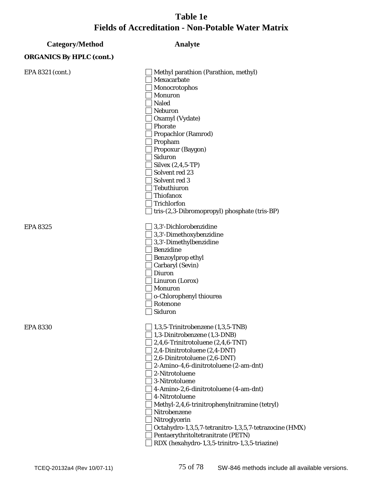| <b>Category/Method</b>          | <b>Analyte</b>                                                                                                                                                                                                                                                                                                                                                                                                                                                                                                                                           |
|---------------------------------|----------------------------------------------------------------------------------------------------------------------------------------------------------------------------------------------------------------------------------------------------------------------------------------------------------------------------------------------------------------------------------------------------------------------------------------------------------------------------------------------------------------------------------------------------------|
| <b>ORGANICS By HPLC (cont.)</b> |                                                                                                                                                                                                                                                                                                                                                                                                                                                                                                                                                          |
| EPA 8321 (cont.)                | Methyl parathion (Parathion, methyl)<br>Mexacarbate<br>Monocrotophos<br>Monuron<br>Naled<br>Neburon<br>Oxamyl (Vydate)<br>Phorate<br>Propachlor (Ramrod)<br>Propham<br>Propoxur (Baygon)<br>Siduron<br>Silvex (2,4,5-TP)<br>Solvent red 23<br>Solvent red 3<br>Tebuthiuron<br>Thiofanox<br>Trichlorfon<br>tris-(2,3-Dibromopropyl) phosphate (tris-BP)                                                                                                                                                                                                   |
| <b>EPA 8325</b>                 | 3,3'-Dichlorobenzidine<br>3,3'-Dimethoxybenzidine<br>3,3'-Dimethylbenzidine<br><b>Benzidine</b><br>Benzoylprop ethyl<br>Carbaryl (Sevin)<br>Diuron<br>Linuron (Lorox)<br>Monuron<br>o-Chlorophenyl thiourea<br>Rotenone<br>Siduron                                                                                                                                                                                                                                                                                                                       |
| <b>EPA 8330</b>                 | 1,3,5-Trinitrobenzene (1,3,5-TNB)<br>$\Box$ 1,3-Dinitrobenzene (1,3-DNB)<br>2,4,6-Trinitrotoluene (2,4,6-TNT)<br>2,4-Dinitrotoluene (2,4-DNT)<br>2,6-Dinitrotoluene (2,6-DNT)<br>2-Amino-4,6-dinitrotoluene (2-am-dnt)<br>2-Nitrotoluene<br>3-Nitrotoluene<br>4-Amino-2,6-dinitrotoluene (4-am-dnt)<br>4-Nitrotoluene<br>Methyl-2,4,6-trinitrophenylnitramine (tetryl)<br>Nitrobenzene<br>Nitroglycerin<br>Octahydro-1,3,5,7-tetranitro-1,3,5,7-tetrazocine (HMX)<br>Pentaerythritoltetranitrate (PETN)<br>RDX (hexahydro-1,3,5-trinitro-1,3,5-triazine) |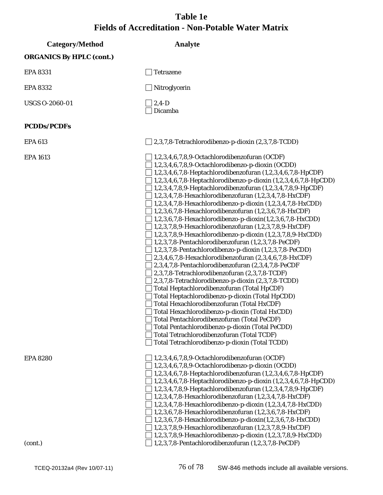| Category/Method                 | Analyte                                                                                                                                                                                                                                                                                                                                                                                                                                                                                                                                                                                                                                                                                                                                                                                                                                                                                                                                                                                                                                                                                                                                                                                                                                                                                                                                                                                                                                                                                                                 |
|---------------------------------|-------------------------------------------------------------------------------------------------------------------------------------------------------------------------------------------------------------------------------------------------------------------------------------------------------------------------------------------------------------------------------------------------------------------------------------------------------------------------------------------------------------------------------------------------------------------------------------------------------------------------------------------------------------------------------------------------------------------------------------------------------------------------------------------------------------------------------------------------------------------------------------------------------------------------------------------------------------------------------------------------------------------------------------------------------------------------------------------------------------------------------------------------------------------------------------------------------------------------------------------------------------------------------------------------------------------------------------------------------------------------------------------------------------------------------------------------------------------------------------------------------------------------|
| <b>ORGANICS By HPLC (cont.)</b> |                                                                                                                                                                                                                                                                                                                                                                                                                                                                                                                                                                                                                                                                                                                                                                                                                                                                                                                                                                                                                                                                                                                                                                                                                                                                                                                                                                                                                                                                                                                         |
| <b>EPA 8331</b>                 | Tetrazene                                                                                                                                                                                                                                                                                                                                                                                                                                                                                                                                                                                                                                                                                                                                                                                                                                                                                                                                                                                                                                                                                                                                                                                                                                                                                                                                                                                                                                                                                                               |
| <b>EPA 8332</b>                 | Nitroglycerin                                                                                                                                                                                                                                                                                                                                                                                                                                                                                                                                                                                                                                                                                                                                                                                                                                                                                                                                                                                                                                                                                                                                                                                                                                                                                                                                                                                                                                                                                                           |
| <b>USGS O-2060-01</b>           | $2,4-D$<br>Dicamba                                                                                                                                                                                                                                                                                                                                                                                                                                                                                                                                                                                                                                                                                                                                                                                                                                                                                                                                                                                                                                                                                                                                                                                                                                                                                                                                                                                                                                                                                                      |
| <b>PCDDs/PCDFs</b>              |                                                                                                                                                                                                                                                                                                                                                                                                                                                                                                                                                                                                                                                                                                                                                                                                                                                                                                                                                                                                                                                                                                                                                                                                                                                                                                                                                                                                                                                                                                                         |
| <b>EPA 613</b>                  | 2,3,7,8-Tetrachlorodibenzo-p-dioxin (2,3,7,8-TCDD)                                                                                                                                                                                                                                                                                                                                                                                                                                                                                                                                                                                                                                                                                                                                                                                                                                                                                                                                                                                                                                                                                                                                                                                                                                                                                                                                                                                                                                                                      |
| <b>EPA 1613</b>                 | $\left[1,2,3,4,6,7,8,9\right]$ -Octachlorodibenzofuran (OCDF)<br>1,2,3,4,6,7,8,9-Octachlorodibenzo-p-dioxin (OCDD)<br>$\left]$ 1,2,3,4,6,7,8-Heptachlorodibenzofuran (1,2,3,4,6,7,8-HpCDF)<br>$(1,2,3,4,6,7,8$ -Heptachlorodibenzo-p-dioxin $(1,2,3,4,6,7,8$ -HpCDD)<br>$(1,2,3,4,7,8,9)$ -Heptachlorodibenzofuran $(1,2,3,4,7,8,9)$ -HpCDF)<br>$\left[1,2,3,4,7,8\right]$ -Hexachlorodibenzofuran (1,2,3,4,7,8-HxCDF)<br>$(1,2,3,4,7,8$ -Hexachlorodibenzo-p-dioxin $(1,2,3,4,7,8$ -HxCDD)<br>$(1,2,3,6,7,8$ -Hexachlorodibenzofuran $(1,2,3,6,7,8$ -HxCDF)<br>$(1,2,3,6,7,8$ -Hexachlorodibenzo-p-dioxin $(1,2,3,6,7,8$ -HxCDD)<br>$\left[1,2,3,7,8,9\right]$ -Hexachlorodibenzofuran (1,2,3,7,8,9-HxCDF)<br>1,2,3,7,8,9-Hexachlorodibenzo-p-dioxin (1,2,3,7,8,9-HxCDD)<br>1,2,3,7,8-Pentachlorodibenzofuran (1,2,3,7,8-PeCDF)<br>1,2,3,7,8-Pentachlorodibenzo-p-dioxin (1,2,3,7,8-PeCDD)<br>2,3,4,6,7,8-Hexachlorodibenzofuran (2,3,4,6,7,8-HxCDF)<br>2,3,4,7,8-Pentachlorodibenzofuran (2,3,4,7,8-PeCDF<br>2,3,7,8-Tetrachlorodibenzofuran (2,3,7,8-TCDF)<br>2,3,7,8-Tetrachlorodibenzo-p-dioxin (2,3,7,8-TCDD)<br>Total Heptachlorodibenzofuran (Total HpCDF)<br>Total Heptachlorodibenzo-p-dioxin (Total HpCDD)<br>Total Hexachlorodibenzofuran (Total HxCDF)<br>Total Hexachlorodibenzo-p-dioxin (Total HxCDD)<br>Total Pentachlorodibenzofuran (Total PeCDF)<br>Total Pentachlorodibenzo-p-dioxin (Total PeCDD)<br>Total Tetrachlorodibenzofuran (Total TCDF)<br>Total Tetrachlorodibenzo-p-dioxin (Total TCDD) |
| <b>EPA 8280</b>                 | $\left[1,2,3,4,6,7,8,9\right]$ -Octachlorodibenzofuran (OCDF)<br>1,2,3,4,6,7,8,9-Octachlorodibenzo-p-dioxin (OCDD)<br>$1,2,3,4,6,7,8$ -Heptachlorodibenzofuran $(1,2,3,4,6,7,8$ -HpCDF)<br>$(1,2,3,4,6,7,8$ -Heptachlorodibenzo-p-dioxin $(1,2,3,4,6,7,8$ -HpCDD)<br>$\left[1,2,3,4,7,8,9\right]$ -Heptachlorodibenzofuran (1,2,3,4,7,8,9-HpCDF)<br>$(1,2,3,4,7,8$ -Hexachlorodibenzofuran $(1,2,3,4,7,8$ -HxCDF)<br>1,2,3,4,7,8-Hexachlorodibenzo-p-dioxin (1,2,3,4,7,8-HxCDD)<br>1,2,3,6,7,8-Hexachlorodibenzofuran (1,2,3,6,7,8-HxCDF)<br>1,2,3,6,7,8-Hexachlorodibenzo-p-dioxin(1,2,3,6,7,8-HxCDD)<br>1,2,3,7,8,9-Hexachlorodibenzofuran (1,2,3,7,8,9-HxCDF)                                                                                                                                                                                                                                                                                                                                                                                                                                                                                                                                                                                                                                                                                                                                                                                                                                                        |
| (cont.)                         | 1,2,3,7,8,9-Hexachlorodibenzo-p-dioxin (1,2,3,7,8,9-HxCDD)<br>1,2,3,7,8-Pentachlorodibenzofuran (1,2,3,7,8-PeCDF)                                                                                                                                                                                                                                                                                                                                                                                                                                                                                                                                                                                                                                                                                                                                                                                                                                                                                                                                                                                                                                                                                                                                                                                                                                                                                                                                                                                                       |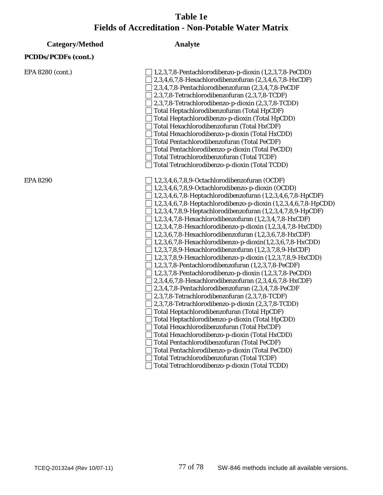## **Table 1e Fields of Accreditation - Non-Potable Water Matrix**

| <b>Category/Method</b>     | <b>Analyte</b>                                                                                                                                                                                                                                                                                                                                                                                                                                                                                                                                                                                                                    |
|----------------------------|-----------------------------------------------------------------------------------------------------------------------------------------------------------------------------------------------------------------------------------------------------------------------------------------------------------------------------------------------------------------------------------------------------------------------------------------------------------------------------------------------------------------------------------------------------------------------------------------------------------------------------------|
| <b>PCDDs/PCDFs (cont.)</b> |                                                                                                                                                                                                                                                                                                                                                                                                                                                                                                                                                                                                                                   |
| EPA 8280 (cont.)           | 1,2,3,7,8-Pentachlorodibenzo-p-dioxin (1,2,3,7,8-PeCDD)<br>2,3,4,6,7,8-Hexachlorodibenzofuran (2,3,4,6,7,8-HxCDF)<br>2,3,4,7,8-Pentachlorodibenzofuran (2,3,4,7,8-PeCDF<br>2,3,7,8-Tetrachlorodibenzofuran (2,3,7,8-TCDF)<br>2,3,7,8-Tetrachlorodibenzo-p-dioxin (2,3,7,8-TCDD)<br>Total Heptachlorodibenzofuran (Total HpCDF)<br>Total Heptachlorodibenzo-p-dioxin (Total HpCDD)<br>Total Hexachlorodibenzofuran (Total HxCDF)<br>Total Hexachlorodibenzo-p-dioxin (Total HxCDD)<br>Total Pentachlorodibenzofuran (Total PeCDF)<br>Total Pentachlorodibenzo-p-dioxin (Total PeCDD)<br>Total Tetrachlorodibenzofuran (Total TCDF) |
|                            | Total Tetrachlorodibenzo-p-dioxin (Total TCDD)                                                                                                                                                                                                                                                                                                                                                                                                                                                                                                                                                                                    |
| <b>EPA 8290</b>            | 1,2,3,4,6,7,8,9-Octachlorodibenzofuran (OCDF)<br>1,2,3,4,6,7,8,9-Octachlorodibenzo-p-dioxin (OCDD)<br>$1,2,3,4,6,7,8$ -Heptachlorodibenzofuran $(1,2,3,4,6,7,8$ -HpCDF)<br>1,2,3,4,6,7,8-Heptachlorodibenzo-p-dioxin (1,2,3,4,6,7,8-HpCDD)<br>1,2,3,4,7,8,9-Heptachlorodibenzofuran (1,2,3,4,7,8,9-HpCDF)<br>1,2,3,4,7,8-Hexachlorodibenzofuran (1,2,3,4,7,8-HxCDF)<br>1,2,3,4,7,8-Hexachlorodibenzo-p-dioxin (1,2,3,4,7,8-HxCDD)                                                                                                                                                                                                 |
|                            | 1,2,3,6,7,8-Hexachlorodibenzofuran (1,2,3,6,7,8-HxCDF)<br>1,2,3,6,7,8-Hexachlorodibenzo-p-dioxin(1,2,3,6,7,8-HxCDD)<br>1,2,3,7,8,9-Hexachlorodibenzofuran (1,2,3,7,8,9-HxCDF)<br>1,2,3,7,8,9-Hexachlorodibenzo-p-dioxin (1,2,3,7,8,9-HxCDD)<br>1,2,3,7,8-Pentachlorodibenzofuran (1,2,3,7,8-PeCDF)<br>1,2,3,7,8-Pentachlorodibenzo-p-dioxin (1,2,3,7,8-PeCDD)<br>2,3,4,6,7,8-Hexachlorodibenzofuran (2,3,4,6,7,8-HxCDF)                                                                                                                                                                                                           |
|                            | 2,3,4,7,8-Pentachlorodibenzofuran (2,3,4,7,8-PeCDF<br>2,3,7,8-Tetrachlorodibenzofuran (2,3,7,8-TCDF)<br>2,3,7,8-Tetrachlorodibenzo-p-dioxin (2,3,7,8-TCDD)<br>Total Heptachlorodibenzofuran (Total HpCDF)<br>Total Heptachlorodibenzo-p-dioxin (Total HpCDD)<br>Total Hexachlorodibenzofuran (Total HxCDF)<br>Total Hexachlorodibenzo-p-dioxin (Total HxCDD)<br>Total Pentachlorodibenzofuran (Total PeCDF)                                                                                                                                                                                                                       |

Total Tetrachlorodibenzofuran (Total TCDF)

Total Tetrachlorodibenzo-p-dioxin (Total TCDD)

Total Pentachlorodibenzo-p-dioxin (Total PeCDD)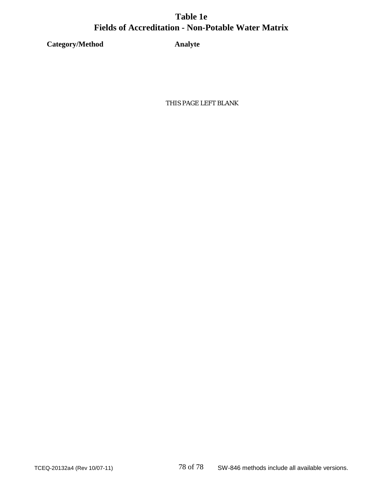## **Table 1e Fields of Accreditation - Non-Potable Water Matrix**

 **Category/Method Analyte**

THIS PAGE LEFT BLANK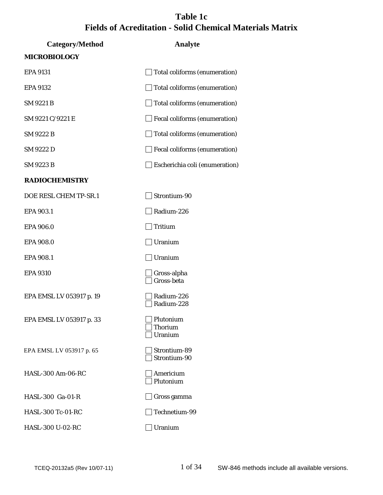| <b>Fields of Acreditation - Solid Chemical Mate</b> |                                               |
|-----------------------------------------------------|-----------------------------------------------|
| <b>Category/Method</b>                              | Analyte                                       |
| <b>MICROBIOLOGY</b>                                 |                                               |
| <b>EPA 9131</b>                                     | Total coliforms (enumeration)                 |
| <b>EPA 9132</b>                                     | Total coliforms (enumeration)                 |
| SM 9221 B                                           | Total coliforms (enumeration)                 |
| SM 9221 C/9221 E                                    | Fecal coliforms (enumeration)                 |
| SM 9222 B                                           | Total coliforms (enumeration)                 |
| SM 9222 D                                           | Fecal coliforms (enumeration)                 |
| SM 9223 B                                           | Escherichia coli (enumeration)                |
| <b>RADIOCHEMISTRY</b>                               |                                               |
| DOE RESL CHEM TP-SR.1                               | Strontium-90                                  |
| EPA 903.1                                           | Radium-226                                    |
| EPA 906.0                                           | <b>Tritium</b>                                |
| <b>EPA 908.0</b>                                    | Uranium                                       |
| EPA 908.1                                           | Uranium                                       |
| <b>EPA 9310</b>                                     | Gross-alpha<br>Gross-beta                     |
| EPA EMSL LV 053917 p. 19                            | Radium-226<br>$\Box$ Radium-228               |
| EPA EMSL LV 053917 p. 33                            | Plutonium<br><b>Thorium</b><br><b>Uranium</b> |
| EPA EMSL LV 053917 p. 65                            | Strontium-89<br>Strontium-90                  |
| <b>HASL-300 Am-06-RC</b>                            | Americium<br>Plutonium                        |
| HASL-300 Ga-01-R                                    | Gross gamma                                   |
| <b>HASL-300 Tc-01-RC</b>                            | Technetium-99                                 |

HASL-300 U-02-RC Uranium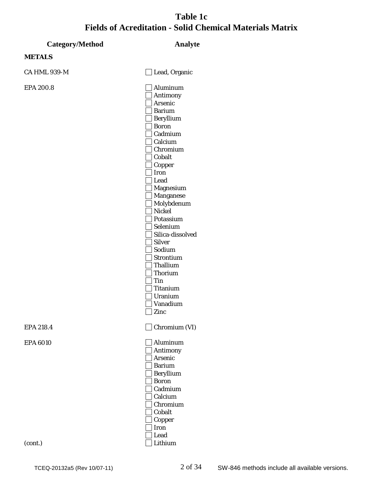| <b>Category/Method</b> | Analyte                                                                                                                                                                                                                                                                                                                                                                           |
|------------------------|-----------------------------------------------------------------------------------------------------------------------------------------------------------------------------------------------------------------------------------------------------------------------------------------------------------------------------------------------------------------------------------|
| <b>METALS</b>          |                                                                                                                                                                                                                                                                                                                                                                                   |
| <b>CA HML 939-M</b>    | □ Lead, Organic                                                                                                                                                                                                                                                                                                                                                                   |
| <b>EPA 200.8</b>       | Aluminum<br>Antimony<br>Arsenic<br>Barium<br>Beryllium<br>Boron<br>Cadmium<br>Calcium<br>Chromium<br>Cobalt<br>Copper<br>Iron<br>Lead<br>$\Box$ Magnesium<br>Manganese<br>Molybdenum<br>Nickel<br>Potassium<br>Selenium<br>Silica-dissolved<br>$\Box$ Silver<br>$\Box$ Sodium<br>Strontium<br>Thallium<br><b>Thorium</b><br>Tin<br><b>Titanium</b><br>Uranium<br>Vanadium<br>Zinc |
| EPA 218.4              | Chromium (VI)                                                                                                                                                                                                                                                                                                                                                                     |
| <b>EPA 6010</b>        | Aluminum<br>Antimony<br>Arsenic<br>Barium<br>Beryllium<br>Boron<br>Cadmium<br><b>Calcium</b><br>Chromium<br>Cobalt<br>Copper<br>Iron<br>Lead                                                                                                                                                                                                                                      |
| (cont.)                | Lithium                                                                                                                                                                                                                                                                                                                                                                           |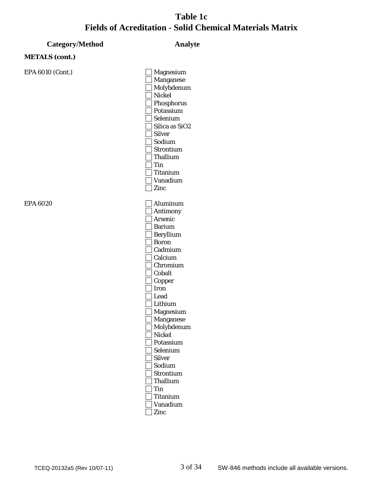| <b>Category/Method</b> | <b>Analyte</b>                                                                                                                                                                                                                                                                                                                |
|------------------------|-------------------------------------------------------------------------------------------------------------------------------------------------------------------------------------------------------------------------------------------------------------------------------------------------------------------------------|
| <b>METALS</b> (cont.)  |                                                                                                                                                                                                                                                                                                                               |
| EPA 6010 (Cont.)       | Magnesium<br>Manganese<br>Molybdenum<br>Nickel<br>Phosphorus<br>Potassium<br>Selenium<br>Silica as SiO <sub>2</sub><br>$\Box$ Silver<br>$\Box$ Sodium<br>Strontium<br>Thallium<br>Tin<br><b>Titanium</b><br>Vanadium                                                                                                          |
| <b>EPA 6020</b>        | $\exists$ Zinc<br>Aluminum<br>Antimony<br>Arsenic<br><b>Barium</b><br><b>Beryllium</b><br><b>Boron</b><br>Cadmium<br>Calcium<br>Chromium<br>Cobalt<br>Copper<br>Iron<br>Lead<br>Lithium<br><b>Magnesium</b><br>Manganese<br>Molybdenum<br>Nickel<br>Potassium<br>Selenium<br><b>Silver</b><br>Sodium<br>Strontium<br>Thallium |
|                        | Tin<br><b>Titanium</b><br>Vanadium<br>Zinc                                                                                                                                                                                                                                                                                    |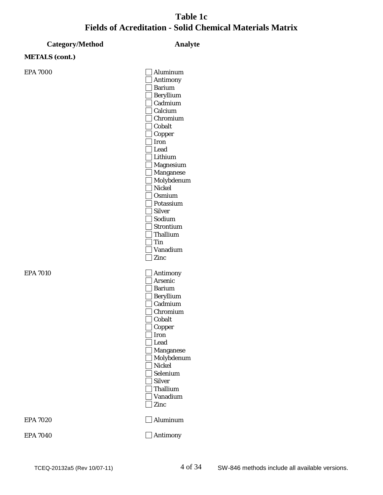| Category/Method       | <b>Analyte</b>                                                                                                                                                                                                                                                                      |
|-----------------------|-------------------------------------------------------------------------------------------------------------------------------------------------------------------------------------------------------------------------------------------------------------------------------------|
| <b>METALS</b> (cont.) |                                                                                                                                                                                                                                                                                     |
| <b>EPA 7000</b>       | Aluminum<br>Antimony<br>Barium<br>Beryllium<br>Cadmium<br>Calcium<br>Chromium<br>Cobalt<br>Copper<br>Iron<br>Lead<br>Lithium<br>Magnesium<br>Manganese<br>Molybdenum<br>Nickel<br>Osmium<br>Potassium<br><b>Silver</b><br>Sodium<br>Strontium<br><b>Thallium</b><br>Tin<br>Vanadium |
| <b>EPA 7010</b>       | Zinc<br>Antimony<br><b>Arsenic</b><br><b>Barium</b><br><b>Beryllium</b><br>Cadmium<br>Chromium<br>Cobalt<br>Copper<br><b>Iron</b><br>Lead<br>Manganese<br>Molybdenum<br>  Nickel<br>Selenium<br><b>Silver</b><br>Thallium<br>Vanadium<br>Zinc                                       |
| <b>EPA 7020</b>       | Aluminum                                                                                                                                                                                                                                                                            |
| <b>EPA 7040</b>       | Antimony                                                                                                                                                                                                                                                                            |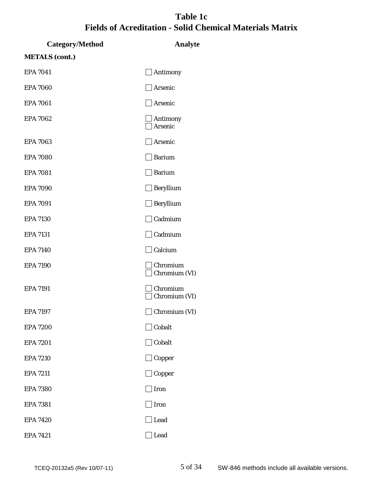| <b>Category/Method</b><br><b>METALS</b> (cont.) | Analyte                   |
|-------------------------------------------------|---------------------------|
|                                                 |                           |
| <b>EPA 7041</b>                                 | Antimony                  |
| <b>EPA 7060</b>                                 | Arsenic                   |
| <b>EPA 7061</b>                                 | <b>Arsenic</b>            |
| <b>EPA 7062</b>                                 | Antimony<br>Arsenic       |
| <b>EPA 7063</b>                                 | Arsenic                   |
| <b>EPA 7080</b>                                 | <b>Barium</b>             |
| <b>EPA 7081</b>                                 | Barium                    |
| <b>EPA 7090</b>                                 | Beryllium                 |
| <b>EPA 7091</b>                                 | Beryllium                 |
| <b>EPA 7130</b>                                 | Cadmium                   |
| <b>EPA 7131</b>                                 | <b>Cadmium</b>            |
| <b>EPA 7140</b>                                 | Calcium                   |
| <b>EPA 7190</b>                                 | Chromium<br>Chromium (VI) |
| <b>EPA 7191</b>                                 | Chromium<br>Chromium (VI) |
| <b>EPA 7197</b>                                 | Chromium (VI)             |
| <b>EPA 7200</b>                                 | Cobalt                    |
| <b>EPA 7201</b>                                 | Cobalt                    |
| <b>EPA 7210</b>                                 | $\Box$ Copper             |
| <b>EPA 7211</b>                                 | $\lfloor$ Copper          |
| <b>EPA 7380</b>                                 | Iron                      |
| <b>EPA 7381</b>                                 | Iron                      |
| <b>EPA 7420</b>                                 | Lead                      |
| <b>EPA 7421</b>                                 | Lead                      |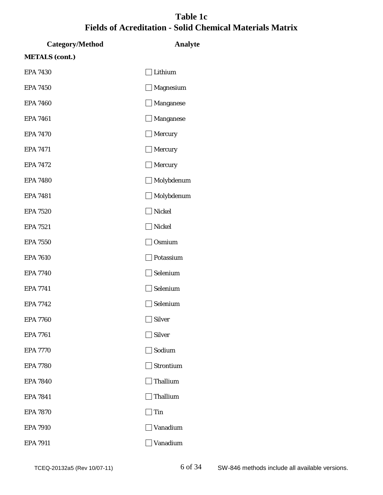| <b>Category/Method</b> | Analyte           |
|------------------------|-------------------|
| <b>METALS</b> (cont.)  |                   |
| <b>EPA 7430</b>        | Lithium           |
| <b>EPA 7450</b>        | Magnesium         |
| <b>EPA 7460</b>        | Manganese         |
| <b>EPA 7461</b>        | Manganese         |
| <b>EPA 7470</b>        | Mercury           |
| <b>EPA 7471</b>        | Mercury           |
| <b>EPA 7472</b>        | Mercury           |
| <b>EPA 7480</b>        | $\Box$ Molybdenum |
| <b>EPA 7481</b>        | $\Box$ Molybdenum |
| <b>EPA 7520</b>        | Nickel            |
| <b>EPA 7521</b>        | Nickel            |
| <b>EPA 7550</b>        | Osmium            |
| <b>EPA 7610</b>        | Potassium         |
| <b>EPA 7740</b>        | Selenium          |
| <b>EPA 7741</b>        | Selenium          |
| <b>EPA 7742</b>        | Selenium          |
| <b>EPA 7760</b>        | <b>Silver</b>     |
| <b>EPA 7761</b>        | <b>Silver</b>     |
| <b>EPA 7770</b>        | Sodium            |
| <b>EPA 7780</b>        | Strontium         |
| <b>EPA 7840</b>        | Thallium          |
| <b>EPA 7841</b>        | Thallium          |
| <b>EPA 7870</b>        | Tin               |
| <b>EPA 7910</b>        | Vanadium          |
| <b>EPA 7911</b>        | Vanadium          |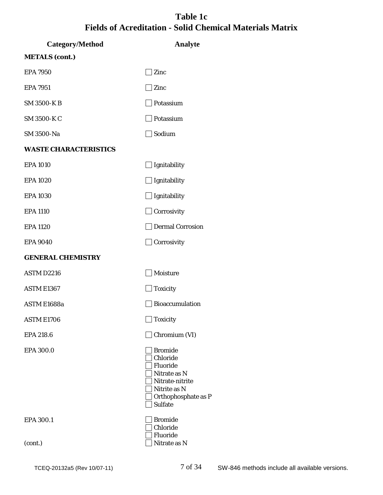| <b>Category/Method</b>       | Analyte                                                                                                                     |
|------------------------------|-----------------------------------------------------------------------------------------------------------------------------|
| <b>METALS</b> (cont.)        |                                                                                                                             |
| <b>EPA 7950</b>              | $\vert$ Zinc                                                                                                                |
| <b>EPA 7951</b>              | $\vert$ Zinc                                                                                                                |
| <b>SM 3500-KB</b>            | Potassium                                                                                                                   |
| SM 3500-K C                  | Potassium                                                                                                                   |
| SM 3500-Na                   | Sodium                                                                                                                      |
| <b>WASTE CHARACTERISTICS</b> |                                                                                                                             |
| <b>EPA 1010</b>              | $\Box$ Ignitability                                                                                                         |
| <b>EPA 1020</b>              | $\Box$ Ignitability                                                                                                         |
| <b>EPA 1030</b>              | $\Box$ Ignitability                                                                                                         |
| <b>EPA 1110</b>              | $\Box$ Corrosivity                                                                                                          |
| <b>EPA 1120</b>              | <b>Dermal Corrosion</b>                                                                                                     |
| <b>EPA 9040</b>              | Corrosivity                                                                                                                 |
| <b>GENERAL CHEMISTRY</b>     |                                                                                                                             |
| <b>ASTM D2216</b>            | Moisture                                                                                                                    |
| ASTM E1367                   | <b>Toxicity</b>                                                                                                             |
| ASTM E1688a                  | Bioaccumulation                                                                                                             |
| <b>ASTM E1706</b>            | <b>Toxicity</b>                                                                                                             |
| EPA 218.6                    | Chromium (VI)                                                                                                               |
| <b>EPA 300.0</b>             | <b>Bromide</b><br>Chloride<br>Fluoride<br>Nitrate as N<br>Nitrate-nitrite<br>Nitrite as N<br>Orthophosphate as P<br>Sulfate |
| EPA 300.1                    | <b>Bromide</b><br>Chloride<br>Fluoride                                                                                      |
| (cont.)                      | Nitrate as N                                                                                                                |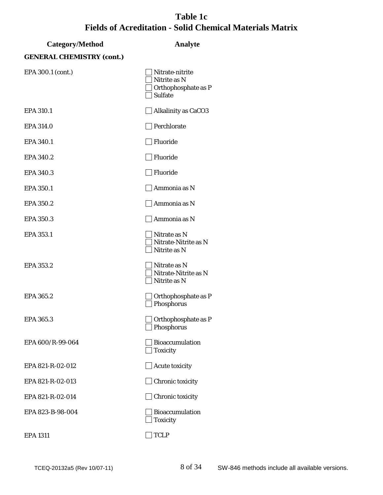| <b>Category/Method</b>           | Analyte                                                                  |
|----------------------------------|--------------------------------------------------------------------------|
| <b>GENERAL CHEMISTRY (cont.)</b> |                                                                          |
| EPA 300.1 (cont.)                | Nitrate-nitrite<br>Nitrite as N<br>Orthophosphate as P<br><b>Sulfate</b> |
| EPA 310.1                        | <b>Alkalinity as CaCO3</b>                                               |
| EPA 314.0                        | Perchlorate                                                              |
| EPA 340.1                        | Fluoride                                                                 |
| EPA 340.2                        | Fluoride                                                                 |
| EPA 340.3                        | Fluoride                                                                 |
| EPA 350.1                        | Ammonia as N                                                             |
| EPA 350.2                        | Ammonia as N                                                             |
| EPA 350.3                        | Ammonia as N                                                             |
| EPA 353.1                        | Nitrate as N<br>Nitrate-Nitrite as N<br>Nitrite as N                     |
| EPA 353.2                        | Nitrate as N<br>Nitrate-Nitrite as N<br>Nitrite as N                     |
| EPA 365.2                        | Orthophosphate as P<br>Phosphorus                                        |
| EPA 365.3                        | $\Box$ Orthophosphate as P<br>Phosphorus                                 |
| EPA 600/R-99-064                 | Bioaccumulation<br><b>Toxicity</b>                                       |
| EPA 821-R-02-012                 | Acute toxicity                                                           |
| EPA 821-R-02-013                 | Chronic toxicity                                                         |
| EPA 821-R-02-014                 | Chronic toxicity                                                         |
| EPA 823-B-98-004                 | Bioaccumulation<br><b>Toxicity</b>                                       |
| <b>EPA 1311</b>                  | <b>TCLP</b>                                                              |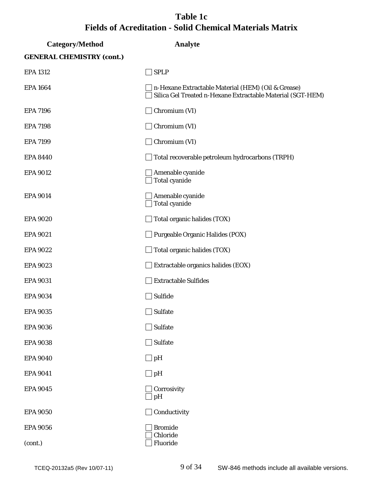| Category/Method                  | <b>Analyte</b>                                                                                                   |
|----------------------------------|------------------------------------------------------------------------------------------------------------------|
| <b>GENERAL CHEMISTRY (cont.)</b> |                                                                                                                  |
| <b>EPA 1312</b>                  | <b>SPLP</b>                                                                                                      |
| <b>EPA 1664</b>                  | n-Hexane Extractable Material (HEM) (Oil & Grease)<br>Silica Gel Treated n-Hexane Extractable Material (SGT-HEM) |
| <b>EPA 7196</b>                  | Chromium (VI)                                                                                                    |
| <b>EPA 7198</b>                  | Chromium (VI)                                                                                                    |
| <b>EPA 7199</b>                  | Chromium (VI)                                                                                                    |
| <b>EPA 8440</b>                  | Total recoverable petroleum hydrocarbons (TRPH)                                                                  |
| <b>EPA 9012</b>                  | Amenable cyanide<br>Total cyanide                                                                                |
| <b>EPA 9014</b>                  | Amenable cyanide<br><b>Total cyanide</b>                                                                         |
| <b>EPA 9020</b>                  | Total organic halides (TOX)                                                                                      |
| <b>EPA 9021</b>                  | <b>Purgeable Organic Halides (POX)</b>                                                                           |
| <b>EPA 9022</b>                  | Total organic halides (TOX)                                                                                      |
| <b>EPA 9023</b>                  | Extractable organics halides (EOX)                                                                               |
| <b>EPA 9031</b>                  | <b>Extractable Sulfides</b>                                                                                      |
| <b>EPA 9034</b>                  | Sulfide                                                                                                          |
| <b>EPA 9035</b>                  | Sulfate                                                                                                          |
| <b>EPA 9036</b>                  | <b>Sulfate</b>                                                                                                   |
| <b>EPA 9038</b>                  | <b>Sulfate</b>                                                                                                   |
| <b>EPA 9040</b>                  | $\Box$ pH                                                                                                        |
| <b>EPA 9041</b>                  | $\Box$ pH                                                                                                        |
| <b>EPA 9045</b>                  | Corrosivity<br>pH                                                                                                |
| <b>EPA 9050</b>                  | Conductivity                                                                                                     |
| <b>EPA 9056</b>                  | <b>Bromide</b>                                                                                                   |
| (cont.)                          | Chloride<br>Fluoride                                                                                             |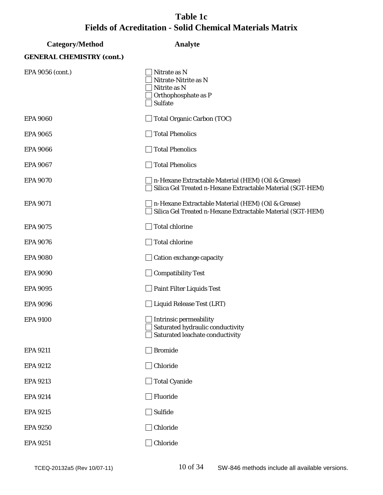| Category/Method                  | Analyte                                                                                                             |
|----------------------------------|---------------------------------------------------------------------------------------------------------------------|
| <b>GENERAL CHEMISTRY (cont.)</b> |                                                                                                                     |
| EPA 9056 (cont.)                 | Nitrate as N<br>Nitrate-Nitrite as N<br>Nitrite as N<br>Orthophosphate as P<br>Sulfate                              |
| <b>EPA 9060</b>                  | Total Organic Carbon (TOC)                                                                                          |
| <b>EPA 9065</b>                  | Total Phenolics                                                                                                     |
| <b>EPA 9066</b>                  | Total Phenolics                                                                                                     |
| <b>EPA 9067</b>                  | Total Phenolics                                                                                                     |
| <b>EPA 9070</b>                  | _] n-Hexane Extractable Material (HEM) (Oil & Grease)<br>Silica Gel Treated n-Hexane Extractable Material (SGT-HEM) |
| <b>EPA 9071</b>                  | n-Hexane Extractable Material (HEM) (Oil & Grease)<br>Silica Gel Treated n-Hexane Extractable Material (SGT-HEM)    |
| <b>EPA 9075</b>                  | Total chlorine                                                                                                      |
| <b>EPA 9076</b>                  | Total chlorine                                                                                                      |
| <b>EPA 9080</b>                  | Cation exchange capacity                                                                                            |
| <b>EPA 9090</b>                  | <b>Compatibility Test</b>                                                                                           |
| <b>EPA 9095</b>                  | <b>Paint Filter Liquids Test</b>                                                                                    |
| <b>EPA 9096</b>                  | Liquid Release Test (LRT)                                                                                           |
| <b>EPA 9100</b>                  | <b>Intrinsic permeability</b><br>Saturated hydraulic conductivity<br>Saturated leachate conductivity                |
| <b>EPA 9211</b>                  | <b>Bromide</b>                                                                                                      |
| <b>EPA 9212</b>                  | $\exists$ Chloride                                                                                                  |
| <b>EPA 9213</b>                  | $\Box$ Total Cyanide                                                                                                |
| <b>EPA 9214</b>                  | Fluoride                                                                                                            |
| <b>EPA 9215</b>                  | ] Sulfide                                                                                                           |
| <b>EPA 9250</b>                  | Chloride                                                                                                            |
| <b>EPA 9251</b>                  | Chloride                                                                                                            |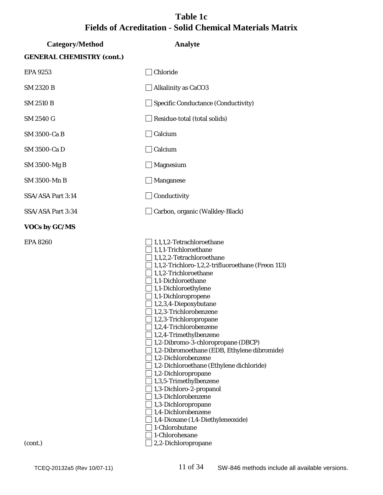| Category/Method                  | <b>Analyte</b>                                                                                                                                                                                                                                                                                                                                                                                                                                                                                                                                                                                                                                                                                                                                               |
|----------------------------------|--------------------------------------------------------------------------------------------------------------------------------------------------------------------------------------------------------------------------------------------------------------------------------------------------------------------------------------------------------------------------------------------------------------------------------------------------------------------------------------------------------------------------------------------------------------------------------------------------------------------------------------------------------------------------------------------------------------------------------------------------------------|
| <b>GENERAL CHEMISTRY (cont.)</b> |                                                                                                                                                                                                                                                                                                                                                                                                                                                                                                                                                                                                                                                                                                                                                              |
| <b>EPA 9253</b>                  | Chloride                                                                                                                                                                                                                                                                                                                                                                                                                                                                                                                                                                                                                                                                                                                                                     |
| SM 2320 B                        | $\Box$ Alkalinity as CaCO3                                                                                                                                                                                                                                                                                                                                                                                                                                                                                                                                                                                                                                                                                                                                   |
| SM 2510 B                        | <b>Specific Conductance (Conductivity)</b>                                                                                                                                                                                                                                                                                                                                                                                                                                                                                                                                                                                                                                                                                                                   |
| SM 2540 G                        | Residue-total (total solids)                                                                                                                                                                                                                                                                                                                                                                                                                                                                                                                                                                                                                                                                                                                                 |
| SM 3500-Ca B                     | Calcium                                                                                                                                                                                                                                                                                                                                                                                                                                                                                                                                                                                                                                                                                                                                                      |
| SM 3500-Ca D                     | Calcium                                                                                                                                                                                                                                                                                                                                                                                                                                                                                                                                                                                                                                                                                                                                                      |
| <b>SM 3500-Mg B</b>              | Magnesium                                                                                                                                                                                                                                                                                                                                                                                                                                                                                                                                                                                                                                                                                                                                                    |
| SM 3500-Mn B                     | Manganese                                                                                                                                                                                                                                                                                                                                                                                                                                                                                                                                                                                                                                                                                                                                                    |
| SSA/ASA Part 3:14                | $\Box$ Conductivity                                                                                                                                                                                                                                                                                                                                                                                                                                                                                                                                                                                                                                                                                                                                          |
| SSA/ASA Part 3:34                | Carbon, organic (Walkley-Black)                                                                                                                                                                                                                                                                                                                                                                                                                                                                                                                                                                                                                                                                                                                              |
| <b>VOCs by GC/MS</b>             |                                                                                                                                                                                                                                                                                                                                                                                                                                                                                                                                                                                                                                                                                                                                                              |
| <b>EPA 8260</b>                  | 1,1,1,2-Tetrachloroethane<br>1,1,1-Trichloroethane<br>1,1,2,2-Tetrachloroethane<br>1,1,2-Trichloro-1,2,2-trifluoroethane (Freon 113)<br>1,1,2-Trichloroethane<br>1,1-Dichloroethane<br>1,1-Dichloroethylene<br>1,1-Dichloropropene<br>1,2,3,4-Diepoxybutane<br>1,2,3-Trichlorobenzene<br>$\Box$ 1,2,3-Trichloropropane<br>1,2,4-Trichlorobenzene<br>1,2,4-Trimethylbenzene<br>1,2-Dibromo-3-chloropropane (DBCP)<br>1,2-Dibromoethane (EDB, Ethylene dibromide)<br>1,2-Dichlorobenzene<br>1,2-Dichloroethane (Ethylene dichloride)<br>1,2-Dichloropropane<br>1,3,5-Trimethylbenzene<br>1,3-Dichloro-2-propanol<br>1,3-Dichlorobenzene<br>1,3-Dichloropropane<br>1,4-Dichlorobenzene<br>1,4-Dioxane (1,4-Diethyleneoxide)<br>1-Chlorobutane<br>1-Chlorohexane |
| (cont.)                          | 2,2-Dichloropropane                                                                                                                                                                                                                                                                                                                                                                                                                                                                                                                                                                                                                                                                                                                                          |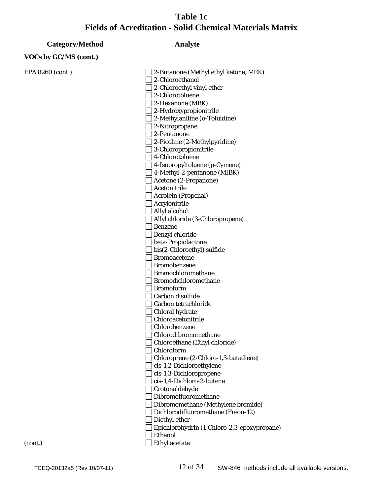## **VOCs by GC/MS (cont.)**

 **Category/Method Analyte** EPA 8260 (cont.) 2-Butanone (Methyl ethyl ketone, MEK) 2-Chloroethanol 2-Chloroethyl vinyl ether 2-Chlorotoluene 2-Hexanone (MBK) 2-Hydroxypropionitrile 2-Methylaniline (o-Toluidine) 2-Nitropropane 2-Pentanone 2-Picoline (2-Methylpyridine) 3-Chloropropionitrile 4-Chlorotoluene 4-Isopropyltoluene (p-Cymene) 4-Methyl-2-pentanone (MIBK) Acetone (2-Propanone)  $\Box$  Acetonitrile Acrolein (Propenal) Acrylonitrile Allyl alcohol Allyl chloride (3-Chloropropene) Benzene Benzyl chloride beta-Propiolactone bis(2-Chloroethyl) sulfide Bromoacetone Г Bromobenzene  $\Box$  Bromochloromethane Bromodichloromethane Bromoform  $\Box$  Carbon disulfide Carbon tetrachloride Chloral hydrate Chloroacetonitrile Chlorobenzene Chlorodibromomethane Chloroethane (Ethyl chloride) Chloroform Chloroprene (2-Chloro-1,3-butadiene) cis-1,2-Dichloroethylene cis-1,3-Dichloropropene cis-1,4-Dichloro-2-butene  $\Box$  Crotonaldehyde Dibromofluoromethane Dibromomethane (Methylene bromide) Dichlorodifluoromethane (Freon-12) Diethyl ether Epichlorohydrin (1-Chloro-2,3-epoxypropane)  $\Box$  Ethanol (cont.) Ethyl acetate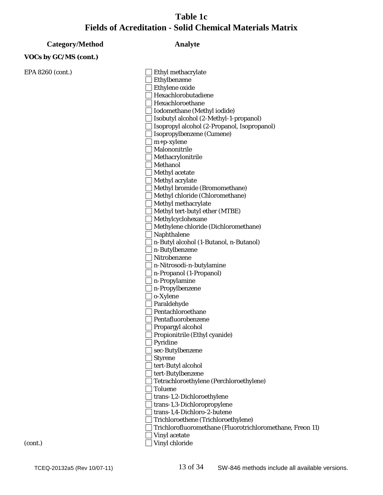### **Category/Method Analyte**

| VOCs by GC/MS (cont.) |
|-----------------------|
| EPA 8260 (cont.)      |

| EPA 8260 (cont.) | Ethyl methacrylate                                        |
|------------------|-----------------------------------------------------------|
|                  | Ethylbenzene                                              |
|                  | Ethylene oxide                                            |
|                  | Hexachlorobutadiene                                       |
|                  | Hexachloroethane                                          |
|                  | Iodomethane (Methyl iodide)                               |
|                  | Isobutyl alcohol (2-Methyl-1-propanol)                    |
|                  | Isopropyl alcohol (2-Propanol, Isopropanol)               |
|                  | Isopropylbenzene (Cumene)                                 |
|                  | m+p-xylene                                                |
|                  | Malononitrile                                             |
|                  | Methacrylonitrile                                         |
|                  | Methanol                                                  |
|                  | Methyl acetate                                            |
|                  | Methyl acrylate                                           |
|                  | Methyl bromide (Bromomethane)                             |
|                  | Methyl chloride (Chloromethane)                           |
|                  | Methyl methacrylate                                       |
|                  | Methyl tert-butyl ether (MTBE)                            |
|                  | Methylcyclohexane                                         |
|                  | Methylene chloride (Dichloromethane)                      |
|                  | Naphthalene                                               |
|                  | n-Butyl alcohol (1-Butanol, n-Butanol)                    |
|                  | n-Butylbenzene                                            |
|                  | Nitrobenzene                                              |
|                  | n-Nitrosodi-n-butylamine                                  |
|                  | n-Propanol (1-Propanol)                                   |
|                  | n-Propylamine                                             |
|                  | n-Propylbenzene                                           |
|                  | o-Xylene                                                  |
|                  | Paraldehyde                                               |
|                  | Pentachloroethane                                         |
|                  | Pentafluorobenzene                                        |
|                  | Propargyl alcohol                                         |
|                  | Propionitrile (Ethyl cyanide)                             |
|                  | $\Box$ Pyridine                                           |
|                  | sec-Butylbenzene                                          |
|                  | <b>Styrene</b>                                            |
|                  | tert-Butyl alcohol                                        |
|                  | tert-Butylbenzene                                         |
|                  | Tetrachloroethylene (Perchloroethylene)                   |
|                  | <b>Toluene</b>                                            |
|                  | trans-1,2-Dichloroethylene                                |
|                  | trans-1,3-Dichloropropylene                               |
|                  | trans-1,4-Dichloro-2-butene                               |
|                  | Trichloroethene (Trichloroethylene)                       |
|                  | Trichlorofluoromethane (Fluorotrichloromethane, Freon 11) |
|                  | Vinyl acetate                                             |
| (cont.)          | Vinyl chloride                                            |
|                  |                                                           |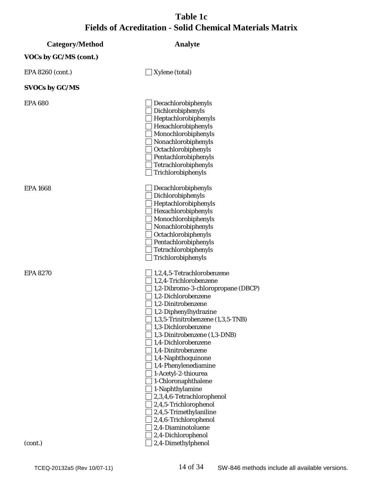| Category/Method       | Analyte                                                                                                                                                                                                                                                                                                                                                                                                                                                                                                                                                 |
|-----------------------|---------------------------------------------------------------------------------------------------------------------------------------------------------------------------------------------------------------------------------------------------------------------------------------------------------------------------------------------------------------------------------------------------------------------------------------------------------------------------------------------------------------------------------------------------------|
| VOCs by GC/MS (cont.) |                                                                                                                                                                                                                                                                                                                                                                                                                                                                                                                                                         |
| EPA 8260 (cont.)      | Xylene (total)                                                                                                                                                                                                                                                                                                                                                                                                                                                                                                                                          |
| SVOCs by GC/MS        |                                                                                                                                                                                                                                                                                                                                                                                                                                                                                                                                                         |
| <b>EPA 680</b>        | Decachlorobiphenyls<br>Dichlorobiphenyls<br>Heptachlorobiphenyls<br>Hexachlorobiphenyls<br>Monochlorobiphenyls<br>Nonachlorobiphenyls<br>Octachlorobiphenyls<br>Pentachlorobiphenyls<br>Tetrachlorobiphenyls<br>Trichlorobiphenyls                                                                                                                                                                                                                                                                                                                      |
| <b>EPA 1668</b>       | Decachlorobiphenyls<br>Dichlorobiphenyls<br>Heptachlorobiphenyls<br>Hexachlorobiphenyls<br>Monochlorobiphenyls<br>Nonachlorobiphenyls<br>Octachlorobiphenyls<br>Pentachlorobiphenyls<br>Tetrachlorobiphenyls<br>Trichlorobiphenyls                                                                                                                                                                                                                                                                                                                      |
| EPA 8270              | 1,2,4,5-Tetrachlorobenzene<br>1,2,4-Trichlorobenzene<br>1,2-Dibromo-3-chloropropane (DBCP)<br>1,2-Dichlorobenzene<br>1,2-Dinitrobenzene<br>1,2-Diphenylhydrazine<br>1,3,5-Trinitrobenzene (1,3,5-TNB)<br>1,3-Dichlorobenzene<br>1,3-Dinitrobenzene (1,3-DNB)<br>1,4-Dichlorobenzene<br>1,4-Dinitrobenzene<br>1,4-Naphthoquinone<br>1,4-Phenylenediamine<br>1-Acetyl-2-thiourea<br>1-Chloronaphthalene<br>1-Naphthylamine<br>2,3,4,6-Tetrachlorophenol<br>2,4,5-Trichlorophenol<br>2,4,5-Trimethylaniline<br>2,4,6-Trichlorophenol<br>2,4-Diaminotoluene |
| (cont.)               | 2,4-Dichlorophenol<br>2,4-Dimethylphenol                                                                                                                                                                                                                                                                                                                                                                                                                                                                                                                |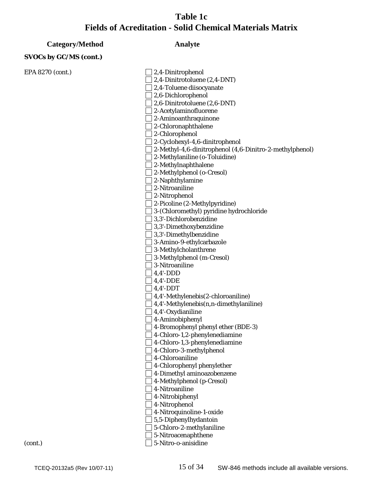### **Category/Method Analyte**

### **SVOCs by GC/MS (cont.)**

- EPA 8270 (cont.)  $\qquad \qquad$  2.4-Dinitrophenol 2,4-Dinitrotoluene (2,4-DNT)
	- 2,4-Toluene diisocyanate
	- 2,6-Dichlorophenol
	- 2,6-Dinitrotoluene (2,6-DNT)
	- 2-Acetylaminofluorene
	- 2-Aminoanthraquinone
	- 2-Chloronaphthalene
	- 2-Chlorophenol
	- 2-Cyclohexyl-4,6-dinitrophenol
	- 2-Methyl-4,6-dinitrophenol (4,6-Dinitro-2-methylphenol)
	- 2-Methylaniline (o-Toluidine)
	- 2-Methylnaphthalene
	- 2-Methylphenol (o-Cresol)
	- $\Box$  2-Naphthylamine
	- $\square$  2-Nitroaniline
	- 2-Nitrophenol
	- 2-Picoline (2-Methylpyridine)
	- 3-(Chloromethyl) pyridine hydrochloride
	- 3,3'-Dichlorobenzidine
	- 3,3'-Dimethoxybenzidine
	- 3,3'-Dimethylbenzidine
	- 3-Amino-9-ethylcarbazole
	- 3-Methylcholanthrene
	- 3-Methylphenol (m-Cresol)
	- $\Box$  3-Nitroaniline
	- $\Box$  4.4'-DDD
	- $\Box$  4,4'-DDE
	- $\Box$  4.4'-DDT
	- $\Box$  4,4'-Methylenebis(2-chloroaniline)
	- $\Box$  4,4'-Methylenebis(n,n-dimethylaniline)
	- □ 4,4'-Oxydianiline
	- $\Box$  4-Aminobiphenyl
	- 4-Bromophenyl phenyl ether (BDE-3)
	- 4-Chloro-1,2-phenylenediamine
	- 4-Chloro-1,3-phenylenediamine
	- 4-Chloro-3-methylphenol
	- $\Box$  4-Chloroaniline
	- 4-Chlorophenyl phenylether
	- 4-Dimethyl aminoazobenzene
	- 4-Methylphenol (p-Cresol)
	- $\Box$  4-Nitroaniline
	- $\Box$  4-Nitrobiphenyl
	- $\Box$  4-Nitrophenol
	- 4-Nitroquinoline-1-oxide
	- $\Box$  5,5-Diphenylhydantoin
	- 5-Chloro-2-methylaniline
	- 5-Nitroacenaphthene
- (cont.) 5-Nitro-o-anisidine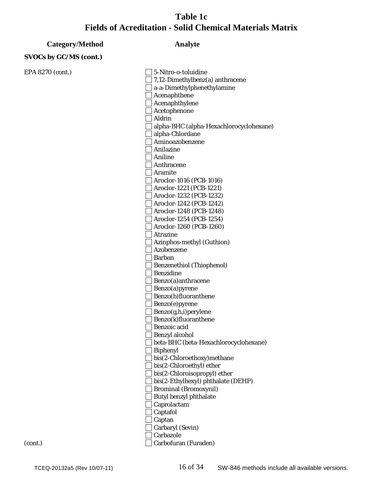### **Category/Method Analyte**

| SVOCs by GC/MS (cont.) |  |  |
|------------------------|--|--|
|------------------------|--|--|

EPA 8270 (cont.)  $\Box$  5-Nitro-o-toluidine 7,12-Dimethylbenz(a) anthracene a-a-Dimethylphenethylamine  $\Box$  Acenaphthene Acenaphthylene Acetophenone Aldrin alpha-BHC (alpha-Hexachlorocyclohexane) alpha-Chlordane Aminoazobenzene Anilazine  $\Box$  Aniline Anthracene Aramite Aroclor-1016 (PCB-1016) Aroclor-1221 (PCB-1221) Aroclor-1232 (PCB-1232) Aroclor-1242 (PCB-1242) Aroclor-1248 (PCB-1248) Aroclor-1254 (PCB-1254) Aroclor-1260 (PCB-1260) Atrazine Azinphos-methyl (Guthion)  $\Box$  Azobenzene  $\Box$  Barban Benzenethiol (Thiophenol)  $\Box$  Benzidine  $\Box$  Benzo(a) anthracene  $\Box$  Benzo(a) pyrene Benzo(b)fluoranthene  $\Box$  Benzo(e) pyrene  $\Box$  Benzo(g,h,i) perylene  $\Box$  Benzo(k)fluoranthene Benzoic acid Benzyl alcohol beta-BHC (beta-Hexachlorocyclohexane) Biphenyl bis(2-Chloroethoxy)methane bis(2-Chloroethyl) ether  $\Box$  bis(2-Chloroisopropyl) ether bis(2-Ethylhexyl) phthalate (DEHP) Brominal (Bromoxynil)  $\Box$  Butyl benzyl phthalate Caprolactam  $\Box$  Captafol  $\Box$  Captan Carbaryl (Sevin) Carbazole

(cont.) Carbofuran (Furaden)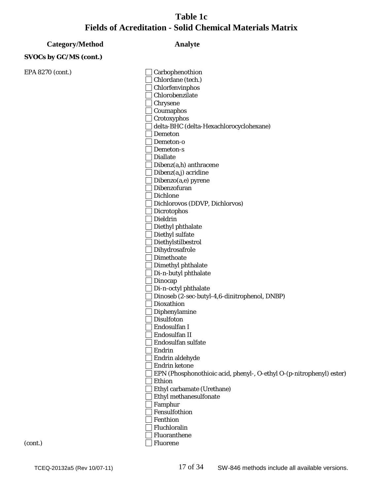### **Category/Method Analyte**

|  | SVOCs by GC/MS (cont.) |  |
|--|------------------------|--|
|  |                        |  |

EPA 8270 (cont.)

| Carbophenothion                                                      |
|----------------------------------------------------------------------|
| Chlordane (tech.)                                                    |
| <b>Chlorfenvinphos</b>                                               |
| Chlorobenzilate                                                      |
| Chrysene                                                             |
| Coumaphos                                                            |
| Crotoxyphos                                                          |
| delta-BHC (delta-Hexachlorocyclohexane)                              |
| Demeton                                                              |
| Demeton-o                                                            |
| Demeton-s                                                            |
| Diallate                                                             |
| Dibenz(a,h) anthracene                                               |
| Dibenz(a,j) acridine                                                 |
| $\Box$ Dibenzo(a,e) pyrene                                           |
| Dibenzofuran                                                         |
| Dichlone                                                             |
| Dichlorovos (DDVP, Dichlorvos)                                       |
| Dicrotophos                                                          |
| <b>Dieldrin</b>                                                      |
| Diethyl phthalate                                                    |
| Diethyl sulfate                                                      |
| Diethylstilbestrol                                                   |
| Dihydrosafrole                                                       |
| Dimethoate                                                           |
| Dimethyl phthalate                                                   |
| Di-n-butyl phthalate                                                 |
| Dinocap                                                              |
| Di-n-octyl phthalate                                                 |
| Dinoseb (2-sec-butyl-4,6-dinitrophenol, DNBP)                        |
| Dioxathion                                                           |
| Diphenylamine                                                        |
| Disulfoton                                                           |
| Endosulfan I                                                         |
| Endosulfan II                                                        |
| Endosulfan sulfate                                                   |
| Endrin                                                               |
| Endrin aldehyde                                                      |
| <b>Endrin ketone</b>                                                 |
| EPN (Phosphonothioic acid, phenyl-, O-ethyl O-(p-nitrophenyl) ester) |
| Ethion                                                               |
|                                                                      |
| Ethyl carbamate (Urethane)<br>Ethyl methanesulfonate                 |
|                                                                      |
| Famphur<br>Fensulfothion                                             |
| Fenthion                                                             |
|                                                                      |
| Fluchloralin                                                         |
| Fluoranthene                                                         |

(cont.) Fluorene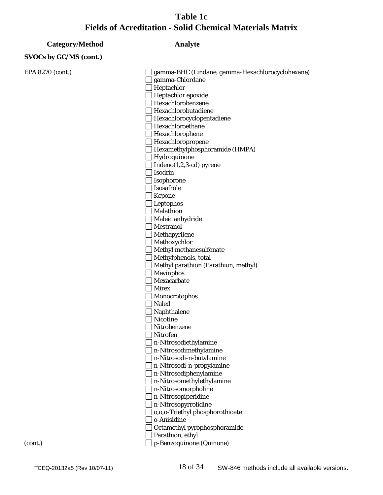### **Category/Method Analyte**

### **SVOCs by GC/MS (cont.)**

EPA 8270 (cont.) gamma-BHC (Lindane, gamma-Hexachlorocyclohexane) gamma-Chlordane  $\Box$  Heptachlor Heptachlor epoxide Hexachlorobenzene  $\Box$  Hexachlorobutadiene Hexachlorocyclopentadiene Hexachloroethane Hexachlorophene Hexachloropropene  $\Box$  Hexamethylphosphoramide (HMPA) Hydroquinone  $\Box$ Indeno(1,2,3-cd) pyrene  $\Box$  Isodrin Isophorone  $\Box$ Isosafrole  $\Box$  Kepone **Leptophos** Malathion Maleic anhydride Mestranol  $\Box$  Methapyrilene Methoxychlor Methyl methanesulfonate Methylphenols, total Methyl parathion (Parathion, methyl) Mevinphos Mexacarbate **Mirex** Monocrotophos Naled Naphthalene  $\Box$  Nicotine Nitrobenzene Nitrofen n-Nitrosodiethylamine n-Nitrosodimethylamine n-Nitrosodi-n-butylamine n-Nitrosodi-n-propylamine n-Nitrosodiphenylamine n-Nitrosomethylethylamine n-Nitrosomorpholine n-Nitrosopiperidine n-Nitrosopyrrolidine o,o,o-Triethyl phosphorothioate o-Anisidine Octamethyl pyrophosphoramide Parathion, ethyl (cont.) p-Benzoquinone (Quinone)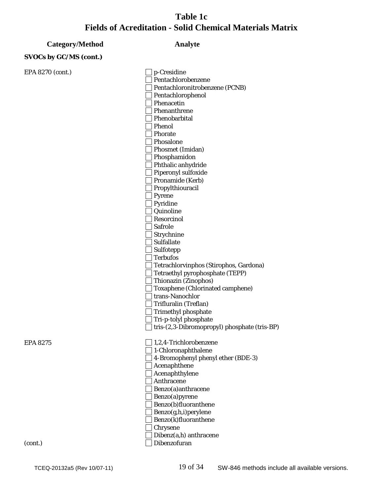### **Category/Method Analyte**

| SVOCs by GC/MS (cont.) |  |  |
|------------------------|--|--|
|------------------------|--|--|

EPA 8270 (cont.)

| p-Cresidine                                  |
|----------------------------------------------|
| Pentachlorobenzene                           |
| Pentachloronitrobenzene (PCNB)               |
| <b>Pentachlorophenol</b>                     |
| Phenacetin                                   |
| Phenanthrene                                 |
| Phenobarbital                                |
| ∣Phenol                                      |
| Phorate                                      |
| Phosalone                                    |
| Phosmet (Imidan)                             |
| Phosphamidon                                 |
| Phthalic anhydride                           |
| Piperonyl sulfoxide                          |
| Pronamide (Kerb)                             |
| Propylthiouracil                             |
| $\Box$ Pyrene                                |
| Pyridine                                     |
| Quinoline                                    |
| Resorcinol                                   |
| <b>Safrole</b>                               |
| Strychnine                                   |
| <b>Sulfallate</b>                            |
| Sulfotepp                                    |
| Terbufos                                     |
| Tetrachlorvinphos (Stirophos, Gardona)       |
| Tetraethyl pyrophosphate (TEPP)              |
| Thionazin (Zinophos)                         |
| Toxaphene (Chlorinated camphene)             |
| trans-Nanochlor                              |
| Trifluralin (Treflan)                        |
| <b>Trimethyl phosphate</b>                   |
| Tri-p-tolyl phosphate                        |
| tris-(2,3-Dibromopropyl) phosphate (tris-BP) |
| 1,2,4-Trichlorobenzene                       |
| 1-Chloronaphthalene                          |
| 4-Bromophenyl phenyl ether (BDE-3)           |
| Acenaphthene                                 |
| Acenaphthylene                               |
| Anthracene                                   |
| Benzo(a)anthracene                           |
| Benzo(a)pyrene                               |
| Benzo(b)fluoranthene                         |
| Benzo(g,h,i) perylene                        |
| Benzo(k)fluoranthene                         |
| Chrysene                                     |
|                                              |

Dibenz(a,h) anthracene

EPA 8275

(cont.) Dibenzofuran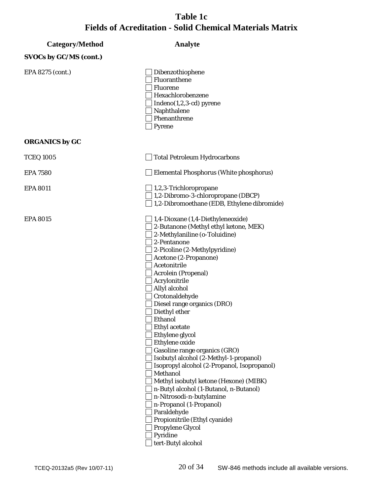| Category/Method        | Analyte                                                                                                                                                                                                                                                                                                                                                                                                                                                                                                                                                                                                                                                                                                                                                                                          |
|------------------------|--------------------------------------------------------------------------------------------------------------------------------------------------------------------------------------------------------------------------------------------------------------------------------------------------------------------------------------------------------------------------------------------------------------------------------------------------------------------------------------------------------------------------------------------------------------------------------------------------------------------------------------------------------------------------------------------------------------------------------------------------------------------------------------------------|
| SVOCs by GC/MS (cont.) |                                                                                                                                                                                                                                                                                                                                                                                                                                                                                                                                                                                                                                                                                                                                                                                                  |
| EPA 8275 (cont.)       | Dibenzothiophene<br>Fluoranthene<br><b>Fluorene</b><br>Hexachlorobenzene<br>Indeno $(1,2,3$ -cd) pyrene<br>Naphthalene<br>Phenanthrene<br>Pyrene                                                                                                                                                                                                                                                                                                                                                                                                                                                                                                                                                                                                                                                 |
| <b>ORGANICS</b> by GC  |                                                                                                                                                                                                                                                                                                                                                                                                                                                                                                                                                                                                                                                                                                                                                                                                  |
| <b>TCEQ 1005</b>       | $\Box$ Total Petroleum Hydrocarbons                                                                                                                                                                                                                                                                                                                                                                                                                                                                                                                                                                                                                                                                                                                                                              |
| <b>EPA 7580</b>        | Elemental Phosphorus (White phosphorus)                                                                                                                                                                                                                                                                                                                                                                                                                                                                                                                                                                                                                                                                                                                                                          |
| <b>EPA 8011</b>        | $\Box$ 1,2,3-Trichloropropane<br>$\Box$ 1,2-Dibromo-3-chloropropane (DBCP)<br>$\Box$ 1,2-Dibromoethane (EDB, Ethylene dibromide)                                                                                                                                                                                                                                                                                                                                                                                                                                                                                                                                                                                                                                                                 |
| <b>EPA 8015</b>        | △ 1,4-Dioxane (1,4-Diethyleneoxide)<br>2-Butanone (Methyl ethyl ketone, MEK)<br>2-Methylaniline (o-Toluidine)<br>2-Pentanone<br>2-Picoline (2-Methylpyridine)<br>Acetone (2-Propanone)<br>Acetonitrile<br>Acrolein (Propenal)<br>Acrylonitrile<br>Allyl alcohol<br>Crotonaldehyde<br>Diesel range organics (DRO)<br>Diethyl ether<br>Ethanol<br><b>Ethyl</b> acetate<br>Ethylene glycol<br>Ethylene oxide<br>Gasoline range organics (GRO)<br>Isobutyl alcohol (2-Methyl-1-propanol)<br>Isopropyl alcohol (2-Propanol, Isopropanol)<br>Methanol<br>Methyl isobutyl ketone (Hexone) (MIBK)<br>n-Butyl alcohol (1-Butanol, n-Butanol)<br>n-Nitrosodi-n-butylamine<br>n-Propanol (1-Propanol)<br>Paraldehyde<br>Propionitrile (Ethyl cyanide)<br>Propylene Glycol<br>Pyridine<br>tert-Butyl alcohol |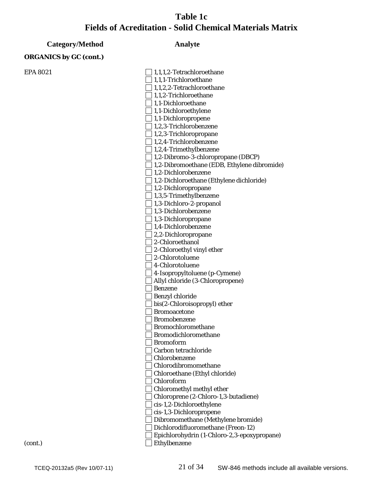### **Category/Method Analyte**

EPA 8021  $\Box$  1,1,1,2-Tetrachloroethane 1,1,1-Trichloroethane 1,1,2,2-Tetrachloroethane 1,1,2-Trichloroethane 1,1-Dichloroethane 1,1-Dichloroethylene 1,1-Dichloropropene 1,2,3-Trichlorobenzene  $\Box$  1,2,3-Trichloropropane 1,2,4-Trichlorobenzene 1,2,4-Trimethylbenzene 1,2-Dibromo-3-chloropropane (DBCP) 1,2-Dibromoethane (EDB, Ethylene dibromide) 1,2-Dichlorobenzene 1,2-Dichloroethane (Ethylene dichloride) 1,2-Dichloropropane 1,3,5-Trimethylbenzene □ 1,3-Dichloro-2-propanol 1,3-Dichlorobenzene 1,3-Dichloropropane 1,4-Dichlorobenzene 2,2-Dichloropropane 2-Chloroethanol  $\Box$  2-Chloroethyl vinyl ether 2-Chlorotoluene 4-Chlorotoluene 4-Isopropyltoluene (p-Cymene) Allyl chloride (3-Chloropropene) Benzene Benzyl chloride  $\Box$  bis(2-Chloroisopropyl) ether Bromoacetone Bromobenzene Bromochloromethane Bromodichloromethane  $\Box$  Bromoform Carbon tetrachloride Chlorobenzene Chlorodibromomethane Chloroethane (Ethyl chloride) Chloroform Chloromethyl methyl ether Chloroprene (2-Chloro-1,3-butadiene) cis-1,2-Dichloroethylene cis-1,3-Dichloropropene Dibromomethane (Methylene bromide)  $\perp$ Dichlorodifluoromethane (Freon-12) Epichlorohydrin (1-Chloro-2,3-epoxypropane)

(cont.) Ethylbenzene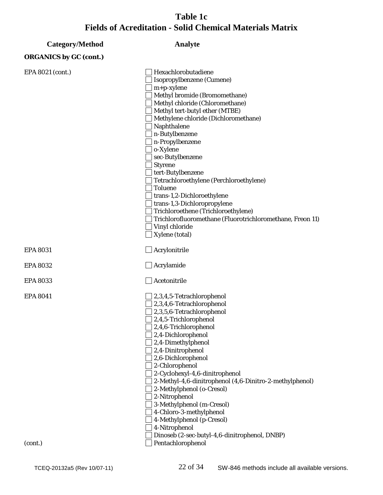| Category/Method               | Analyte                                                                                                                                                                                                                                                                                                                                                                                                                                                                                                                                                                                                      |
|-------------------------------|--------------------------------------------------------------------------------------------------------------------------------------------------------------------------------------------------------------------------------------------------------------------------------------------------------------------------------------------------------------------------------------------------------------------------------------------------------------------------------------------------------------------------------------------------------------------------------------------------------------|
| <b>ORGANICS</b> by GC (cont.) |                                                                                                                                                                                                                                                                                                                                                                                                                                                                                                                                                                                                              |
| EPA 8021 (cont.)              | Hexachlorobutadiene<br>Isopropylbenzene (Cumene)<br>$m+p$ -xylene<br>Methyl bromide (Bromomethane)<br>Methyl chloride (Chloromethane)<br>Methyl tert-butyl ether (MTBE)<br>Methylene chloride (Dichloromethane)<br>Naphthalene<br>n-Butylbenzene<br>n-Propylbenzene<br>o-Xylene<br>sec-Butylbenzene<br><b>Styrene</b><br>tert-Butylbenzene<br>Tetrachloroethylene (Perchloroethylene)<br><b>Toluene</b><br>trans-1,2-Dichloroethylene<br>trans-1,3-Dichloropropylene<br>Trichloroethene (Trichloroethylene)<br>Trichlorofluoromethane (Fluorotrichloromethane, Freon 11)<br>Vinyl chloride<br>Xylene (total) |
| <b>EPA 8031</b>               | $\Box$ Acrylonitrile                                                                                                                                                                                                                                                                                                                                                                                                                                                                                                                                                                                         |
| <b>EPA 8032</b>               | $\Box$ Acrylamide                                                                                                                                                                                                                                                                                                                                                                                                                                                                                                                                                                                            |
| <b>EPA 8033</b>               | Acetonitrile                                                                                                                                                                                                                                                                                                                                                                                                                                                                                                                                                                                                 |
| <b>EPA 8041</b>               | 2,3,4,5-Tetrachlorophenol<br>2,3,4,6-Tetrachlorophenol<br>2,3,5,6-Tetrachlorophenol<br>2,4,5-Trichlorophenol<br>2,4,6-Trichlorophenol<br>2,4-Dichlorophenol<br>2,4-Dimethylphenol<br>2,4-Dinitrophenol<br>2,6-Dichlorophenol<br>2-Chlorophenol<br>2-Cyclohexyl-4,6-dinitrophenol<br>2-Methyl-4,6-dinitrophenol (4,6-Dinitro-2-methylphenol)<br>2-Methylphenol (o-Cresol)<br>2-Nitrophenol<br>3-Methylphenol (m-Cresol)<br>4-Chloro-3-methylphenol<br>4-Methylphenol (p-Cresol)<br>4-Nitrophenol<br>Dinoseb (2-sec-butyl-4,6-dinitrophenol, DNBP)                                                             |
| (cont.)                       | Pentachlorophenol                                                                                                                                                                                                                                                                                                                                                                                                                                                                                                                                                                                            |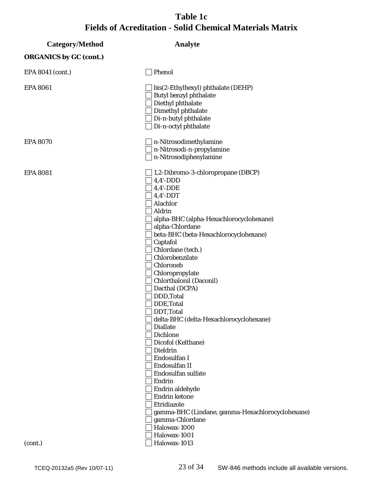| Category/Method               | <b>Analyte</b>                                                                                                                                                                                                                                                                                                                                                                                                                                                                                                                                                                                                                                                                                                                                  |
|-------------------------------|-------------------------------------------------------------------------------------------------------------------------------------------------------------------------------------------------------------------------------------------------------------------------------------------------------------------------------------------------------------------------------------------------------------------------------------------------------------------------------------------------------------------------------------------------------------------------------------------------------------------------------------------------------------------------------------------------------------------------------------------------|
| <b>ORGANICS</b> by GC (cont.) |                                                                                                                                                                                                                                                                                                                                                                                                                                                                                                                                                                                                                                                                                                                                                 |
| EPA 8041 (cont.)              | $\Box$ Phenol                                                                                                                                                                                                                                                                                                                                                                                                                                                                                                                                                                                                                                                                                                                                   |
| <b>EPA 8061</b>               | bis(2-Ethylhexyl) phthalate (DEHP)<br><b>Butyl benzyl phthalate</b><br>Diethyl phthalate<br>Dimethyl phthalate<br>Di-n-butyl phthalate<br>Di-n-octyl phthalate                                                                                                                                                                                                                                                                                                                                                                                                                                                                                                                                                                                  |
| <b>EPA 8070</b>               | n-Nitrosodimethylamine<br>n-Nitrosodi-n-propylamine<br>n-Nitrosodiphenylamine                                                                                                                                                                                                                                                                                                                                                                                                                                                                                                                                                                                                                                                                   |
| <b>EPA 8081</b>               | 1,2-Dibromo-3-chloropropane (DBCP)<br>$4,4'-DDD$<br>$4,4'$ -DDE<br>$4,4'-DDT$<br>Alachlor<br>Aldrin<br>alpha-BHC (alpha-Hexachlorocyclohexane)<br>alpha-Chlordane<br>beta-BHC (beta-Hexachlorocyclohexane)<br>Captafol<br>Chlordane (tech.)<br>Chlorobenzilate<br>Chloroneb<br>Chloropropylate<br>Chlorthalonil (Daconil)<br>Dacthal (DCPA)<br>DDD,Total<br>DDE, Total<br>DDT,Total<br>delta-BHC (delta-Hexachlorocyclohexane)<br><b>Diallate</b><br><b>Dichlone</b><br>Dicofol (Kelthane)<br><b>Dieldrin</b><br>Endosulfan I<br>Endosulfan II<br>Endosulfan sulfate<br>Endrin<br>Endrin aldehyde<br><b>Endrin ketone</b><br>Etridiazole<br>gamma-BHC (Lindane, gamma-Hexachlorocyclohexane)<br>gamma-Chlordane<br>Halowax-1000<br>Halowax-1001 |
| (cont.)                       | Halowax-1013                                                                                                                                                                                                                                                                                                                                                                                                                                                                                                                                                                                                                                                                                                                                    |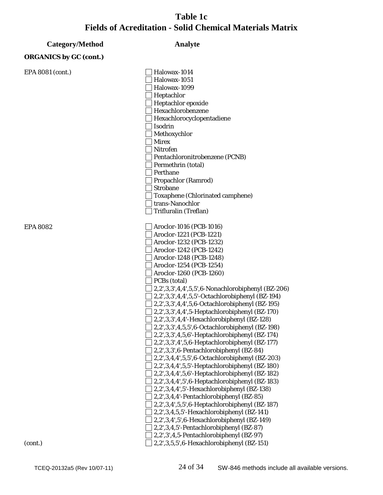| Category/Method               | Analyte                                                                                                                                                                                                                                                                                                                                                                                                                                                                                                                                                                                                                                                                                                                                                                                                                                                                                                                                                                                                                                                                           |
|-------------------------------|-----------------------------------------------------------------------------------------------------------------------------------------------------------------------------------------------------------------------------------------------------------------------------------------------------------------------------------------------------------------------------------------------------------------------------------------------------------------------------------------------------------------------------------------------------------------------------------------------------------------------------------------------------------------------------------------------------------------------------------------------------------------------------------------------------------------------------------------------------------------------------------------------------------------------------------------------------------------------------------------------------------------------------------------------------------------------------------|
| <b>ORGANICS</b> by GC (cont.) |                                                                                                                                                                                                                                                                                                                                                                                                                                                                                                                                                                                                                                                                                                                                                                                                                                                                                                                                                                                                                                                                                   |
| EPA 8081 (cont.)              | Halowax-1014<br>Halowax-1051<br>Halowax-1099<br>Heptachlor<br>Heptachlor epoxide                                                                                                                                                                                                                                                                                                                                                                                                                                                                                                                                                                                                                                                                                                                                                                                                                                                                                                                                                                                                  |
|                               | Hexachlorobenzene<br>Hexachlorocyclopentadiene<br>Isodrin<br>Methoxychlor<br><b>Mirex</b><br>Nitrofen<br>Pentachloronitrobenzene (PCNB)<br>Permethrin (total)<br>Perthane                                                                                                                                                                                                                                                                                                                                                                                                                                                                                                                                                                                                                                                                                                                                                                                                                                                                                                         |
|                               | Propachlor (Ramrod)<br><b>Strobane</b><br>Toxaphene (Chlorinated camphene)<br>trans-Nanochlor<br>Trifluralin (Treflan)                                                                                                                                                                                                                                                                                                                                                                                                                                                                                                                                                                                                                                                                                                                                                                                                                                                                                                                                                            |
| <b>EPA 8082</b>               | Aroclor-1016 (PCB-1016)<br>Aroclor-1221 (PCB-1221)<br>Aroclor-1232 (PCB-1232)<br>Aroclor-1242 (PCB-1242)<br>Aroclor-1248 (PCB-1248)<br>Aroclor-1254 (PCB-1254)<br>Aroclor-1260 (PCB-1260)<br>PCBs (total)<br>2,2',3,3',4,4',5,5',6-Nonachlorobiphenyl (BZ-206)<br>2,2',3,3',4,4',5,5'-Octachlorobiphenyl (BZ-194)<br>2,2',3,3',4,4',5,6-Octachlorobiphenyl (BZ-195)<br>2,2',3,3',4,4',5-Heptachlorobiphenyl (BZ-170)<br>$\left[\right]$ 2,2',3,3',4,4'-Hexachlorobiphenyl (BZ-128)<br>2,2',3,3',4,5,5',6-Octachlorobiphenyl (BZ-198)<br>2,2',3,3',4,5,6'-Heptachlorobiphenyl (BZ-174)<br>2,2',3,3',4',5,6-Heptachlorobiphenyl (BZ-177)<br>2,2',3,3',6-Pentachlorobiphenyl (BZ-84)<br>2,2',3,4,4',5,5',6-Octachlorobiphenyl (BZ-203)<br>2,2',3,4,4',5,5'-Heptachlorobiphenyl (BZ-180)<br>2,2',3,4,4',5,6'-Heptachlorobiphenyl (BZ-182)<br>$[2,2',3,4,4',5',6$ -Heptachlorobiphenyl (BZ-183)<br>2,2',3,4,4',5'-Hexachlorobiphenyl (BZ-138)<br>2,2',3,4,4'-Pentachlorobiphenyl (BZ-85)<br>2,2',3,4',5,5',6-Heptachlorobiphenyl (BZ-187)<br>2,2',3,4,5,5'-Hexachlorobiphenyl (BZ-141) |
| (cont.)                       | 2,2',3,4',5',6-Hexachlorobiphenyl (BZ-149)<br>2,2',3,4,5'-Pentachlorobiphenyl (BZ-87)<br>2,2',3',4,5-Pentachlorobiphenyl (BZ-97)<br>2,2',3,5,5',6-Hexachlorobiphenyl (BZ-151)                                                                                                                                                                                                                                                                                                                                                                                                                                                                                                                                                                                                                                                                                                                                                                                                                                                                                                     |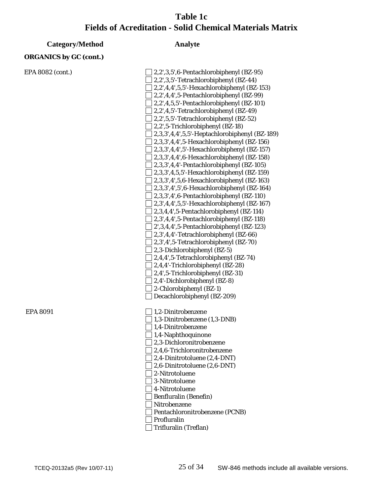### **Category/Method Analyte**

# **ORGANICS by GC (cont.)**

|  |  | EPA 8082 (cont.) |
|--|--|------------------|
|--|--|------------------|

| EPA 8082 (cont.) | $\Box$ 2,2',3,5',6-Pentachlorobiphenyl (BZ-95)       |
|------------------|------------------------------------------------------|
|                  | $\Box$ 2,2',3,5'-Tetrachlorobiphenyl (BZ-44)         |
|                  | $\Box$ 2,2',4,4',5,5'-Hexachlorobiphenyl (BZ-153)    |
|                  | $\Box$ 2,2',4,4',5-Pentachlorobiphenyl (BZ-99)       |
|                  | $\Box$ 2,2',4,5,5'-Pentachlorobiphenyl (BZ-101)      |
|                  | $\Box$ 2,2',4,5'-Tetrachlorobiphenyl (BZ-49)         |
|                  | $\Box$ 2,2',5,5'-Tetrachlorobiphenyl (BZ-52)         |
|                  | $\Box$ 2,2',5-Trichlorobiphenyl (BZ-18)              |
|                  |                                                      |
|                  | $\Box$ 2,3,3',4,4',5,5'-Heptachlorobiphenyl (BZ-189) |
|                  | 2,3,3',4,4',5-Hexachlorobiphenyl (BZ-156)            |
|                  | 2,3,3',4,4',5'-Hexachlorobiphenyl (BZ-157)           |
|                  | 2,3,3',4,4',6-Hexachlorobiphenyl (BZ-158)            |
|                  | 2,3,3',4,4'-Pentachlorobiphenyl (BZ-105)             |
|                  | $\Box$ 2,3,3',4,5,5'-Hexachlorobiphenyl (BZ-159)     |
|                  | $\Box$ 2,3,3',4',5,6-Hexachlorobiphenyl (BZ-163)     |
|                  | $\Box$ 2,3,3',4',5',6-Hexachlorobiphenyl (BZ-164)    |
|                  | $\Box$ 2,3,3',4',6-Pentachlorobiphenyl (BZ-110)      |
|                  | $\Box$ 2,3',4,4',5,5'-Hexachlorobiphenyl (BZ-167)    |
|                  | $\Box$ 2,3,4,4',5-Pentachlorobiphenyl (BZ-114)       |
|                  | $\Box$ 2,3',4,4',5-Pentachlorobiphenyl (BZ-118)      |
|                  | $\Box$ 2', 3, 4, 4', 5-Pentachlorobiphenyl (BZ-123)  |
|                  | $\Box$ 2,3',4,4'-Tetrachlorobiphenyl (BZ-66)         |
|                  | $\Box$ 2,3',4',5-Tetrachlorobiphenyl (BZ-70)         |
|                  | $\Box$ 2,3-Dichlorobiphenyl (BZ-5)                   |
|                  | 2,4,4',5-Tetrachlorobiphenyl (BZ-74)                 |
|                  | 2,4,4'-Trichlorobiphenyl (BZ-28)                     |
|                  |                                                      |
|                  | $\Box$ 2,4',5-Trichlorobiphenyl (BZ-31)              |
|                  | $\Box$ 2,4'-Dichlorobiphenyl (BZ-8)                  |
|                  | 2-Chlorobiphenyl (BZ-1)                              |
|                  | Decachlorobiphenyl (BZ-209)                          |
| <b>EPA 8091</b>  | 1,2-Dinitrobenzene                                   |
|                  | $\Box$ 1,3-Dinitrobenzene (1,3-DNB)                  |
|                  | 1,4-Dinitrobenzene                                   |
|                  | 1,4-Naphthoquinone                                   |
|                  | 2.3-Dichloronitrobenzene                             |
|                  | 2,4,6-Trichloronitrobenzene                          |
|                  | 2,4-Dinitrotoluene (2,4-DNT)                         |
|                  |                                                      |
|                  | 2,6-Dinitrotoluene (2,6-DNT)                         |
|                  | 2-Nitrotoluene                                       |
|                  | 3-Nitrotoluene                                       |
|                  | 4-Nitrotoluene                                       |
|                  | Benfluralin (Benefin)                                |
|                  | Nitrobenzene                                         |
|                  | Pentachloronitrobenzene (PCNB)                       |
|                  | Profluralin                                          |

Trifluralin (Treflan)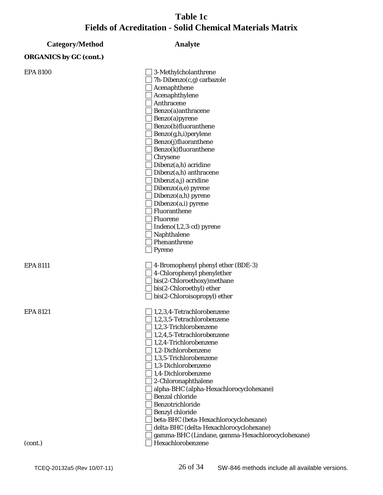| Category/Method               | <b>Analyte</b>                                                                                                                                                                                                                                                                                                                                                                                                                                                                                                       |
|-------------------------------|----------------------------------------------------------------------------------------------------------------------------------------------------------------------------------------------------------------------------------------------------------------------------------------------------------------------------------------------------------------------------------------------------------------------------------------------------------------------------------------------------------------------|
| <b>ORGANICS</b> by GC (cont.) |                                                                                                                                                                                                                                                                                                                                                                                                                                                                                                                      |
| <b>EPA 8100</b>               | 3-Methylcholanthrene<br>7h-Dibenzo(c,g) carbazole<br>Acenaphthene<br>Acenaphthylene<br>Anthracene<br>Benzo(a)anthracene<br>Benzo(a)pyrene<br>Benzo(b)fluoranthene<br>Benzo(g,h,i) perylene<br>Benzo(j)fluoranthene<br>Benzo(k)fluoranthene<br>Chrysene<br>Dibenz(a,h) acridine<br>Dibenz(a,h) anthracene<br>$Dibenz(a,j)$ acridine<br>Dibenzo(a,e) pyrene<br>Dibenzo(a,h) pyrene<br>Dibenzo(a,i) pyrene<br>Fluoranthene<br><b>Fluorene</b><br>Indeno $(1,2,3$ -cd) pyrene<br>Naphthalene<br>Phenanthrene<br>Pyrene   |
| <b>EPA 8111</b>               | 4-Bromophenyl phenyl ether (BDE-3)<br>4-Chlorophenyl phenylether<br>bis(2-Chloroethoxy)methane<br>bis(2-Chloroethyl) ether<br>bis(2-Chloroisopropyl) ether                                                                                                                                                                                                                                                                                                                                                           |
| <b>EPA 8121</b>               | 1,2,3,4-Tetrachlorobenzene<br>1,2,3,5-Tetrachlorobenzene<br>1,2,3-Trichlorobenzene<br>1,2,4,5-Tetrachlorobenzene<br>1,2,4-Trichlorobenzene<br>1,2-Dichlorobenzene<br>1,3,5-Trichlorobenzene<br>1,3-Dichlorobenzene<br>1,4-Dichlorobenzene<br>2-Chloronaphthalene<br>alpha-BHC (alpha-Hexachlorocyclohexane)<br><b>Benzal chloride</b><br>Benzotrichloride<br>Benzyl chloride<br>beta-BHC (beta-Hexachlorocyclohexane)<br>delta-BHC (delta-Hexachlorocyclohexane)<br>gamma-BHC (Lindane, gamma-Hexachlorocyclohexane) |
| (cont.)                       | Hexachlorobenzene                                                                                                                                                                                                                                                                                                                                                                                                                                                                                                    |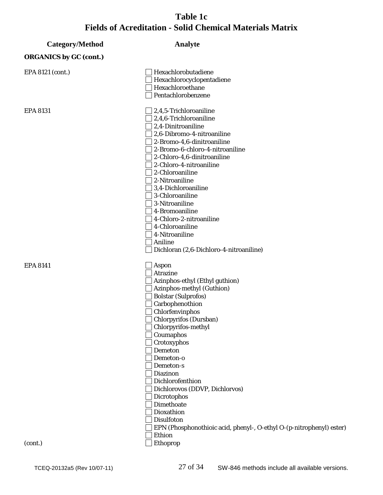| Category/Method               | Analyte                                                                                                                                                                                                                                                                                                                                                                                                                                                                          |
|-------------------------------|----------------------------------------------------------------------------------------------------------------------------------------------------------------------------------------------------------------------------------------------------------------------------------------------------------------------------------------------------------------------------------------------------------------------------------------------------------------------------------|
| <b>ORGANICS</b> by GC (cont.) |                                                                                                                                                                                                                                                                                                                                                                                                                                                                                  |
| EPA 8121 (cont.)              | Hexachlorobutadiene<br>Hexachlorocyclopentadiene<br>Hexachloroethane<br>Pentachlorobenzene                                                                                                                                                                                                                                                                                                                                                                                       |
| <b>EPA 8131</b>               | 2,4,5-Trichloroaniline<br>2,4,6-Trichloroaniline<br>2,4-Dinitroaniline<br>2,6-Dibromo-4-nitroaniline<br>2-Bromo-4,6-dinitroaniline<br>2-Bromo-6-chloro-4-nitroaniline<br>2-Chloro-4,6-dinitroaniline<br>2-Chloro-4-nitroaniline<br>2-Chloroaniline<br>2-Nitroaniline<br>3,4-Dichloroaniline<br>3-Chloroaniline<br>3-Nitroaniline<br>4-Bromoaniline<br>4-Chloro-2-nitroaniline<br>4-Chloroaniline<br>4-Nitroaniline<br>Aniline<br>Dichloran (2,6-Dichloro-4-nitroaniline)         |
| <b>EPA 8141</b>               | Aspon<br><b>Atrazine</b><br>Azinphos-ethyl (Ethyl guthion)<br>Azinphos-methyl (Guthion)<br><b>Bolstar (Sulprofos)</b><br>Carbophenothion<br>Chlorfenvinphos<br>Chlorpyrifos (Dursban)<br>Chlorpyrifos-methyl<br>Coumaphos<br>Crotoxyphos<br>Demeton<br>Demeton-o<br>Demeton-s<br>Diazinon<br>Dichlorofenthion<br>Dichlorovos (DDVP, Dichlorvos)<br>Dicrotophos<br>Dimethoate<br>Dioxathion<br>Disulfoton<br>EPN (Phosphonothioic acid, phenyl-, O-ethyl O-(p-nitrophenyl) ester) |
| (cont.)                       | Ethion<br>Ethoprop                                                                                                                                                                                                                                                                                                                                                                                                                                                               |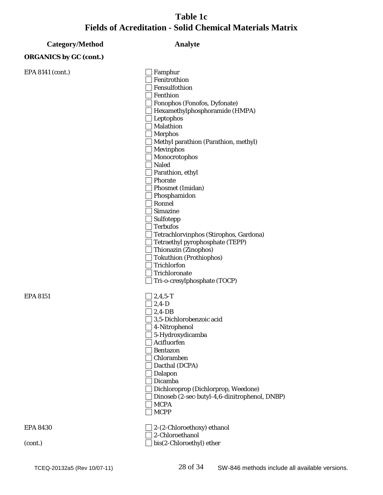## **Category/Method Analyte**

| EPA 8141 (cont.) |  |
|------------------|--|
|------------------|--|

| EPA 8141 (cont.) | Famphur                                       |
|------------------|-----------------------------------------------|
|                  | Fenitrothion                                  |
|                  | Fensulfothion                                 |
|                  | Fenthion                                      |
|                  | Fonophos (Fonofos, Dyfonate)                  |
|                  | Hexamethylphosphoramide (HMPA)                |
|                  | $\exists$ Leptophos                           |
|                  | $\exists$ Malathion                           |
|                  | $\Box$ Merphos                                |
|                  | Methyl parathion (Parathion, methyl)          |
|                  | Mevinphos                                     |
|                  | Monocrotophos                                 |
|                  | Naled                                         |
|                  |                                               |
|                  | Parathion, ethyl<br>Phorate                   |
|                  |                                               |
|                  | Phosmet (Imidan)                              |
|                  | Phosphamidon                                  |
|                  | Ronnel                                        |
|                  | <b>Simazine</b>                               |
|                  | Sulfotepp                                     |
|                  | <b>Terbufos</b>                               |
|                  | Tetrachlorvinphos (Stirophos, Gardona)        |
|                  | Tetraethyl pyrophosphate (TEPP)               |
|                  | Thionazin (Zinophos)                          |
|                  | Tokuthion (Prothiophos)                       |
|                  | Trichlorfon                                   |
|                  | Trichloronate                                 |
|                  | Tri-o-cresylphosphate (TOCP)                  |
| <b>EPA 8151</b>  | $2,4,5-T$                                     |
|                  | $2,4-D$                                       |
|                  | $2,4$ -DB                                     |
|                  | 3,5-Dichlorobenzoic acid                      |
|                  | 4-Nitrophenol                                 |
|                  | 5-Hydroxydicamba                              |
|                  | Acifluorfen                                   |
|                  | <b>Bentazon</b>                               |
|                  | Chloramben                                    |
|                  | Dacthal (DCPA)                                |
|                  |                                               |
|                  | Dalapon<br>Dicamba                            |
|                  |                                               |
|                  | Dichloroprop (Dichlorprop, Weedone)           |
|                  | Dinoseb (2-sec-butyl-4,6-dinitrophenol, DNBP) |
|                  | <b>MCPA</b>                                   |
|                  | <b>MCPP</b>                                   |
| <b>EPA 8430</b>  | 2-(2-Chloroethoxy) ethanol                    |
|                  | 2-Chloroethanol                               |
| (cont.)          | bis(2-Chloroethyl) ether                      |
|                  |                                               |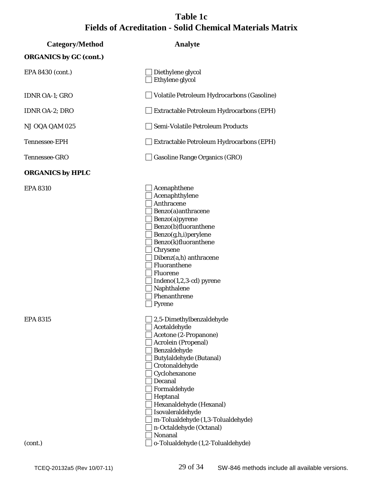| Category/Method               | Analyte                                                                                                                                                                                                                                                                                                                                 |
|-------------------------------|-----------------------------------------------------------------------------------------------------------------------------------------------------------------------------------------------------------------------------------------------------------------------------------------------------------------------------------------|
| <b>ORGANICS</b> by GC (cont.) |                                                                                                                                                                                                                                                                                                                                         |
| EPA 8430 (cont.)              | Diethylene glycol<br>Ethylene glycol                                                                                                                                                                                                                                                                                                    |
| <b>IDNR OA-1; GRO</b>         | Volatile Petroleum Hydrocarbons (Gasoline)                                                                                                                                                                                                                                                                                              |
| <b>IDNR OA-2; DRO</b>         | Extractable Petroleum Hydrocarbons (EPH)                                                                                                                                                                                                                                                                                                |
| NJ OQA QAM 025                | Semi-Volatile Petroleum Products                                                                                                                                                                                                                                                                                                        |
| Tennessee-EPH                 | Extractable Petroleum Hydrocarbons (EPH)                                                                                                                                                                                                                                                                                                |
| Tennessee-GRO                 | <b>Gasoline Range Organics (GRO)</b>                                                                                                                                                                                                                                                                                                    |
| <b>ORGANICS by HPLC</b>       |                                                                                                                                                                                                                                                                                                                                         |
| <b>EPA 8310</b>               | Acenaphthene<br>Acenaphthylene<br>Anthracene<br>Benzo(a)anthracene<br>Benzo(a)pyrene<br>$\Box$ Benzo(b)fluoranthene<br>Benzo(g,h,i)perylene<br>Benzo(k)fluoranthene<br><b>Chrysene</b><br>$\Box$ Dibenz(a,h) anthracene<br>Fluoranthene<br>Fluorene<br>$\left]$ Indeno $(1,2,3$ -cd) pyrene<br>Naphthalene<br>Phenanthrene<br>Pyrene    |
| <b>EPA 8315</b>               | 2,5-Dimethylbenzaldehyde<br>Acetaldehyde<br>Acetone (2-Propanone)<br>Acrolein (Propenal)<br>Benzaldehyde<br>Butylaldehyde (Butanal)<br>Crotonaldehyde<br>Cyclohexanone<br>Decanal<br>Formaldehyde<br>Heptanal<br>Hexanaldehyde (Hexanal)<br>Isovaleraldehyde<br>m-Tolualdehyde (1,3-Tolualdehyde)<br>n-Octaldehyde (Octanal)<br>Nonanal |
| (cont.)                       | o-Tolualdehyde (1,2-Tolualdehyde)                                                                                                                                                                                                                                                                                                       |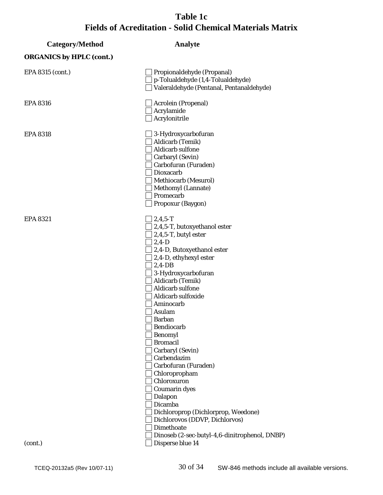| Category/Method                 | Analyte                                                                                                                                                                                                                                                                                                                                                                                                                                                                                                                                                           |
|---------------------------------|-------------------------------------------------------------------------------------------------------------------------------------------------------------------------------------------------------------------------------------------------------------------------------------------------------------------------------------------------------------------------------------------------------------------------------------------------------------------------------------------------------------------------------------------------------------------|
| <b>ORGANICS</b> by HPLC (cont.) |                                                                                                                                                                                                                                                                                                                                                                                                                                                                                                                                                                   |
| EPA 8315 (cont.)                | Propionaldehyde (Propanal)<br>p-Tolualdehyde (1,4-Tolualdehyde)<br>Valeraldehyde (Pentanal, Pentanaldehyde)                                                                                                                                                                                                                                                                                                                                                                                                                                                       |
| <b>EPA 8316</b>                 | Acrolein (Propenal)<br>Acrylamide<br>Acrylonitrile                                                                                                                                                                                                                                                                                                                                                                                                                                                                                                                |
| <b>EPA 8318</b>                 | 3-Hydroxycarbofuran<br><b>Aldicarb (Temik)</b><br>Aldicarb sulfone<br>Carbaryl (Sevin)<br>Carbofuran (Furaden)<br>Dioxacarb<br>Methiocarb (Mesurol)<br>Methomyl (Lannate)<br>Promecarb<br>Propoxur (Baygon)                                                                                                                                                                                                                                                                                                                                                       |
| <b>EPA 8321</b>                 | $2,4,5-T$<br>2,4,5-T, butoxyethanol ester<br>2,4,5-T, butyl ester<br>$2,4-D$<br>2,4-D, Butoxyethanol ester<br>2,4-D, ethyhexyl ester<br>$2,4$ -DB<br>3-Hydroxycarbofuran<br>Aldicarb (Temik)<br>Aldicarb sulfone<br>Aldicarb sulfoxide<br>Aminocarb<br>Asulam<br><b>Barban</b><br>Bendiocarb<br>Benomyl<br><b>Bromacil</b><br>Carbaryl (Sevin)<br>Carbendazim<br>Carbofuran (Furaden)<br>Chloropropham<br>Chloroxuron<br><b>Coumarin dyes</b><br>Dalapon<br>Dicamba<br>Dichloroprop (Dichlorprop, Weedone)<br>Dichlorovos (DDVP, Dichlorvos)<br><b>Dimethoate</b> |
| (cont.)                         | Dinoseb (2-sec-butyl-4,6-dinitrophenol, DNBP)<br>Disperse blue 14                                                                                                                                                                                                                                                                                                                                                                                                                                                                                                 |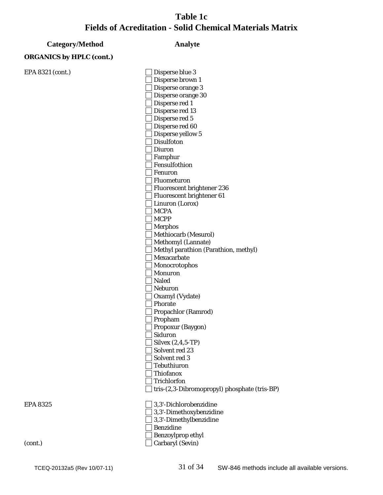### **Category/Method Analyte**

### **ORGANICS by HPLC (cont.)**

EPA 8321 (cont.)

| Disperse blue 3                                     |  |
|-----------------------------------------------------|--|
| Disperse brown 1                                    |  |
| Disperse orange 3                                   |  |
| Disperse orange 30                                  |  |
| Disperse red 1                                      |  |
| Disperse red 13                                     |  |
| Disperse red 5                                      |  |
| Disperse red 60                                     |  |
| Disperse yellow 5                                   |  |
| <b>Disulfoton</b>                                   |  |
| Diuron                                              |  |
|                                                     |  |
| Famphur<br>Fensulfothion                            |  |
|                                                     |  |
| Fenuron                                             |  |
| Fluometuron                                         |  |
| Fluorescent brightener 236                          |  |
| Fluorescent brightener 61                           |  |
| Linuron (Lorox)                                     |  |
| <b>MCPA</b>                                         |  |
| MCPP                                                |  |
| Merphos                                             |  |
| <b>Methiocarb</b> (Mesurol)                         |  |
| Methomyl (Lannate)                                  |  |
| Methyl parathion (Parathion, methyl)                |  |
| <b>Mexacarbate</b>                                  |  |
| Monocrotophos                                       |  |
| Monuron                                             |  |
| Naled                                               |  |
| Neburon                                             |  |
| Oxamyl (Vydate)                                     |  |
| <b>Phorate</b>                                      |  |
| Propachlor (Ramrod)                                 |  |
| Propham                                             |  |
| Propoxur (Baygon)                                   |  |
| Siduron                                             |  |
| $\Box$ Silvex (2,4,5-TP)                            |  |
| Solvent red 23                                      |  |
| Solvent red 3                                       |  |
| Tebuthiuron                                         |  |
| Thiofanox                                           |  |
| Trichlorfon                                         |  |
| $\Box$ tris-(2,3-Dibromopropyl) phosphate (tris-BP) |  |
| 3,3'-Dichlorobenzidine                              |  |
| 3,3'-Dimethoxybenzidine                             |  |
| 3,3'-Dimethylbenzidine                              |  |
| $\exists$ Benzidine                                 |  |
| <b>Benzoylprop ethyl</b>                            |  |

(cont.) Carbaryl  $(Sevin)$ 

EPA 8325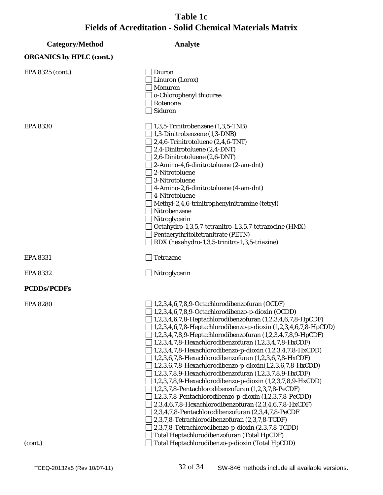| Category/Method                 | Analyte                                                                                                                                                                                                                                                                                                                                                                                                                                                                                                                                                                                                                                                                                                                                                                                                                                                                                                                                                                                                                                                                                                                                                                         |
|---------------------------------|---------------------------------------------------------------------------------------------------------------------------------------------------------------------------------------------------------------------------------------------------------------------------------------------------------------------------------------------------------------------------------------------------------------------------------------------------------------------------------------------------------------------------------------------------------------------------------------------------------------------------------------------------------------------------------------------------------------------------------------------------------------------------------------------------------------------------------------------------------------------------------------------------------------------------------------------------------------------------------------------------------------------------------------------------------------------------------------------------------------------------------------------------------------------------------|
| <b>ORGANICS</b> by HPLC (cont.) |                                                                                                                                                                                                                                                                                                                                                                                                                                                                                                                                                                                                                                                                                                                                                                                                                                                                                                                                                                                                                                                                                                                                                                                 |
| EPA 8325 (cont.)                | Diuron<br>Linuron (Lorox)<br>Monuron<br>o-Chlorophenyl thiourea<br>Rotenone<br>Siduron                                                                                                                                                                                                                                                                                                                                                                                                                                                                                                                                                                                                                                                                                                                                                                                                                                                                                                                                                                                                                                                                                          |
| <b>EPA 8330</b>                 | $\lceil 1,3,5\lceil$ -Trinitrobenzene (1,3,5-TNB)<br>1,3-Dinitrobenzene (1,3-DNB)<br>2,4,6-Trinitrotoluene (2,4,6-TNT)<br>2,4-Dinitrotoluene (2,4-DNT)<br>2,6-Dinitrotoluene (2,6-DNT)<br>2-Amino-4,6-dinitrotoluene (2-am-dnt)<br>2-Nitrotoluene<br>3-Nitrotoluene<br>4-Amino-2,6-dinitrotoluene (4-am-dnt)<br>4-Nitrotoluene<br>Methyl-2,4,6-trinitrophenylnitramine (tetryl)<br>Nitrobenzene<br>Nitroglycerin<br>Octahydro-1,3,5,7-tetranitro-1,3,5,7-tetrazocine (HMX)<br>Pentaerythritoltetranitrate (PETN)<br>RDX (hexahydro-1,3,5-trinitro-1,3,5-triazine)                                                                                                                                                                                                                                                                                                                                                                                                                                                                                                                                                                                                               |
| <b>EPA 8331</b>                 | <b>Tetrazene</b>                                                                                                                                                                                                                                                                                                                                                                                                                                                                                                                                                                                                                                                                                                                                                                                                                                                                                                                                                                                                                                                                                                                                                                |
| <b>EPA 8332</b>                 | Nitroglycerin                                                                                                                                                                                                                                                                                                                                                                                                                                                                                                                                                                                                                                                                                                                                                                                                                                                                                                                                                                                                                                                                                                                                                                   |
| <b>PCDDs/PCDFs</b>              |                                                                                                                                                                                                                                                                                                                                                                                                                                                                                                                                                                                                                                                                                                                                                                                                                                                                                                                                                                                                                                                                                                                                                                                 |
| <b>EPA 8280</b>                 | $\lceil 1,2,3,4,6,7,8,9$ -Octachlorodibenzofuran (OCDF)<br>$\left[1,2,3,4,6,7,8,9\right]$ -Octachlorodibenzo-p-dioxin (OCDD)<br>$\Box$ 1,2,3,4,6,7,8-Heptachlorodibenzofuran (1,2,3,4,6,7,8-HpCDF)<br>] 1,2,3,4,6,7,8-Heptachlorodibenzo-p-dioxin (1,2,3,4,6,7,8-HpCDD)<br>] 1,2,3,4,7,8,9-Heptachlorodibenzofuran $(1,2,3,4,7,8,9$ -HpCDF)<br>$\left]$ 1,2,3,4,7,8-Hexachlorodibenzofuran (1,2,3,4,7,8-HxCDF)<br>] $1,2,3,4,7,8$ -Hexachlorodibenzo-p-dioxin $(1,2,3,4,7,8$ -HxCDD)<br>$\lbrack 1,2,3,6,7,8$ -Hexachlorodibenzofuran (1,2,3,6,7,8-HxCDF)<br>] $1,2,3,6,7,8$ -Hexachlorodibenzo-p-dioxin(1,2,3,6,7,8-HxCDD)<br>$\left]$ 1,2,3,7,8,9-Hexachlorodibenzofuran (1,2,3,7,8,9-HxCDF)<br>$\lceil 1,2,3,7,8,9$ -Hexachlorodibenzo-p-dioxin (1,2,3,7,8,9-HxCDD)<br>$\left[1,2,3,7,8\right]$ -Pentachlorodibenzofuran (1,2,3,7,8-PeCDF)<br>1,2,3,7,8-Pentachlorodibenzo-p-dioxin (1,2,3,7,8-PeCDD)<br>2,3,4,6,7,8-Hexachlorodibenzofuran (2,3,4,6,7,8-HxCDF)<br>2,3,4,7,8-Pentachlorodibenzofuran (2,3,4,7,8-PeCDF<br>2,3,7,8-Tetrachlorodibenzofuran (2,3,7,8-TCDF)<br>2,3,7,8-Tetrachlorodibenzo-p-dioxin (2,3,7,8-TCDD)<br>Total Heptachlorodibenzofuran (Total HpCDF) |
| (cont.)                         | Total Heptachlorodibenzo-p-dioxin (Total HpCDD)                                                                                                                                                                                                                                                                                                                                                                                                                                                                                                                                                                                                                                                                                                                                                                                                                                                                                                                                                                                                                                                                                                                                 |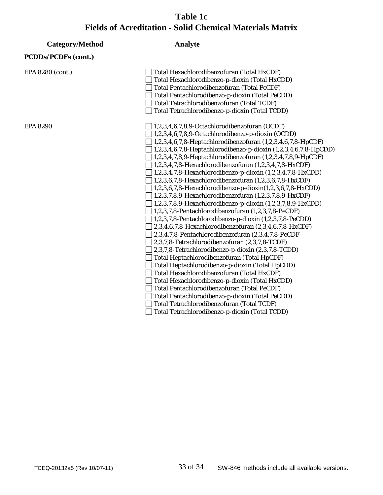| Category/Method            | Analyte                                                                                                                                                                                                                                                                                                                                                                                                                                                                                                                                                                                                                                                                                                                                                                                                                                                                                                                                                                                                                                                                                                                                                                                                                                                                                                                                                                                                                                                                                          |
|----------------------------|--------------------------------------------------------------------------------------------------------------------------------------------------------------------------------------------------------------------------------------------------------------------------------------------------------------------------------------------------------------------------------------------------------------------------------------------------------------------------------------------------------------------------------------------------------------------------------------------------------------------------------------------------------------------------------------------------------------------------------------------------------------------------------------------------------------------------------------------------------------------------------------------------------------------------------------------------------------------------------------------------------------------------------------------------------------------------------------------------------------------------------------------------------------------------------------------------------------------------------------------------------------------------------------------------------------------------------------------------------------------------------------------------------------------------------------------------------------------------------------------------|
| <b>PCDDs/PCDFs (cont.)</b> |                                                                                                                                                                                                                                                                                                                                                                                                                                                                                                                                                                                                                                                                                                                                                                                                                                                                                                                                                                                                                                                                                                                                                                                                                                                                                                                                                                                                                                                                                                  |
| EPA 8280 (cont.)           | Total Hexachlorodibenzofuran (Total HxCDF)<br>Total Hexachlorodibenzo-p-dioxin (Total HxCDD)<br>Total Pentachlorodibenzofuran (Total PeCDF)<br>Total Pentachlorodibenzo-p-dioxin (Total PeCDD)<br>Total Tetrachlorodibenzofuran (Total TCDF)<br>Total Tetrachlorodibenzo-p-dioxin (Total TCDD)                                                                                                                                                                                                                                                                                                                                                                                                                                                                                                                                                                                                                                                                                                                                                                                                                                                                                                                                                                                                                                                                                                                                                                                                   |
| <b>EPA 8290</b>            | $\lceil 1,2,3,4,6,7,8,9$ -Octachlorodibenzofuran (OCDF)<br>$\Box$ 1,2,3,4,6,7,8,9-Octachlorodibenzo-p-dioxin (OCDD)<br>$\Box$ 1,2,3,4,6,7,8-Heptachlorodibenzofuran (1,2,3,4,6,7,8-HpCDF)<br>$\Box$ 1,2,3,4,6,7,8-Heptachlorodibenzo-p-dioxin (1,2,3,4,6,7,8-HpCDD)<br>$\Box$ 1,2,3,4,7,8,9-Heptachlorodibenzofuran (1,2,3,4,7,8,9-HpCDF)<br>$\lceil 1,2,3,4,7,8$ -Hexachlorodibenzofuran (1,2,3,4,7,8-HxCDF)<br>] $1,2,3,4,7,8$ -Hexachlorodibenzo-p-dioxin $(1,2,3,4,7,8$ -HxCDD)<br>$\left]$ 1,2,3,6,7,8-Hexachlorodibenzofuran (1,2,3,6,7,8-HxCDF)<br>] $1,2,3,6,7,8$ -Hexachlorodibenzo-p-dioxin(1,2,3,6,7,8-HxCDD)<br>$\lceil 1,2,3,7,8,9$ -Hexachlorodibenzofuran (1,2,3,7,8,9-HxCDF)<br>] $1,2,3,7,8,9$ -Hexachlorodibenzo-p-dioxin $(1,2,3,7,8,9$ -HxCDD)<br>$\lceil 1,2,3,7,8 \rceil$ Pentachlorodibenzofuran (1,2,3,7,8-PeCDF)<br>] $1,2,3,7,8$ -Pentachlorodibenzo-p-dioxin $(1,2,3,7,8$ -PeCDD)<br>$\left[ 2,3,4,6,7,8$ -Hexachlorodibenzofuran (2,3,4,6,7,8-HxCDF)<br>2,3,4,7,8-Pentachlorodibenzofuran (2,3,4,7,8-PeCDF<br>2,3,7,8-Tetrachlorodibenzofuran (2,3,7,8-TCDF)<br>2,3,7,8-Tetrachlorodibenzo-p-dioxin (2,3,7,8-TCDD)<br>Total Heptachlorodibenzofuran (Total HpCDF)<br>Total Heptachlorodibenzo-p-dioxin (Total HpCDD)<br>Total Hexachlorodibenzofuran (Total HxCDF)<br>Total Hexachlorodibenzo-p-dioxin (Total HxCDD)<br>Total Pentachlorodibenzofuran (Total PeCDF)<br>Total Pentachlorodibenzo-p-dioxin (Total PeCDD)<br>Total Tetrachlorodibenzofuran (Total TCDF) |

Total Tetrachlorodibenzo-p-dioxin (Total TCDD)